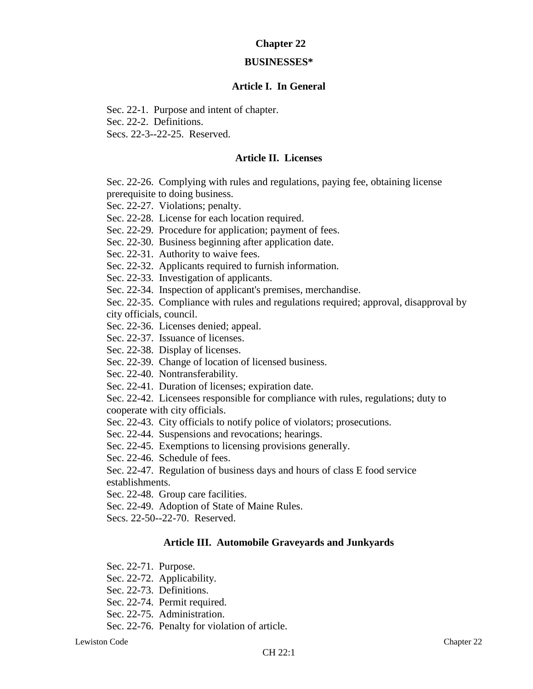# **Chapter 22**

### **BUSINESSES\***

# **Article I. In General**

Sec. 22-1. Purpose and intent of chapter.

Sec. 22-2. Definitions.

Secs. 22-3--22-25. Reserved.

# **Article II. Licenses**

Sec. 22-26. Complying with rules and regulations, paying fee, obtaining license prerequisite to doing business.

Sec. 22-27. Violations; penalty.

Sec. 22-28. License for each location required.

Sec. 22-29. Procedure for application; payment of fees.

Sec. 22-30. Business beginning after application date.

Sec. 22-31. Authority to waive fees.

Sec. 22-32. Applicants required to furnish information.

Sec. 22-33. Investigation of applicants.

Sec. 22-34. Inspection of applicant's premises, merchandise.

Sec. 22-35. Compliance with rules and regulations required; approval, disapproval by city officials, council.

Sec. 22-36. Licenses denied; appeal.

Sec. 22-37. Issuance of licenses.

Sec. 22-38. Display of licenses.

Sec. 22-39. Change of location of licensed business.

Sec. 22-40. Nontransferability.

Sec. 22-41. Duration of licenses; expiration date.

Sec. 22-42. Licensees responsible for compliance with rules, regulations; duty to cooperate with city officials.

Sec. 22-43. City officials to notify police of violators; prosecutions.

Sec. 22-44. Suspensions and revocations; hearings.

Sec. 22-45. Exemptions to licensing provisions generally.

Sec. 22-46. Schedule of fees.

Sec. 22-47. Regulation of business days and hours of class E food service establishments.

Sec. 22-48. Group care facilities.

Sec. 22-49. Adoption of State of Maine Rules.

Secs. 22-50--22-70. Reserved.

# **Article III. Automobile Graveyards and Junkyards**

- Sec. 22-71. Purpose.
- Sec. 22-72. Applicability.
- Sec. 22-73. Definitions.
- Sec. 22-74. Permit required.
- Sec. 22-75. Administration.
- Sec. 22-76. Penalty for violation of article.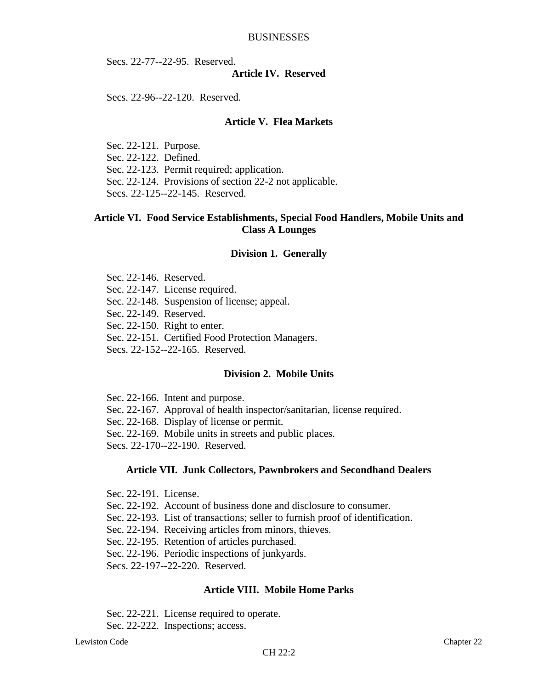Secs. 22-77--22-95. Reserved.

### **Article IV. Reserved**

Secs. 22-96--22-120. Reserved.

# **Article V. Flea Markets**

Sec. 22-121. Purpose. Sec. 22-122. Defined. Sec. 22-123. Permit required; application. Sec. 22-124. Provisions of section 22-2 not applicable. Secs. 22-125--22-145. Reserved.

# **Article VI. Food Service Establishments, Special Food Handlers, Mobile Units and Class A Lounges**

#### **Division 1. Generally**

Sec. 22-146. Reserved. Sec. 22-147. License required. Sec. 22-148. Suspension of license; appeal. Sec. 22-149. Reserved. Sec. 22-150. Right to enter. Sec. 22-151. Certified Food Protection Managers.

Secs. 22-152--22-165. Reserved.

### **Division 2. Mobile Units**

Sec. 22-166. Intent and purpose. Sec. 22-167. Approval of health inspector/sanitarian, license required. Sec. 22-168. Display of license or permit. Sec. 22-169. Mobile units in streets and public places. Secs. 22-170--22-190. Reserved.

### **Article VII. Junk Collectors, Pawnbrokers and Secondhand Dealers**

- Sec. 22-191. License.
- Sec. 22-192. Account of business done and disclosure to consumer.
- Sec. 22-193. List of transactions; seller to furnish proof of identification.
- Sec. 22-194. Receiving articles from minors, thieves.
- Sec. 22-195. Retention of articles purchased.
- Sec. 22-196. Periodic inspections of junkyards.

Secs. 22-197--22-220. Reserved.

### **Article VIII. Mobile Home Parks**

Sec. 22-221. License required to operate.

Sec. 22-222. Inspections; access.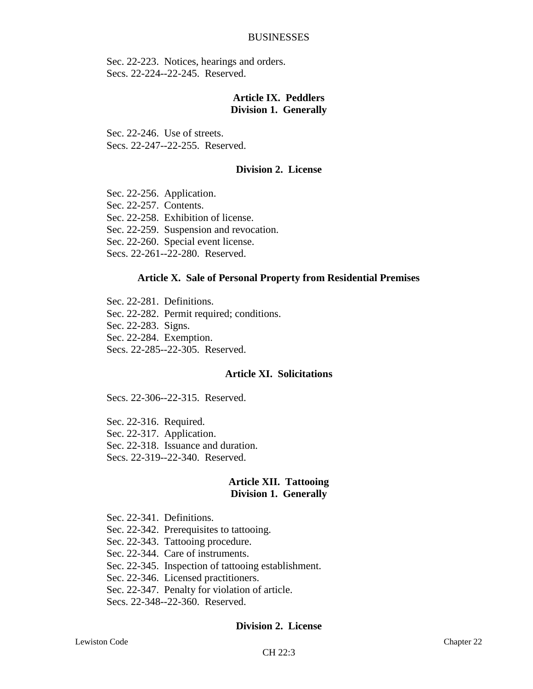Sec. 22-223. Notices, hearings and orders. Secs. 22-224--22-245. Reserved.

# **Article IX. Peddlers Division 1. Generally**

Sec. 22-246. Use of streets. Secs. 22-247--22-255. Reserved.

# **Division 2. License**

- Sec. 22-256. Application.
- Sec. 22-257. Contents.
- Sec. 22-258. Exhibition of license.
- Sec. 22-259. Suspension and revocation.
- Sec. 22-260. Special event license.
- Secs. 22-261--22-280. Reserved.

#### **Article X. Sale of Personal Property from Residential Premises**

- Sec. 22-281. Definitions.
- Sec. 22-282. Permit required; conditions.
- Sec. 22-283. Signs.
- Sec. 22-284. Exemption.
- Secs. 22-285--22-305. Reserved.

# **Article XI. Solicitations**

Secs. 22-306--22-315. Reserved.

- Sec. 22-316. Required.
- Sec. 22-317. Application.
- Sec. 22-318. Issuance and duration.
- Secs. 22-319--22-340. Reserved.

### **Article XII. Tattooing Division 1. Generally**

Sec. 22-341. Definitions. Sec. 22-342. Prerequisites to tattooing. Sec. 22-343. Tattooing procedure. Sec. 22-344. Care of instruments. Sec. 22-345. Inspection of tattooing establishment. Sec. 22-346. Licensed practitioners. Sec. 22-347. Penalty for violation of article. Secs. 22-348--22-360. Reserved.

#### **Division 2. License**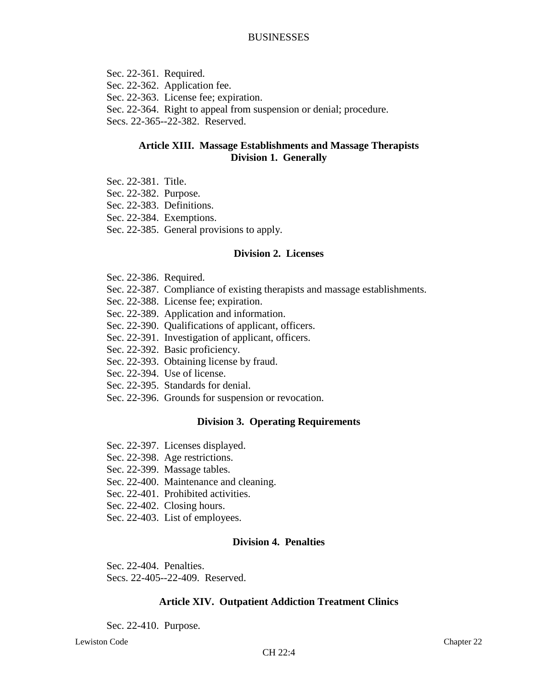Sec. 22-361. Required. Sec. 22-362. Application fee. Sec. 22-363. License fee; expiration. Sec. 22-364. Right to appeal from suspension or denial; procedure. Secs. 22-365--22-382. Reserved.

# **Article XIII. Massage Establishments and Massage Therapists Division 1. Generally**

- Sec. 22-381. Title.
- Sec. 22-382. Purpose.
- Sec. 22-383. Definitions.
- Sec. 22-384. Exemptions.
- Sec. 22-385. General provisions to apply.

### **Division 2. Licenses**

- Sec. 22-386. Required.
- Sec. 22-387. Compliance of existing therapists and massage establishments.
- Sec. 22-388. License fee; expiration.
- Sec. 22-389. Application and information.
- Sec. 22-390. Qualifications of applicant, officers.
- Sec. 22-391. Investigation of applicant, officers.
- Sec. 22-392. Basic proficiency.
- Sec. 22-393. Obtaining license by fraud.
- Sec. 22-394. Use of license.
- Sec. 22-395. Standards for denial.
- Sec. 22-396. Grounds for suspension or revocation.

### **Division 3. Operating Requirements**

- Sec. 22-397. Licenses displayed.
- Sec. 22-398. Age restrictions.
- Sec. 22-399. Massage tables.
- Sec. 22-400. Maintenance and cleaning.
- Sec. 22-401. Prohibited activities.
- Sec. 22-402. Closing hours.
- Sec. 22-403. List of employees.

# **Division 4. Penalties**

Sec. 22-404. Penalties.

Secs. 22-405--22-409. Reserved.

### **Article XIV. Outpatient Addiction Treatment Clinics**

Sec. 22-410. Purpose.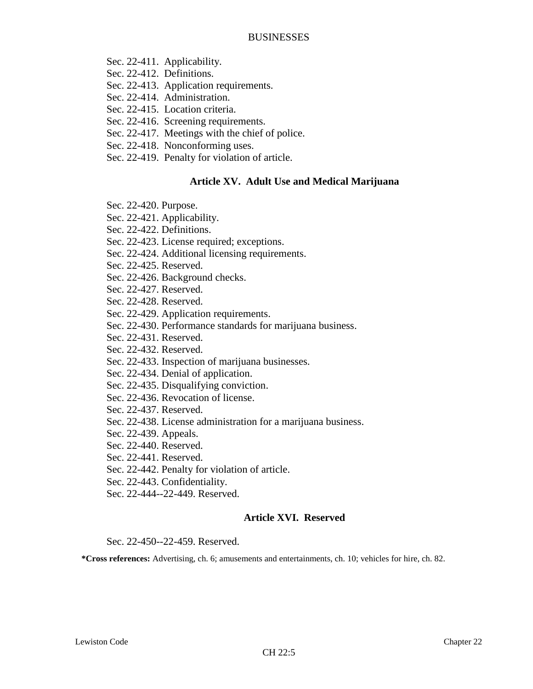Sec. 22-411. Applicability.

Sec. 22-412. Definitions.

- Sec. 22-413. Application requirements.
- Sec. 22-414. Administration.
- Sec. 22-415. Location criteria.
- Sec. 22-416. Screening requirements.
- Sec. 22-417. Meetings with the chief of police.
- Sec. 22-418. Nonconforming uses.
- Sec. 22-419. Penalty for violation of article.

# **Article XV. Adult Use and Medical Marijuana**

- Sec. 22-420. Purpose.
- Sec. 22-421. Applicability.
- Sec. 22-422. Definitions.
- Sec. 22-423. License required; exceptions.
- Sec. 22-424. Additional licensing requirements.
- Sec. 22-425. Reserved.
- Sec. 22-426. Background checks.
- Sec. 22-427. Reserved.
- Sec. 22-428. Reserved.
- Sec. 22-429. Application requirements.
- Sec. 22-430. Performance standards for marijuana business.
- Sec. 22-431. Reserved.
- Sec. 22-432. Reserved.
- Sec. 22-433. Inspection of marijuana businesses.
- Sec. 22-434. Denial of application.
- Sec. 22-435. Disqualifying conviction.
- Sec. 22-436. Revocation of license.
- Sec. 22-437. Reserved.
- Sec. 22-438. License administration for a marijuana business.
- Sec. 22-439. Appeals.
- Sec. 22-440. Reserved.
- Sec. 22-441. Reserved.
- Sec. 22-442. Penalty for violation of article.
- Sec. 22-443. Confidentiality.
- Sec. 22-444--22-449. Reserved.

# **Article XVI. Reserved**

Sec. 22-450--22-459. Reserved.

**\*Cross references:** Advertising, ch. 6; amusements and entertainments, ch. 10; vehicles for hire, ch. 82.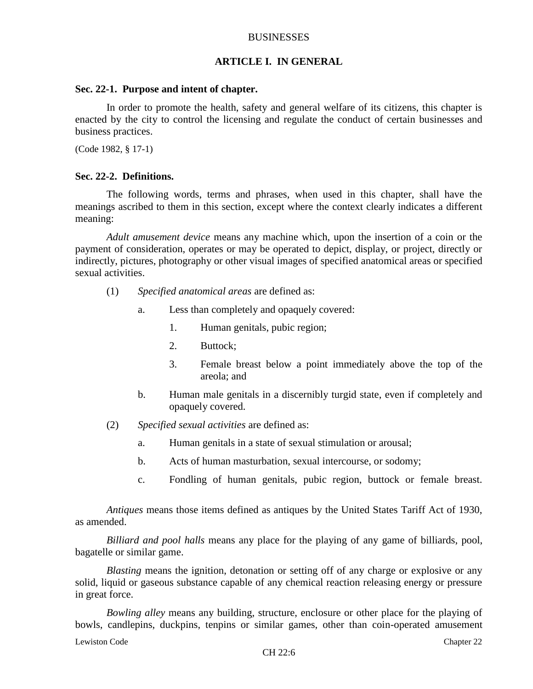#### **ARTICLE I. IN GENERAL**

#### **Sec. 22-1. Purpose and intent of chapter.**

In order to promote the health, safety and general welfare of its citizens, this chapter is enacted by the city to control the licensing and regulate the conduct of certain businesses and business practices.

(Code 1982, § 17-1)

#### **Sec. 22-2. Definitions.**

The following words, terms and phrases, when used in this chapter, shall have the meanings ascribed to them in this section, except where the context clearly indicates a different meaning:

*Adult amusement device* means any machine which, upon the insertion of a coin or the payment of consideration, operates or may be operated to depict, display, or project, directly or indirectly, pictures, photography or other visual images of specified anatomical areas or specified sexual activities.

- (1) *Specified anatomical areas* are defined as:
	- a. Less than completely and opaquely covered:
		- 1. Human genitals, pubic region;
		- 2. Buttock;
		- 3. Female breast below a point immediately above the top of the areola; and
	- b. Human male genitals in a discernibly turgid state, even if completely and opaquely covered.
- (2) *Specified sexual activities* are defined as:
	- a. Human genitals in a state of sexual stimulation or arousal;
	- b. Acts of human masturbation, sexual intercourse, or sodomy;
	- c. Fondling of human genitals, pubic region, buttock or female breast.

*Antiques* means those items defined as antiques by the United States Tariff Act of 1930, as amended.

*Billiard and pool halls* means any place for the playing of any game of billiards, pool, bagatelle or similar game.

*Blasting* means the ignition, detonation or setting off of any charge or explosive or any solid, liquid or gaseous substance capable of any chemical reaction releasing energy or pressure in great force.

*Bowling alley* means any building, structure, enclosure or other place for the playing of bowls, candlepins, duckpins, tenpins or similar games, other than coin-operated amusement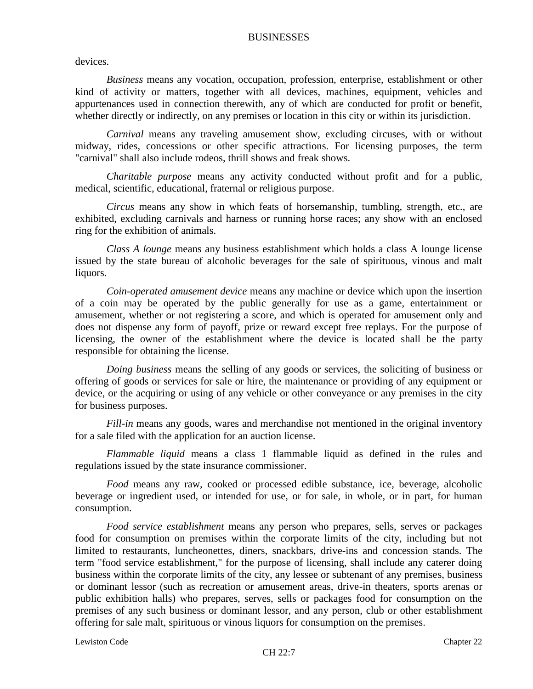devices.

*Business* means any vocation, occupation, profession, enterprise, establishment or other kind of activity or matters, together with all devices, machines, equipment, vehicles and appurtenances used in connection therewith, any of which are conducted for profit or benefit, whether directly or indirectly, on any premises or location in this city or within its jurisdiction.

*Carnival* means any traveling amusement show, excluding circuses, with or without midway, rides, concessions or other specific attractions. For licensing purposes, the term "carnival" shall also include rodeos, thrill shows and freak shows.

*Charitable purpose* means any activity conducted without profit and for a public, medical, scientific, educational, fraternal or religious purpose.

*Circus* means any show in which feats of horsemanship, tumbling, strength, etc., are exhibited, excluding carnivals and harness or running horse races; any show with an enclosed ring for the exhibition of animals.

*Class A lounge* means any business establishment which holds a class A lounge license issued by the state bureau of alcoholic beverages for the sale of spirituous, vinous and malt liquors.

*Coin-operated amusement device* means any machine or device which upon the insertion of a coin may be operated by the public generally for use as a game, entertainment or amusement, whether or not registering a score, and which is operated for amusement only and does not dispense any form of payoff, prize or reward except free replays. For the purpose of licensing, the owner of the establishment where the device is located shall be the party responsible for obtaining the license.

*Doing business* means the selling of any goods or services, the soliciting of business or offering of goods or services for sale or hire, the maintenance or providing of any equipment or device, or the acquiring or using of any vehicle or other conveyance or any premises in the city for business purposes.

*Fill-in* means any goods, wares and merchandise not mentioned in the original inventory for a sale filed with the application for an auction license.

*Flammable liquid* means a class 1 flammable liquid as defined in the rules and regulations issued by the state insurance commissioner.

*Food* means any raw, cooked or processed edible substance, ice, beverage, alcoholic beverage or ingredient used, or intended for use, or for sale, in whole, or in part, for human consumption.

*Food service establishment* means any person who prepares, sells, serves or packages food for consumption on premises within the corporate limits of the city, including but not limited to restaurants, luncheonettes, diners, snackbars, drive-ins and concession stands. The term "food service establishment," for the purpose of licensing, shall include any caterer doing business within the corporate limits of the city, any lessee or subtenant of any premises, business or dominant lessor (such as recreation or amusement areas, drive-in theaters, sports arenas or public exhibition halls) who prepares, serves, sells or packages food for consumption on the premises of any such business or dominant lessor, and any person, club or other establishment offering for sale malt, spirituous or vinous liquors for consumption on the premises.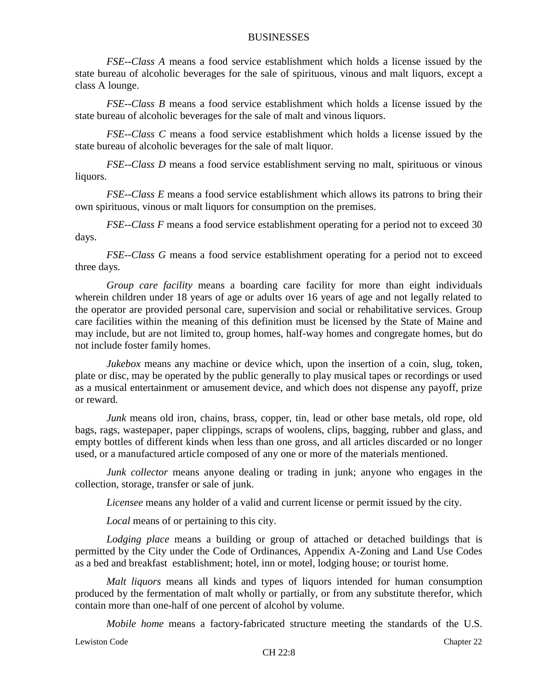*FSE--Class A* means a food service establishment which holds a license issued by the state bureau of alcoholic beverages for the sale of spirituous, vinous and malt liquors, except a class A lounge.

*FSE--Class B* means a food service establishment which holds a license issued by the state bureau of alcoholic beverages for the sale of malt and vinous liquors.

*FSE--Class C* means a food service establishment which holds a license issued by the state bureau of alcoholic beverages for the sale of malt liquor.

*FSE--Class D* means a food service establishment serving no malt, spirituous or vinous liquors.

*FSE--Class E* means a food service establishment which allows its patrons to bring their own spirituous, vinous or malt liquors for consumption on the premises.

*FSE--Class F* means a food service establishment operating for a period not to exceed 30 days.

*FSE--Class G* means a food service establishment operating for a period not to exceed three days.

*Group care facility* means a boarding care facility for more than eight individuals wherein children under 18 years of age or adults over 16 years of age and not legally related to the operator are provided personal care, supervision and social or rehabilitative services. Group care facilities within the meaning of this definition must be licensed by the State of Maine and may include, but are not limited to, group homes, half-way homes and congregate homes, but do not include foster family homes.

*Jukebox* means any machine or device which, upon the insertion of a coin, slug, token, plate or disc, may be operated by the public generally to play musical tapes or recordings or used as a musical entertainment or amusement device, and which does not dispense any payoff, prize or reward.

*Junk* means old iron, chains, brass, copper, tin, lead or other base metals, old rope, old bags, rags, wastepaper, paper clippings, scraps of woolens, clips, bagging, rubber and glass, and empty bottles of different kinds when less than one gross, and all articles discarded or no longer used, or a manufactured article composed of any one or more of the materials mentioned.

*Junk collector* means anyone dealing or trading in junk; anyone who engages in the collection, storage, transfer or sale of junk.

*Licensee* means any holder of a valid and current license or permit issued by the city.

*Local* means of or pertaining to this city.

*Lodging place* means a building or group of attached or detached buildings that is permitted by the City under the Code of Ordinances, Appendix A-Zoning and Land Use Codes as a bed and breakfast establishment; hotel, inn or motel, lodging house; or tourist home.

*Malt liquors* means all kinds and types of liquors intended for human consumption produced by the fermentation of malt wholly or partially, or from any substitute therefor, which contain more than one-half of one percent of alcohol by volume.

*Mobile home* means a factory-fabricated structure meeting the standards of the U.S.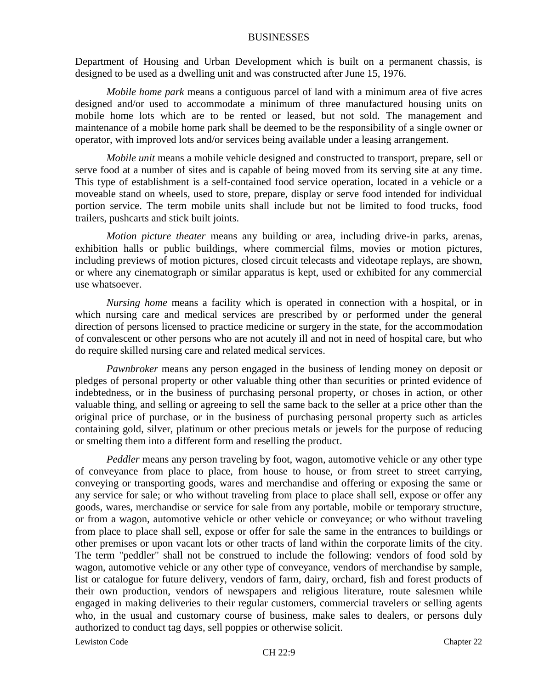Department of Housing and Urban Development which is built on a permanent chassis, is designed to be used as a dwelling unit and was constructed after June 15, 1976.

*Mobile home park* means a contiguous parcel of land with a minimum area of five acres designed and/or used to accommodate a minimum of three manufactured housing units on mobile home lots which are to be rented or leased, but not sold. The management and maintenance of a mobile home park shall be deemed to be the responsibility of a single owner or operator, with improved lots and/or services being available under a leasing arrangement.

*Mobile unit* means a mobile vehicle designed and constructed to transport, prepare, sell or serve food at a number of sites and is capable of being moved from its serving site at any time. This type of establishment is a self-contained food service operation, located in a vehicle or a moveable stand on wheels, used to store, prepare, display or serve food intended for individual portion service. The term mobile units shall include but not be limited to food trucks, food trailers, pushcarts and stick built joints.

*Motion picture theater* means any building or area, including drive-in parks, arenas, exhibition halls or public buildings, where commercial films, movies or motion pictures, including previews of motion pictures, closed circuit telecasts and videotape replays, are shown, or where any cinematograph or similar apparatus is kept, used or exhibited for any commercial use whatsoever.

*Nursing home* means a facility which is operated in connection with a hospital, or in which nursing care and medical services are prescribed by or performed under the general direction of persons licensed to practice medicine or surgery in the state, for the accommodation of convalescent or other persons who are not acutely ill and not in need of hospital care, but who do require skilled nursing care and related medical services.

*Pawnbroker* means any person engaged in the business of lending money on deposit or pledges of personal property or other valuable thing other than securities or printed evidence of indebtedness, or in the business of purchasing personal property, or choses in action, or other valuable thing, and selling or agreeing to sell the same back to the seller at a price other than the original price of purchase, or in the business of purchasing personal property such as articles containing gold, silver, platinum or other precious metals or jewels for the purpose of reducing or smelting them into a different form and reselling the product.

*Peddler* means any person traveling by foot, wagon, automotive vehicle or any other type of conveyance from place to place, from house to house, or from street to street carrying, conveying or transporting goods, wares and merchandise and offering or exposing the same or any service for sale; or who without traveling from place to place shall sell, expose or offer any goods, wares, merchandise or service for sale from any portable, mobile or temporary structure, or from a wagon, automotive vehicle or other vehicle or conveyance; or who without traveling from place to place shall sell, expose or offer for sale the same in the entrances to buildings or other premises or upon vacant lots or other tracts of land within the corporate limits of the city. The term "peddler" shall not be construed to include the following: vendors of food sold by wagon, automotive vehicle or any other type of conveyance, vendors of merchandise by sample, list or catalogue for future delivery, vendors of farm, dairy, orchard, fish and forest products of their own production, vendors of newspapers and religious literature, route salesmen while engaged in making deliveries to their regular customers, commercial travelers or selling agents who, in the usual and customary course of business, make sales to dealers, or persons duly authorized to conduct tag days, sell poppies or otherwise solicit.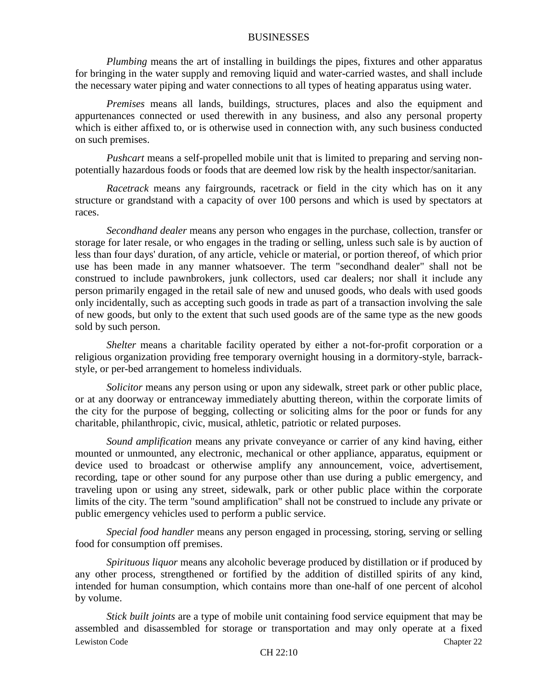*Plumbing* means the art of installing in buildings the pipes, fixtures and other apparatus for bringing in the water supply and removing liquid and water-carried wastes, and shall include the necessary water piping and water connections to all types of heating apparatus using water.

*Premises* means all lands, buildings, structures, places and also the equipment and appurtenances connected or used therewith in any business, and also any personal property which is either affixed to, or is otherwise used in connection with, any such business conducted on such premises.

*Pushcart* means a self-propelled mobile unit that is limited to preparing and serving nonpotentially hazardous foods or foods that are deemed low risk by the health inspector/sanitarian.

*Racetrack* means any fairgrounds, racetrack or field in the city which has on it any structure or grandstand with a capacity of over 100 persons and which is used by spectators at races.

*Secondhand dealer* means any person who engages in the purchase, collection, transfer or storage for later resale, or who engages in the trading or selling, unless such sale is by auction of less than four days' duration, of any article, vehicle or material, or portion thereof, of which prior use has been made in any manner whatsoever. The term "secondhand dealer" shall not be construed to include pawnbrokers, junk collectors, used car dealers; nor shall it include any person primarily engaged in the retail sale of new and unused goods, who deals with used goods only incidentally, such as accepting such goods in trade as part of a transaction involving the sale of new goods, but only to the extent that such used goods are of the same type as the new goods sold by such person.

*Shelter* means a charitable facility operated by either a not-for-profit corporation or a religious organization providing free temporary overnight housing in a dormitory-style, barrackstyle, or per-bed arrangement to homeless individuals.

*Solicitor* means any person using or upon any sidewalk, street park or other public place, or at any doorway or entranceway immediately abutting thereon, within the corporate limits of the city for the purpose of begging, collecting or soliciting alms for the poor or funds for any charitable, philanthropic, civic, musical, athletic, patriotic or related purposes.

*Sound amplification* means any private conveyance or carrier of any kind having, either mounted or unmounted, any electronic, mechanical or other appliance, apparatus, equipment or device used to broadcast or otherwise amplify any announcement, voice, advertisement, recording, tape or other sound for any purpose other than use during a public emergency, and traveling upon or using any street, sidewalk, park or other public place within the corporate limits of the city. The term "sound amplification" shall not be construed to include any private or public emergency vehicles used to perform a public service.

*Special food handler* means any person engaged in processing, storing, serving or selling food for consumption off premises.

*Spirituous liquor* means any alcoholic beverage produced by distillation or if produced by any other process, strengthened or fortified by the addition of distilled spirits of any kind, intended for human consumption, which contains more than one-half of one percent of alcohol by volume.

Lewiston Code Chapter 22 *Stick built joints* are a type of mobile unit containing food service equipment that may be assembled and disassembled for storage or transportation and may only operate at a fixed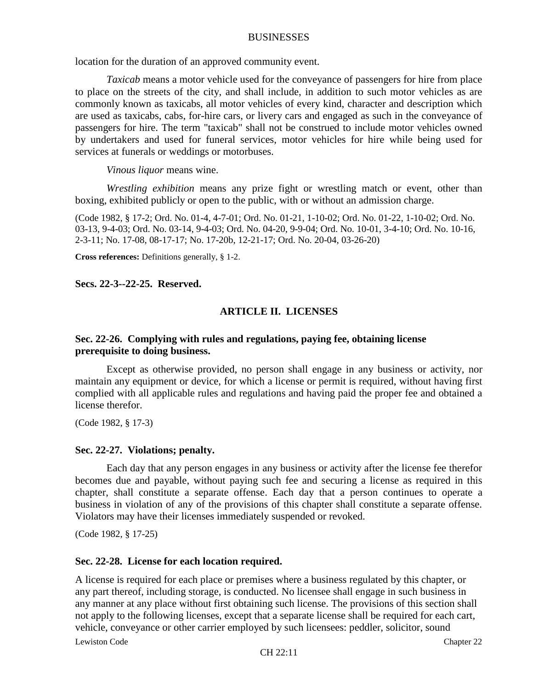location for the duration of an approved community event.

*Taxicab* means a motor vehicle used for the conveyance of passengers for hire from place to place on the streets of the city, and shall include, in addition to such motor vehicles as are commonly known as taxicabs, all motor vehicles of every kind, character and description which are used as taxicabs, cabs, for-hire cars, or livery cars and engaged as such in the conveyance of passengers for hire. The term "taxicab" shall not be construed to include motor vehicles owned by undertakers and used for funeral services, motor vehicles for hire while being used for services at funerals or weddings or motorbuses.

#### *Vinous liquor* means wine.

*Wrestling exhibition* means any prize fight or wrestling match or event, other than boxing, exhibited publicly or open to the public, with or without an admission charge.

(Code 1982, § 17-2; Ord. No. 01-4, 4-7-01; Ord. No. 01-21, 1-10-02; Ord. No. 01-22, 1-10-02; Ord. No. 03-13, 9-4-03; Ord. No. 03-14, 9-4-03; Ord. No. 04-20, 9-9-04; Ord. No. 10-01, 3-4-10; Ord. No. 10-16, 2-3-11; No. 17-08, 08-17-17; No. 17-20b, 12-21-17; Ord. No. 20-04, 03-26-20)

**Cross references:** Definitions generally, § 1-2.

**Secs. 22-3--22-25. Reserved.**

### **ARTICLE II. LICENSES**

### **Sec. 22-26. Complying with rules and regulations, paying fee, obtaining license prerequisite to doing business.**

Except as otherwise provided, no person shall engage in any business or activity, nor maintain any equipment or device, for which a license or permit is required, without having first complied with all applicable rules and regulations and having paid the proper fee and obtained a license therefor.

(Code 1982, § 17-3)

#### **Sec. 22-27. Violations; penalty.**

Each day that any person engages in any business or activity after the license fee therefor becomes due and payable, without paying such fee and securing a license as required in this chapter, shall constitute a separate offense. Each day that a person continues to operate a business in violation of any of the provisions of this chapter shall constitute a separate offense. Violators may have their licenses immediately suspended or revoked.

(Code 1982, § 17-25)

#### **Sec. 22-28. License for each location required.**

Lewiston Code Chapter 22 A license is required for each place or premises where a business regulated by this chapter, or any part thereof, including storage, is conducted. No licensee shall engage in such business in any manner at any place without first obtaining such license. The provisions of this section shall not apply to the following licenses, except that a separate license shall be required for each cart, vehicle, conveyance or other carrier employed by such licensees: peddler, solicitor, sound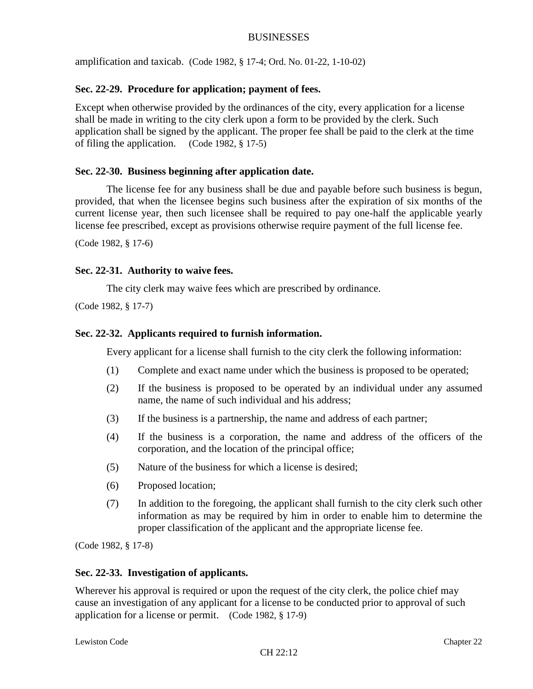amplification and taxicab. (Code 1982, § 17-4; Ord. No. 01-22, 1-10-02)

# **Sec. 22-29. Procedure for application; payment of fees.**

Except when otherwise provided by the ordinances of the city, every application for a license shall be made in writing to the city clerk upon a form to be provided by the clerk. Such application shall be signed by the applicant. The proper fee shall be paid to the clerk at the time of filing the application. (Code 1982, § 17-5)

# **Sec. 22-30. Business beginning after application date.**

The license fee for any business shall be due and payable before such business is begun, provided, that when the licensee begins such business after the expiration of six months of the current license year, then such licensee shall be required to pay one-half the applicable yearly license fee prescribed, except as provisions otherwise require payment of the full license fee.

(Code 1982, § 17-6)

# **Sec. 22-31. Authority to waive fees.**

The city clerk may waive fees which are prescribed by ordinance.

(Code 1982, § 17-7)

# **Sec. 22-32. Applicants required to furnish information.**

Every applicant for a license shall furnish to the city clerk the following information:

- (1) Complete and exact name under which the business is proposed to be operated;
- (2) If the business is proposed to be operated by an individual under any assumed name, the name of such individual and his address;
- (3) If the business is a partnership, the name and address of each partner;
- (4) If the business is a corporation, the name and address of the officers of the corporation, and the location of the principal office;
- (5) Nature of the business for which a license is desired;
- (6) Proposed location;
- (7) In addition to the foregoing, the applicant shall furnish to the city clerk such other information as may be required by him in order to enable him to determine the proper classification of the applicant and the appropriate license fee.

(Code 1982, § 17-8)

# **Sec. 22-33. Investigation of applicants.**

Wherever his approval is required or upon the request of the city clerk, the police chief may cause an investigation of any applicant for a license to be conducted prior to approval of such application for a license or permit. (Code 1982, § 17-9)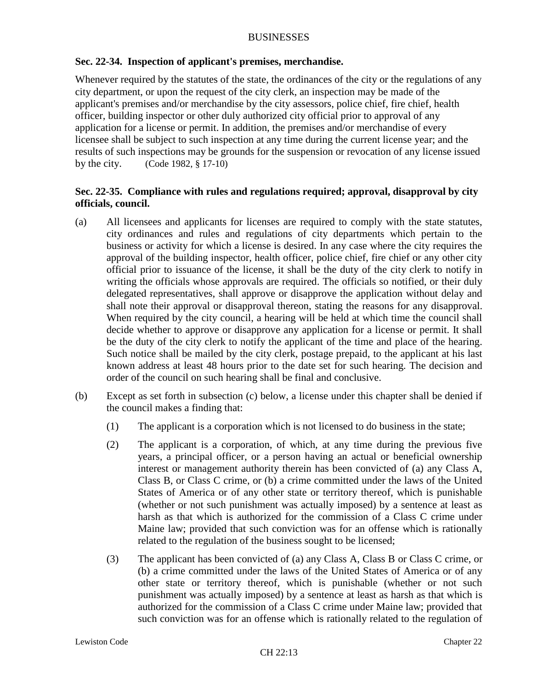# **Sec. 22-34. Inspection of applicant's premises, merchandise.**

Whenever required by the statutes of the state, the ordinances of the city or the regulations of any city department, or upon the request of the city clerk, an inspection may be made of the applicant's premises and/or merchandise by the city assessors, police chief, fire chief, health officer, building inspector or other duly authorized city official prior to approval of any application for a license or permit. In addition, the premises and/or merchandise of every licensee shall be subject to such inspection at any time during the current license year; and the results of such inspections may be grounds for the suspension or revocation of any license issued by the city. (Code 1982, § 17-10)

# **Sec. 22-35. Compliance with rules and regulations required; approval, disapproval by city officials, council.**

- (a) All licensees and applicants for licenses are required to comply with the state statutes, city ordinances and rules and regulations of city departments which pertain to the business or activity for which a license is desired. In any case where the city requires the approval of the building inspector, health officer, police chief, fire chief or any other city official prior to issuance of the license, it shall be the duty of the city clerk to notify in writing the officials whose approvals are required. The officials so notified, or their duly delegated representatives, shall approve or disapprove the application without delay and shall note their approval or disapproval thereon, stating the reasons for any disapproval. When required by the city council, a hearing will be held at which time the council shall decide whether to approve or disapprove any application for a license or permit. It shall be the duty of the city clerk to notify the applicant of the time and place of the hearing. Such notice shall be mailed by the city clerk, postage prepaid, to the applicant at his last known address at least 48 hours prior to the date set for such hearing. The decision and order of the council on such hearing shall be final and conclusive.
- (b) Except as set forth in subsection (c) below, a license under this chapter shall be denied if the council makes a finding that:
	- (1) The applicant is a corporation which is not licensed to do business in the state;
	- (2) The applicant is a corporation, of which, at any time during the previous five years, a principal officer, or a person having an actual or beneficial ownership interest or management authority therein has been convicted of (a) any Class A, Class B, or Class C crime, or (b) a crime committed under the laws of the United States of America or of any other state or territory thereof, which is punishable (whether or not such punishment was actually imposed) by a sentence at least as harsh as that which is authorized for the commission of a Class C crime under Maine law; provided that such conviction was for an offense which is rationally related to the regulation of the business sought to be licensed;
	- (3) The applicant has been convicted of (a) any Class A, Class B or Class C crime, or (b) a crime committed under the laws of the United States of America or of any other state or territory thereof, which is punishable (whether or not such punishment was actually imposed) by a sentence at least as harsh as that which is authorized for the commission of a Class C crime under Maine law; provided that such conviction was for an offense which is rationally related to the regulation of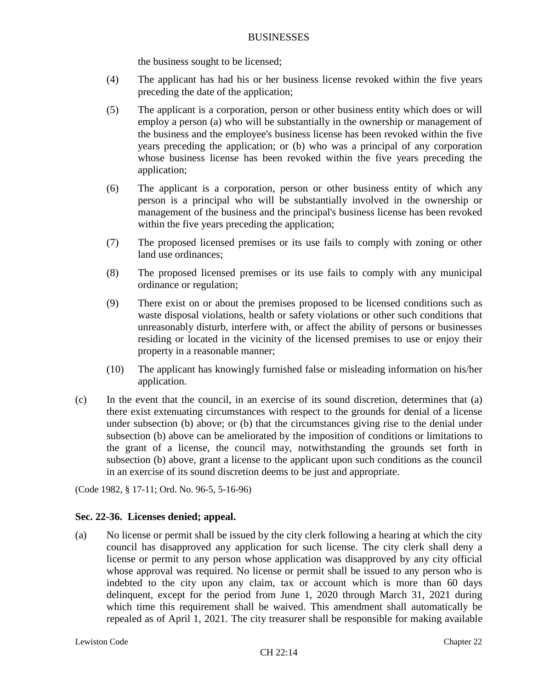the business sought to be licensed;

- (4) The applicant has had his or her business license revoked within the five years preceding the date of the application;
- (5) The applicant is a corporation, person or other business entity which does or will employ a person (a) who will be substantially in the ownership or management of the business and the employee's business license has been revoked within the five years preceding the application; or (b) who was a principal of any corporation whose business license has been revoked within the five years preceding the application;
- (6) The applicant is a corporation, person or other business entity of which any person is a principal who will be substantially involved in the ownership or management of the business and the principal's business license has been revoked within the five years preceding the application;
- (7) The proposed licensed premises or its use fails to comply with zoning or other land use ordinances;
- (8) The proposed licensed premises or its use fails to comply with any municipal ordinance or regulation;
- (9) There exist on or about the premises proposed to be licensed conditions such as waste disposal violations, health or safety violations or other such conditions that unreasonably disturb, interfere with, or affect the ability of persons or businesses residing or located in the vicinity of the licensed premises to use or enjoy their property in a reasonable manner;
- (10) The applicant has knowingly furnished false or misleading information on his/her application.
- (c) In the event that the council, in an exercise of its sound discretion, determines that (a) there exist extenuating circumstances with respect to the grounds for denial of a license under subsection (b) above; or (b) that the circumstances giving rise to the denial under subsection (b) above can be ameliorated by the imposition of conditions or limitations to the grant of a license, the council may, notwithstanding the grounds set forth in subsection (b) above, grant a license to the applicant upon such conditions as the council in an exercise of its sound discretion deems to be just and appropriate.

(Code 1982, § 17-11; Ord. No. 96-5, 5-16-96)

# **Sec. 22-36. Licenses denied; appeal.**

(a) No license or permit shall be issued by the city clerk following a hearing at which the city council has disapproved any application for such license. The city clerk shall deny a license or permit to any person whose application was disapproved by any city official whose approval was required. No license or permit shall be issued to any person who is indebted to the city upon any claim, tax or account which is more than 60 days delinquent, except for the period from June 1, 2020 through March 31, 2021 during which time this requirement shall be waived. This amendment shall automatically be repealed as of April 1, 2021. The city treasurer shall be responsible for making available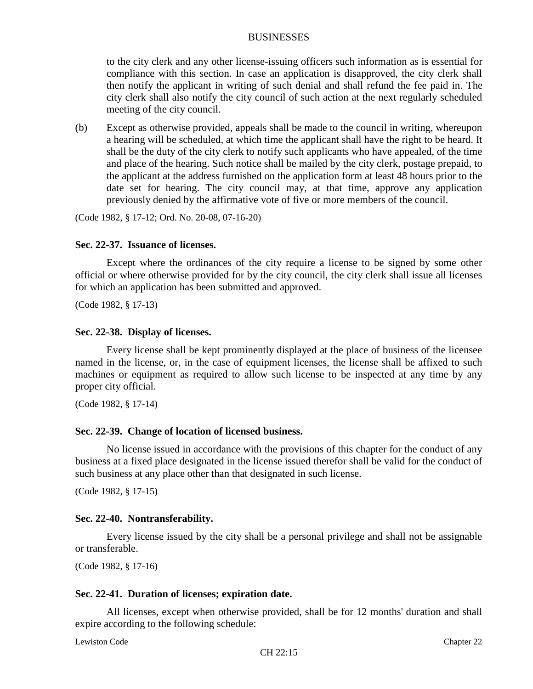to the city clerk and any other license-issuing officers such information as is essential for compliance with this section. In case an application is disapproved, the city clerk shall then notify the applicant in writing of such denial and shall refund the fee paid in. The city clerk shall also notify the city council of such action at the next regularly scheduled meeting of the city council.

(b) Except as otherwise provided, appeals shall be made to the council in writing, whereupon a hearing will be scheduled, at which time the applicant shall have the right to be heard. It shall be the duty of the city clerk to notify such applicants who have appealed, of the time and place of the hearing. Such notice shall be mailed by the city clerk, postage prepaid, to the applicant at the address furnished on the application form at least 48 hours prior to the date set for hearing. The city council may, at that time, approve any application previously denied by the affirmative vote of five or more members of the council.

(Code 1982, § 17-12; Ord. No. 20-08, 07-16-20)

#### **Sec. 22-37. Issuance of licenses.**

Except where the ordinances of the city require a license to be signed by some other official or where otherwise provided for by the city council, the city clerk shall issue all licenses for which an application has been submitted and approved.

(Code 1982, § 17-13)

#### **Sec. 22-38. Display of licenses.**

Every license shall be kept prominently displayed at the place of business of the licensee named in the license, or, in the case of equipment licenses, the license shall be affixed to such machines or equipment as required to allow such license to be inspected at any time by any proper city official.

(Code 1982, § 17-14)

#### **Sec. 22-39. Change of location of licensed business.**

No license issued in accordance with the provisions of this chapter for the conduct of any business at a fixed place designated in the license issued therefor shall be valid for the conduct of such business at any place other than that designated in such license.

(Code 1982, § 17-15)

#### **Sec. 22-40. Nontransferability.**

Every license issued by the city shall be a personal privilege and shall not be assignable or transferable.

(Code 1982, § 17-16)

#### **Sec. 22-41. Duration of licenses; expiration date.**

All licenses, except when otherwise provided, shall be for 12 months' duration and shall expire according to the following schedule: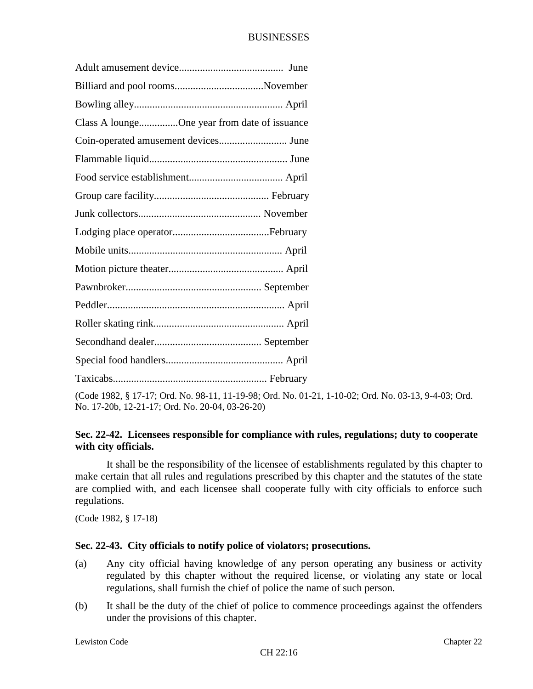| Class A loungeOne year from date of issuance |  |
|----------------------------------------------|--|
|                                              |  |
|                                              |  |
|                                              |  |
|                                              |  |
|                                              |  |
|                                              |  |
|                                              |  |
|                                              |  |
|                                              |  |
|                                              |  |
|                                              |  |
|                                              |  |
|                                              |  |
|                                              |  |

(Code 1982, § 17-17; Ord. No. 98-11, 11-19-98; Ord. No. 01-21, 1-10-02; Ord. No. 03-13, 9-4-03; Ord. No. 17-20b, 12-21-17; Ord. No. 20-04, 03-26-20)

# **Sec. 22-42. Licensees responsible for compliance with rules, regulations; duty to cooperate with city officials.**

It shall be the responsibility of the licensee of establishments regulated by this chapter to make certain that all rules and regulations prescribed by this chapter and the statutes of the state are complied with, and each licensee shall cooperate fully with city officials to enforce such regulations.

(Code 1982, § 17-18)

# **Sec. 22-43. City officials to notify police of violators; prosecutions.**

- (a) Any city official having knowledge of any person operating any business or activity regulated by this chapter without the required license, or violating any state or local regulations, shall furnish the chief of police the name of such person.
- (b) It shall be the duty of the chief of police to commence proceedings against the offenders under the provisions of this chapter.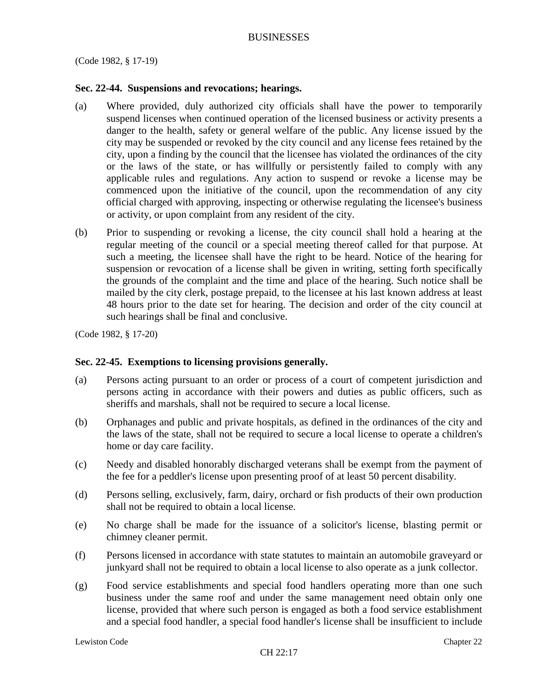(Code 1982, § 17-19)

### **Sec. 22-44. Suspensions and revocations; hearings.**

- (a) Where provided, duly authorized city officials shall have the power to temporarily suspend licenses when continued operation of the licensed business or activity presents a danger to the health, safety or general welfare of the public. Any license issued by the city may be suspended or revoked by the city council and any license fees retained by the city, upon a finding by the council that the licensee has violated the ordinances of the city or the laws of the state, or has willfully or persistently failed to comply with any applicable rules and regulations. Any action to suspend or revoke a license may be commenced upon the initiative of the council, upon the recommendation of any city official charged with approving, inspecting or otherwise regulating the licensee's business or activity, or upon complaint from any resident of the city.
- (b) Prior to suspending or revoking a license, the city council shall hold a hearing at the regular meeting of the council or a special meeting thereof called for that purpose. At such a meeting, the licensee shall have the right to be heard. Notice of the hearing for suspension or revocation of a license shall be given in writing, setting forth specifically the grounds of the complaint and the time and place of the hearing. Such notice shall be mailed by the city clerk, postage prepaid, to the licensee at his last known address at least 48 hours prior to the date set for hearing. The decision and order of the city council at such hearings shall be final and conclusive.

(Code 1982, § 17-20)

# **Sec. 22-45. Exemptions to licensing provisions generally.**

- (a) Persons acting pursuant to an order or process of a court of competent jurisdiction and persons acting in accordance with their powers and duties as public officers, such as sheriffs and marshals, shall not be required to secure a local license.
- (b) Orphanages and public and private hospitals, as defined in the ordinances of the city and the laws of the state, shall not be required to secure a local license to operate a children's home or day care facility.
- (c) Needy and disabled honorably discharged veterans shall be exempt from the payment of the fee for a peddler's license upon presenting proof of at least 50 percent disability.
- (d) Persons selling, exclusively, farm, dairy, orchard or fish products of their own production shall not be required to obtain a local license.
- (e) No charge shall be made for the issuance of a solicitor's license, blasting permit or chimney cleaner permit.
- (f) Persons licensed in accordance with state statutes to maintain an automobile graveyard or junkyard shall not be required to obtain a local license to also operate as a junk collector.
- (g) Food service establishments and special food handlers operating more than one such business under the same roof and under the same management need obtain only one license, provided that where such person is engaged as both a food service establishment and a special food handler, a special food handler's license shall be insufficient to include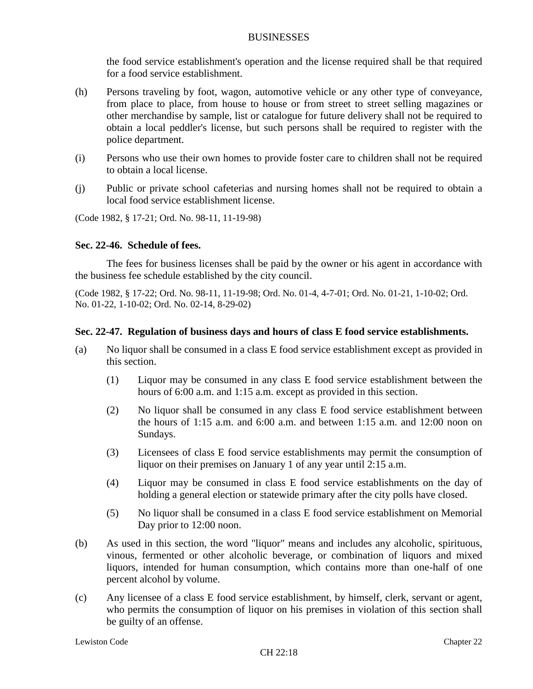the food service establishment's operation and the license required shall be that required for a food service establishment.

- (h) Persons traveling by foot, wagon, automotive vehicle or any other type of conveyance, from place to place, from house to house or from street to street selling magazines or other merchandise by sample, list or catalogue for future delivery shall not be required to obtain a local peddler's license, but such persons shall be required to register with the police department.
- (i) Persons who use their own homes to provide foster care to children shall not be required to obtain a local license.
- (j) Public or private school cafeterias and nursing homes shall not be required to obtain a local food service establishment license.

(Code 1982, § 17-21; Ord. No. 98-11, 11-19-98)

### **Sec. 22-46. Schedule of fees.**

The fees for business licenses shall be paid by the owner or his agent in accordance with the business fee schedule established by the city council.

(Code 1982, § 17-22; Ord. No. 98-11, 11-19-98; Ord. No. 01-4, 4-7-01; Ord. No. 01-21, 1-10-02; Ord. No. 01-22, 1-10-02; Ord. No. 02-14, 8-29-02)

# **Sec. 22-47. Regulation of business days and hours of class E food service establishments.**

- (a) No liquor shall be consumed in a class E food service establishment except as provided in this section.
	- (1) Liquor may be consumed in any class E food service establishment between the hours of 6:00 a.m. and 1:15 a.m. except as provided in this section.
	- (2) No liquor shall be consumed in any class E food service establishment between the hours of 1:15 a.m. and 6:00 a.m. and between 1:15 a.m. and 12:00 noon on Sundays.
	- (3) Licensees of class E food service establishments may permit the consumption of liquor on their premises on January 1 of any year until 2:15 a.m.
	- (4) Liquor may be consumed in class E food service establishments on the day of holding a general election or statewide primary after the city polls have closed.
	- (5) No liquor shall be consumed in a class E food service establishment on Memorial Day prior to 12:00 noon.
- (b) As used in this section, the word "liquor" means and includes any alcoholic, spirituous, vinous, fermented or other alcoholic beverage, or combination of liquors and mixed liquors, intended for human consumption, which contains more than one-half of one percent alcohol by volume.
- (c) Any licensee of a class E food service establishment, by himself, clerk, servant or agent, who permits the consumption of liquor on his premises in violation of this section shall be guilty of an offense.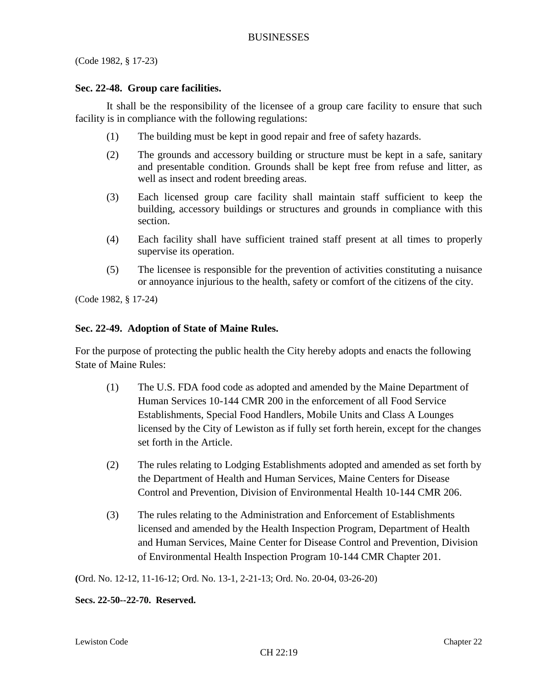(Code 1982, § 17-23)

### **Sec. 22-48. Group care facilities.**

It shall be the responsibility of the licensee of a group care facility to ensure that such facility is in compliance with the following regulations:

- (1) The building must be kept in good repair and free of safety hazards.
- (2) The grounds and accessory building or structure must be kept in a safe, sanitary and presentable condition. Grounds shall be kept free from refuse and litter, as well as insect and rodent breeding areas.
- (3) Each licensed group care facility shall maintain staff sufficient to keep the building, accessory buildings or structures and grounds in compliance with this section.
- (4) Each facility shall have sufficient trained staff present at all times to properly supervise its operation.
- (5) The licensee is responsible for the prevention of activities constituting a nuisance or annoyance injurious to the health, safety or comfort of the citizens of the city.

(Code 1982, § 17-24)

### **Sec. 22-49. Adoption of State of Maine Rules.**

For the purpose of protecting the public health the City hereby adopts and enacts the following State of Maine Rules:

- (1) The U.S. FDA food code as adopted and amended by the Maine Department of Human Services 10-144 CMR 200 in the enforcement of all Food Service Establishments, Special Food Handlers, Mobile Units and Class A Lounges licensed by the City of Lewiston as if fully set forth herein, except for the changes set forth in the Article.
- (2) The rules relating to Lodging Establishments adopted and amended as set forth by the Department of Health and Human Services, Maine Centers for Disease Control and Prevention, Division of Environmental Health 10-144 CMR 206.
- (3) The rules relating to the Administration and Enforcement of Establishments licensed and amended by the Health Inspection Program, Department of Health and Human Services, Maine Center for Disease Control and Prevention, Division of Environmental Health Inspection Program 10-144 CMR Chapter 201.

**(**Ord. No. 12-12, 11-16-12; Ord. No. 13-1, 2-21-13; Ord. No. 20-04, 03-26-20)

**Secs. 22-50--22-70. Reserved.**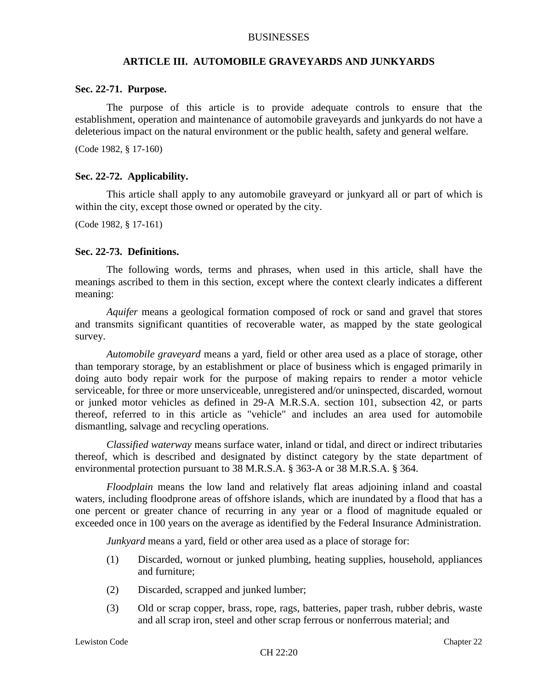### **ARTICLE III. AUTOMOBILE GRAVEYARDS AND JUNKYARDS**

#### **Sec. 22-71. Purpose.**

The purpose of this article is to provide adequate controls to ensure that the establishment, operation and maintenance of automobile graveyards and junkyards do not have a deleterious impact on the natural environment or the public health, safety and general welfare.

(Code 1982, § 17-160)

#### **Sec. 22-72. Applicability.**

This article shall apply to any automobile graveyard or junkyard all or part of which is within the city, except those owned or operated by the city.

(Code 1982, § 17-161)

#### **Sec. 22-73. Definitions.**

The following words, terms and phrases, when used in this article, shall have the meanings ascribed to them in this section, except where the context clearly indicates a different meaning:

*Aquifer* means a geological formation composed of rock or sand and gravel that stores and transmits significant quantities of recoverable water, as mapped by the state geological survey.

*Automobile graveyard* means a yard, field or other area used as a place of storage, other than temporary storage, by an establishment or place of business which is engaged primarily in doing auto body repair work for the purpose of making repairs to render a motor vehicle serviceable, for three or more unserviceable, unregistered and/or uninspected, discarded, wornout or junked motor vehicles as defined in 29-A M.R.S.A. section 101, subsection 42, or parts thereof, referred to in this article as "vehicle" and includes an area used for automobile dismantling, salvage and recycling operations.

*Classified waterway* means surface water, inland or tidal, and direct or indirect tributaries thereof, which is described and designated by distinct category by the state department of environmental protection pursuant to 38 M.R.S.A. § 363-A or 38 M.R.S.A. § 364.

*Floodplain* means the low land and relatively flat areas adjoining inland and coastal waters, including floodprone areas of offshore islands, which are inundated by a flood that has a one percent or greater chance of recurring in any year or a flood of magnitude equaled or exceeded once in 100 years on the average as identified by the Federal Insurance Administration.

*Junkyard* means a yard, field or other area used as a place of storage for:

- (1) Discarded, wornout or junked plumbing, heating supplies, household, appliances and furniture;
- (2) Discarded, scrapped and junked lumber;
- (3) Old or scrap copper, brass, rope, rags, batteries, paper trash, rubber debris, waste and all scrap iron, steel and other scrap ferrous or nonferrous material; and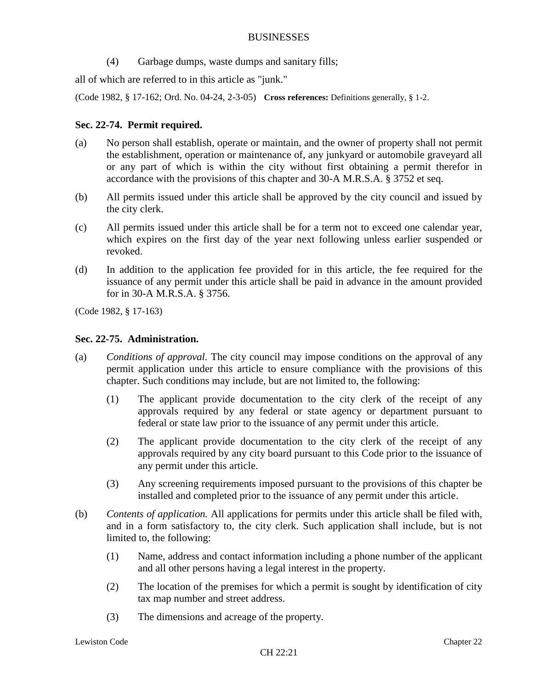(4) Garbage dumps, waste dumps and sanitary fills;

all of which are referred to in this article as "junk."

(Code 1982, § 17-162; Ord. No. 04-24, 2-3-05) **Cross references:** Definitions generally, § 1-2.

# **Sec. 22-74. Permit required.**

- (a) No person shall establish, operate or maintain, and the owner of property shall not permit the establishment, operation or maintenance of, any junkyard or automobile graveyard all or any part of which is within the city without first obtaining a permit therefor in accordance with the provisions of this chapter and 30-A M.R.S.A. § 3752 et seq.
- (b) All permits issued under this article shall be approved by the city council and issued by the city clerk.
- (c) All permits issued under this article shall be for a term not to exceed one calendar year, which expires on the first day of the year next following unless earlier suspended or revoked.
- (d) In addition to the application fee provided for in this article, the fee required for the issuance of any permit under this article shall be paid in advance in the amount provided for in 30-A M.R.S.A. § 3756.

(Code 1982, § 17-163)

### **Sec. 22-75. Administration.**

- (a) *Conditions of approval.* The city council may impose conditions on the approval of any permit application under this article to ensure compliance with the provisions of this chapter. Such conditions may include, but are not limited to, the following:
	- (1) The applicant provide documentation to the city clerk of the receipt of any approvals required by any federal or state agency or department pursuant to federal or state law prior to the issuance of any permit under this article.
	- (2) The applicant provide documentation to the city clerk of the receipt of any approvals required by any city board pursuant to this Code prior to the issuance of any permit under this article.
	- (3) Any screening requirements imposed pursuant to the provisions of this chapter be installed and completed prior to the issuance of any permit under this article.
- (b) *Contents of application.* All applications for permits under this article shall be filed with, and in a form satisfactory to, the city clerk. Such application shall include, but is not limited to, the following:
	- (1) Name, address and contact information including a phone number of the applicant and all other persons having a legal interest in the property.
	- (2) The location of the premises for which a permit is sought by identification of city tax map number and street address.
	- (3) The dimensions and acreage of the property.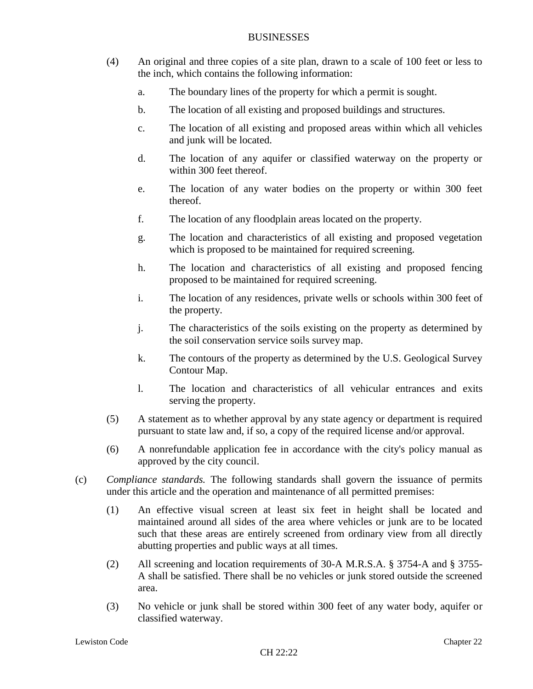- (4) An original and three copies of a site plan, drawn to a scale of 100 feet or less to the inch, which contains the following information:
	- a. The boundary lines of the property for which a permit is sought.
	- b. The location of all existing and proposed buildings and structures.
	- c. The location of all existing and proposed areas within which all vehicles and junk will be located.
	- d. The location of any aquifer or classified waterway on the property or within 300 feet thereof.
	- e. The location of any water bodies on the property or within 300 feet thereof.
	- f. The location of any floodplain areas located on the property.
	- g. The location and characteristics of all existing and proposed vegetation which is proposed to be maintained for required screening.
	- h. The location and characteristics of all existing and proposed fencing proposed to be maintained for required screening.
	- i. The location of any residences, private wells or schools within 300 feet of the property.
	- j. The characteristics of the soils existing on the property as determined by the soil conservation service soils survey map.
	- k. The contours of the property as determined by the U.S. Geological Survey Contour Map.
	- l. The location and characteristics of all vehicular entrances and exits serving the property.
- (5) A statement as to whether approval by any state agency or department is required pursuant to state law and, if so, a copy of the required license and/or approval.
- (6) A nonrefundable application fee in accordance with the city's policy manual as approved by the city council.
- (c) *Compliance standards.* The following standards shall govern the issuance of permits under this article and the operation and maintenance of all permitted premises:
	- (1) An effective visual screen at least six feet in height shall be located and maintained around all sides of the area where vehicles or junk are to be located such that these areas are entirely screened from ordinary view from all directly abutting properties and public ways at all times.
	- (2) All screening and location requirements of 30-A M.R.S.A. § 3754-A and § 3755- A shall be satisfied. There shall be no vehicles or junk stored outside the screened area.
	- (3) No vehicle or junk shall be stored within 300 feet of any water body, aquifer or classified waterway.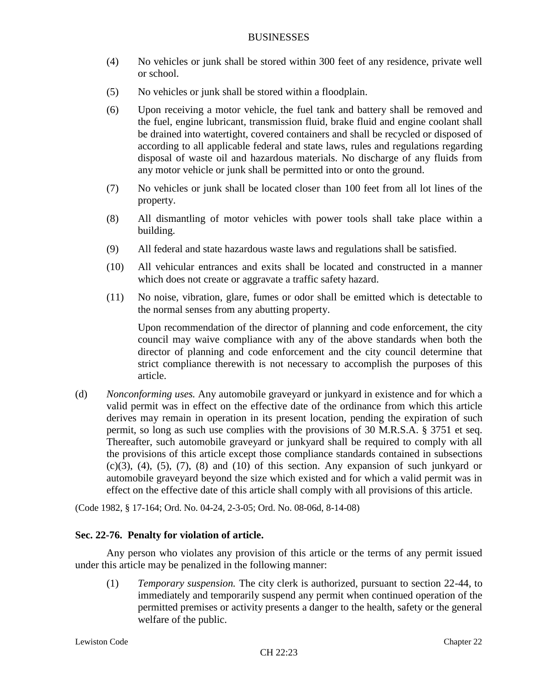- (4) No vehicles or junk shall be stored within 300 feet of any residence, private well or school.
- (5) No vehicles or junk shall be stored within a floodplain.
- (6) Upon receiving a motor vehicle, the fuel tank and battery shall be removed and the fuel, engine lubricant, transmission fluid, brake fluid and engine coolant shall be drained into watertight, covered containers and shall be recycled or disposed of according to all applicable federal and state laws, rules and regulations regarding disposal of waste oil and hazardous materials. No discharge of any fluids from any motor vehicle or junk shall be permitted into or onto the ground.
- (7) No vehicles or junk shall be located closer than 100 feet from all lot lines of the property.
- (8) All dismantling of motor vehicles with power tools shall take place within a building.
- (9) All federal and state hazardous waste laws and regulations shall be satisfied.
- (10) All vehicular entrances and exits shall be located and constructed in a manner which does not create or aggravate a traffic safety hazard.
- (11) No noise, vibration, glare, fumes or odor shall be emitted which is detectable to the normal senses from any abutting property.

Upon recommendation of the director of planning and code enforcement, the city council may waive compliance with any of the above standards when both the director of planning and code enforcement and the city council determine that strict compliance therewith is not necessary to accomplish the purposes of this article.

(d) *Nonconforming uses.* Any automobile graveyard or junkyard in existence and for which a valid permit was in effect on the effective date of the ordinance from which this article derives may remain in operation in its present location, pending the expiration of such permit, so long as such use complies with the provisions of 30 M.R.S.A. § 3751 et seq. Thereafter, such automobile graveyard or junkyard shall be required to comply with all the provisions of this article except those compliance standards contained in subsections  $(c)(3)$ ,  $(4)$ ,  $(5)$ ,  $(7)$ ,  $(8)$  and  $(10)$  of this section. Any expansion of such junkyard or automobile graveyard beyond the size which existed and for which a valid permit was in effect on the effective date of this article shall comply with all provisions of this article.

(Code 1982, § 17-164; Ord. No. 04-24, 2-3-05; Ord. No. 08-06d, 8-14-08)

# **Sec. 22-76. Penalty for violation of article.**

Any person who violates any provision of this article or the terms of any permit issued under this article may be penalized in the following manner:

(1) *Temporary suspension.* The city clerk is authorized, pursuant to section 22-44, to immediately and temporarily suspend any permit when continued operation of the permitted premises or activity presents a danger to the health, safety or the general welfare of the public.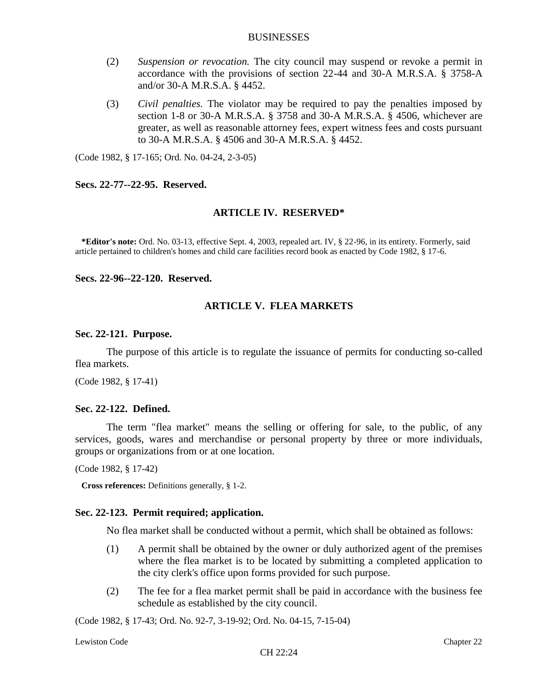- (2) *Suspension or revocation.* The city council may suspend or revoke a permit in accordance with the provisions of section 22-44 and 30-A M.R.S.A. § 3758-A and/or 30-A M.R.S.A. § 4452.
- (3) *Civil penalties.* The violator may be required to pay the penalties imposed by section 1-8 or 30-A M.R.S.A. § 3758 and 30-A M.R.S.A. § 4506, whichever are greater, as well as reasonable attorney fees, expert witness fees and costs pursuant to 30-A M.R.S.A. § 4506 and 30-A M.R.S.A. § 4452.

(Code 1982, § 17-165; Ord. No. 04-24, 2-3-05)

#### **Secs. 22-77--22-95. Reserved.**

### **ARTICLE IV. RESERVED\***

**\*Editor's note:** Ord. No. 03-13, effective Sept. 4, 2003, repealed art. IV, § 22-96, in its entirety. Formerly, said article pertained to children's homes and child care facilities record book as enacted by Code 1982, § 17-6.

**Secs. 22-96--22-120. Reserved.**

#### **ARTICLE V. FLEA MARKETS**

#### **Sec. 22-121. Purpose.**

The purpose of this article is to regulate the issuance of permits for conducting so-called flea markets.

(Code 1982, § 17-41)

### **Sec. 22-122. Defined.**

The term "flea market" means the selling or offering for sale, to the public, of any services, goods, wares and merchandise or personal property by three or more individuals, groups or organizations from or at one location.

(Code 1982, § 17-42)

**Cross references:** Definitions generally, § 1-2.

#### **Sec. 22-123. Permit required; application.**

No flea market shall be conducted without a permit, which shall be obtained as follows:

- (1) A permit shall be obtained by the owner or duly authorized agent of the premises where the flea market is to be located by submitting a completed application to the city clerk's office upon forms provided for such purpose.
- (2) The fee for a flea market permit shall be paid in accordance with the business fee schedule as established by the city council.

(Code 1982, § 17-43; Ord. No. 92-7, 3-19-92; Ord. No. 04-15, 7-15-04)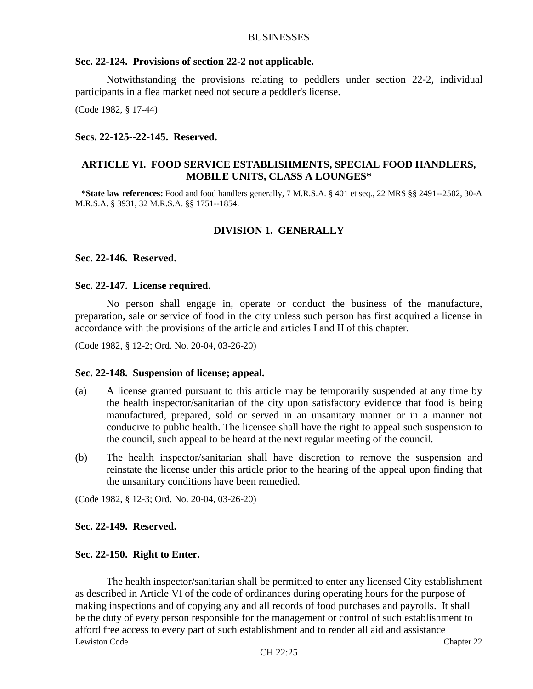#### **Sec. 22-124. Provisions of section 22-2 not applicable.**

Notwithstanding the provisions relating to peddlers under section 22-2, individual participants in a flea market need not secure a peddler's license.

(Code 1982, § 17-44)

#### **Secs. 22-125--22-145. Reserved.**

# **ARTICLE VI. FOOD SERVICE ESTABLISHMENTS, SPECIAL FOOD HANDLERS, MOBILE UNITS, CLASS A LOUNGES\***

**\*State law references:** Food and food handlers generally, 7 M.R.S.A. § 401 et seq., 22 MRS §§ 2491--2502, 30-A M.R.S.A. § 3931, 32 M.R.S.A. §§ 1751--1854.

# **DIVISION 1. GENERALLY**

### **Sec. 22-146. Reserved.**

### **Sec. 22-147. License required.**

No person shall engage in, operate or conduct the business of the manufacture, preparation, sale or service of food in the city unless such person has first acquired a license in accordance with the provisions of the article and articles I and II of this chapter.

(Code 1982, § 12-2; Ord. No. 20-04, 03-26-20)

#### **Sec. 22-148. Suspension of license; appeal.**

- (a) A license granted pursuant to this article may be temporarily suspended at any time by the health inspector/sanitarian of the city upon satisfactory evidence that food is being manufactured, prepared, sold or served in an unsanitary manner or in a manner not conducive to public health. The licensee shall have the right to appeal such suspension to the council, such appeal to be heard at the next regular meeting of the council.
- (b) The health inspector/sanitarian shall have discretion to remove the suspension and reinstate the license under this article prior to the hearing of the appeal upon finding that the unsanitary conditions have been remedied.

(Code 1982, § 12-3; Ord. No. 20-04, 03-26-20)

#### **Sec. 22-149. Reserved.**

#### **Sec. 22-150. Right to Enter.**

Lewiston Code Chapter 22 The health inspector/sanitarian shall be permitted to enter any licensed City establishment as described in Article VI of the code of ordinances during operating hours for the purpose of making inspections and of copying any and all records of food purchases and payrolls. It shall be the duty of every person responsible for the management or control of such establishment to afford free access to every part of such establishment and to render all aid and assistance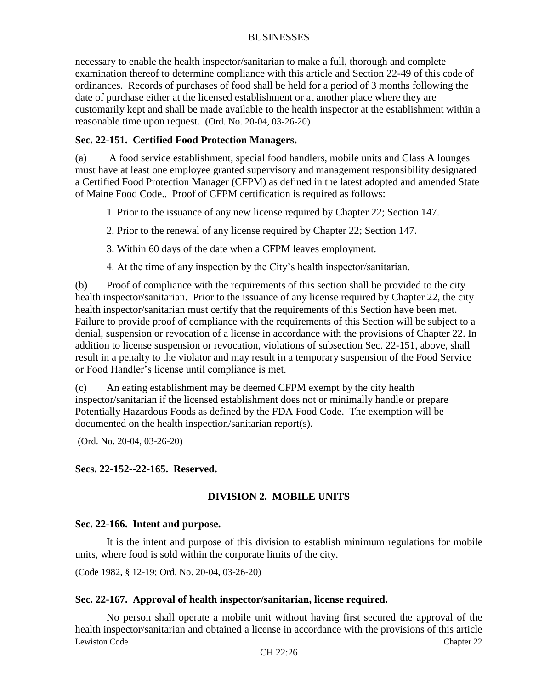necessary to enable the health inspector/sanitarian to make a full, thorough and complete examination thereof to determine compliance with this article and Section 22-49 of this code of ordinances. Records of purchases of food shall be held for a period of 3 months following the date of purchase either at the licensed establishment or at another place where they are customarily kept and shall be made available to the health inspector at the establishment within a reasonable time upon request. (Ord. No. 20-04, 03-26-20)

# **Sec. 22-151. Certified Food Protection Managers.**

(a) A food service establishment, special food handlers, mobile units and Class A lounges must have at least one employee granted supervisory and management responsibility designated a Certified Food Protection Manager (CFPM) as defined in the latest adopted and amended State of Maine Food Code.. Proof of CFPM certification is required as follows:

1. Prior to the issuance of any new license required by Chapter 22; Section 147.

2. Prior to the renewal of any license required by Chapter 22; Section 147.

3. Within 60 days of the date when a CFPM leaves employment.

4. At the time of any inspection by the City's health inspector/sanitarian.

(b) Proof of compliance with the requirements of this section shall be provided to the city health inspector/sanitarian. Prior to the issuance of any license required by Chapter 22, the city health inspector/sanitarian must certify that the requirements of this Section have been met. Failure to provide proof of compliance with the requirements of this Section will be subject to a denial, suspension or revocation of a license in accordance with the provisions of Chapter 22. In addition to license suspension or revocation, violations of subsection Sec. 22-151, above, shall result in a penalty to the violator and may result in a temporary suspension of the Food Service or Food Handler's license until compliance is met.

(c) An eating establishment may be deemed CFPM exempt by the city health inspector/sanitarian if the licensed establishment does not or minimally handle or prepare Potentially Hazardous Foods as defined by the FDA Food Code. The exemption will be documented on the health inspection/sanitarian report(s).

(Ord. No. 20-04, 03-26-20)

# **Secs. 22-152--22-165. Reserved.**

# **DIVISION 2. MOBILE UNITS**

# **Sec. 22-166. Intent and purpose.**

It is the intent and purpose of this division to establish minimum regulations for mobile units, where food is sold within the corporate limits of the city.

(Code 1982, § 12-19; Ord. No. 20-04, 03-26-20)

# **Sec. 22-167. Approval of health inspector/sanitarian, license required.**

Lewiston Code Chapter 22 No person shall operate a mobile unit without having first secured the approval of the health inspector/sanitarian and obtained a license in accordance with the provisions of this article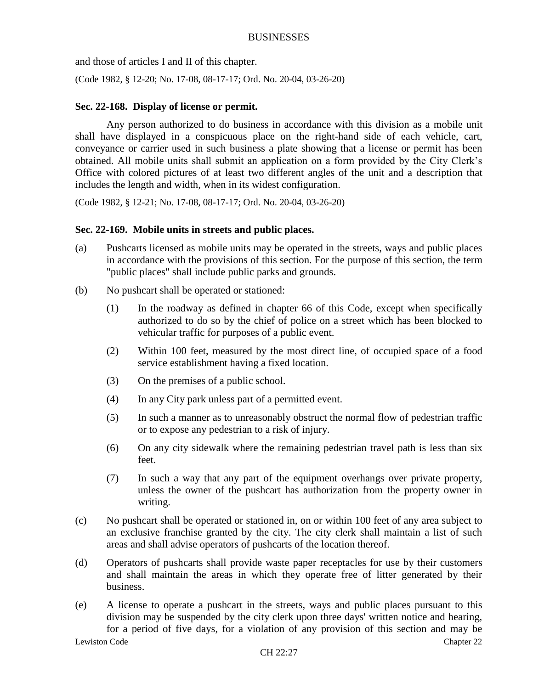and those of articles I and II of this chapter.

(Code 1982, § 12-20; No. 17-08, 08-17-17; Ord. No. 20-04, 03-26-20)

# **Sec. 22-168. Display of license or permit.**

Any person authorized to do business in accordance with this division as a mobile unit shall have displayed in a conspicuous place on the right-hand side of each vehicle, cart, conveyance or carrier used in such business a plate showing that a license or permit has been obtained. All mobile units shall submit an application on a form provided by the City Clerk's Office with colored pictures of at least two different angles of the unit and a description that includes the length and width, when in its widest configuration.

(Code 1982, § 12-21; No. 17-08, 08-17-17; Ord. No. 20-04, 03-26-20)

### **Sec. 22-169. Mobile units in streets and public places.**

- (a) Pushcarts licensed as mobile units may be operated in the streets, ways and public places in accordance with the provisions of this section. For the purpose of this section, the term "public places" shall include public parks and grounds.
- (b) No pushcart shall be operated or stationed:
	- (1) In the roadway as defined in chapter 66 of this Code, except when specifically authorized to do so by the chief of police on a street which has been blocked to vehicular traffic for purposes of a public event.
	- (2) Within 100 feet, measured by the most direct line, of occupied space of a food service establishment having a fixed location.
	- (3) On the premises of a public school.
	- (4) In any City park unless part of a permitted event.
	- (5) In such a manner as to unreasonably obstruct the normal flow of pedestrian traffic or to expose any pedestrian to a risk of injury.
	- (6) On any city sidewalk where the remaining pedestrian travel path is less than six feet.
	- (7) In such a way that any part of the equipment overhangs over private property, unless the owner of the pushcart has authorization from the property owner in writing.
- (c) No pushcart shall be operated or stationed in, on or within 100 feet of any area subject to an exclusive franchise granted by the city. The city clerk shall maintain a list of such areas and shall advise operators of pushcarts of the location thereof.
- (d) Operators of pushcarts shall provide waste paper receptacles for use by their customers and shall maintain the areas in which they operate free of litter generated by their business.
- Lewiston Code Chapter 22 (e) A license to operate a pushcart in the streets, ways and public places pursuant to this division may be suspended by the city clerk upon three days' written notice and hearing, for a period of five days, for a violation of any provision of this section and may be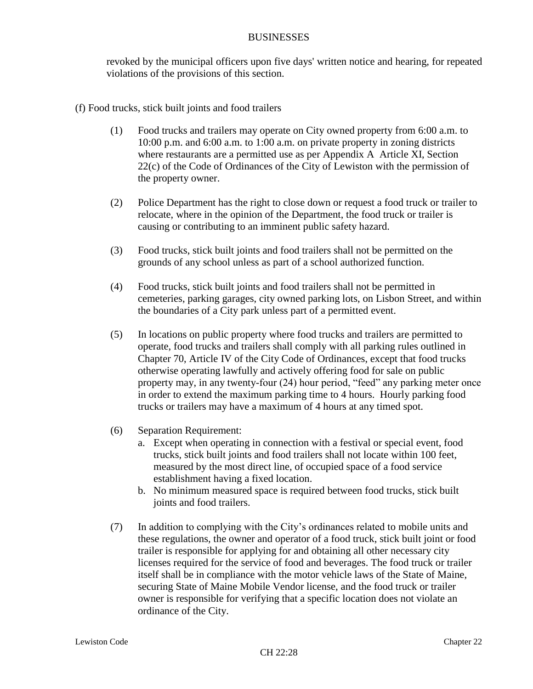revoked by the municipal officers upon five days' written notice and hearing, for repeated violations of the provisions of this section.

- (f) Food trucks, stick built joints and food trailers
	- (1) Food trucks and trailers may operate on City owned property from 6:00 a.m. to 10:00 p.m. and 6:00 a.m. to 1:00 a.m. on private property in zoning districts where restaurants are a permitted use as per Appendix A Article XI, Section 22(c) of the Code of Ordinances of the City of Lewiston with the permission of the property owner.
	- (2) Police Department has the right to close down or request a food truck or trailer to relocate, where in the opinion of the Department, the food truck or trailer is causing or contributing to an imminent public safety hazard.
	- (3) Food trucks, stick built joints and food trailers shall not be permitted on the grounds of any school unless as part of a school authorized function.
	- (4) Food trucks, stick built joints and food trailers shall not be permitted in cemeteries, parking garages, city owned parking lots, on Lisbon Street, and within the boundaries of a City park unless part of a permitted event.
	- (5) In locations on public property where food trucks and trailers are permitted to operate, food trucks and trailers shall comply with all parking rules outlined in Chapter 70, Article IV of the City Code of Ordinances, except that food trucks otherwise operating lawfully and actively offering food for sale on public property may, in any twenty-four (24) hour period, "feed" any parking meter once in order to extend the maximum parking time to 4 hours. Hourly parking food trucks or trailers may have a maximum of 4 hours at any timed spot.
	- (6) Separation Requirement:
		- a. Except when operating in connection with a festival or special event, food trucks, stick built joints and food trailers shall not locate within 100 feet, measured by the most direct line, of occupied space of a food service establishment having a fixed location.
		- b. No minimum measured space is required between food trucks, stick built joints and food trailers.
	- (7) In addition to complying with the City's ordinances related to mobile units and these regulations, the owner and operator of a food truck, stick built joint or food trailer is responsible for applying for and obtaining all other necessary city licenses required for the service of food and beverages. The food truck or trailer itself shall be in compliance with the motor vehicle laws of the State of Maine, securing State of Maine Mobile Vendor license, and the food truck or trailer owner is responsible for verifying that a specific location does not violate an ordinance of the City.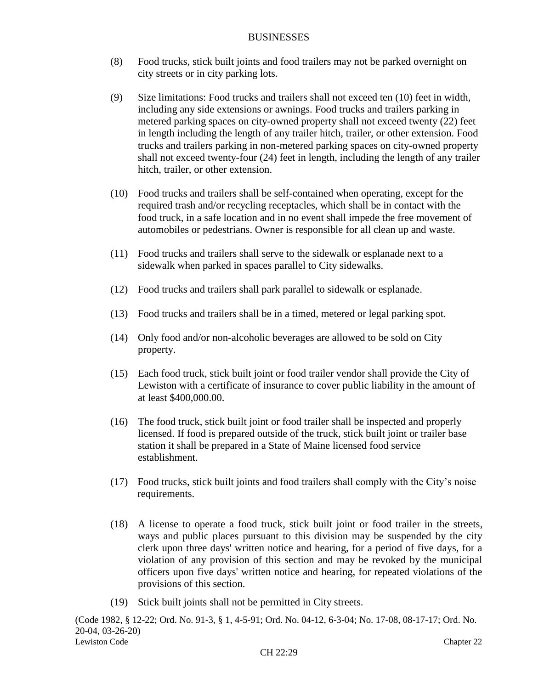- (8) Food trucks, stick built joints and food trailers may not be parked overnight on city streets or in city parking lots.
- (9) Size limitations: Food trucks and trailers shall not exceed ten (10) feet in width, including any side extensions or awnings. Food trucks and trailers parking in metered parking spaces on city-owned property shall not exceed twenty (22) feet in length including the length of any trailer hitch, trailer, or other extension. Food trucks and trailers parking in non-metered parking spaces on city-owned property shall not exceed twenty-four (24) feet in length, including the length of any trailer hitch, trailer, or other extension.
- (10) Food trucks and trailers shall be self-contained when operating, except for the required trash and/or recycling receptacles, which shall be in contact with the food truck, in a safe location and in no event shall impede the free movement of automobiles or pedestrians. Owner is responsible for all clean up and waste.
- (11) Food trucks and trailers shall serve to the sidewalk or esplanade next to a sidewalk when parked in spaces parallel to City sidewalks.
- (12) Food trucks and trailers shall park parallel to sidewalk or esplanade.
- (13) Food trucks and trailers shall be in a timed, metered or legal parking spot.
- (14) Only food and/or non-alcoholic beverages are allowed to be sold on City property.
- (15) Each food truck, stick built joint or food trailer vendor shall provide the City of Lewiston with a certificate of insurance to cover public liability in the amount of at least \$400,000.00.
- (16) The food truck, stick built joint or food trailer shall be inspected and properly licensed. If food is prepared outside of the truck, stick built joint or trailer base station it shall be prepared in a State of Maine licensed food service establishment.
- (17) Food trucks, stick built joints and food trailers shall comply with the City's noise requirements.
- (18) A license to operate a food truck, stick built joint or food trailer in the streets, ways and public places pursuant to this division may be suspended by the city clerk upon three days' written notice and hearing, for a period of five days, for a violation of any provision of this section and may be revoked by the municipal officers upon five days' written notice and hearing, for repeated violations of the provisions of this section.
- (19) Stick built joints shall not be permitted in City streets.

Lewiston Code Chapter 22 (Code 1982, § 12-22; Ord. No. 91-3, § 1, 4-5-91; Ord. No. 04-12, 6-3-04; No. 17-08, 08-17-17; Ord. No. 20-04, 03-26-20)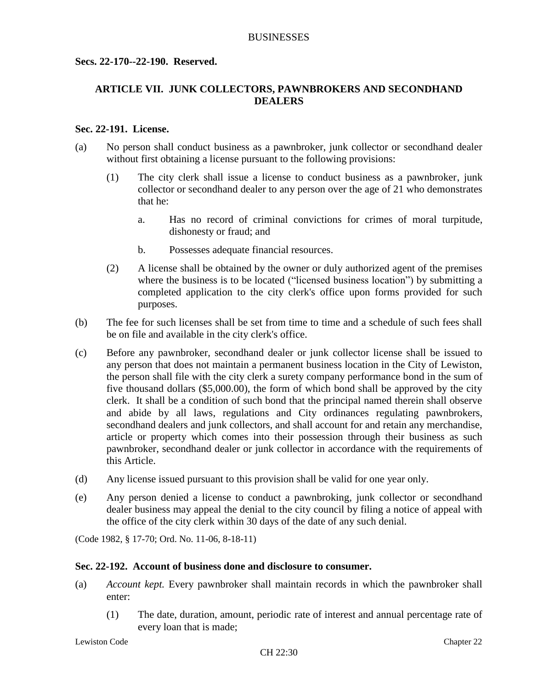### **Secs. 22-170--22-190. Reserved.**

# **ARTICLE VII. JUNK COLLECTORS, PAWNBROKERS AND SECONDHAND DEALERS**

### **Sec. 22-191. License.**

- (a) No person shall conduct business as a pawnbroker, junk collector or secondhand dealer without first obtaining a license pursuant to the following provisions:
	- (1) The city clerk shall issue a license to conduct business as a pawnbroker, junk collector or secondhand dealer to any person over the age of 21 who demonstrates that he:
		- a. Has no record of criminal convictions for crimes of moral turpitude, dishonesty or fraud; and
		- b. Possesses adequate financial resources.
	- (2) A license shall be obtained by the owner or duly authorized agent of the premises where the business is to be located ("licensed business location") by submitting a completed application to the city clerk's office upon forms provided for such purposes.
- (b) The fee for such licenses shall be set from time to time and a schedule of such fees shall be on file and available in the city clerk's office.
- (c) Before any pawnbroker, secondhand dealer or junk collector license shall be issued to any person that does not maintain a permanent business location in the City of Lewiston, the person shall file with the city clerk a surety company performance bond in the sum of five thousand dollars (\$5,000.00), the form of which bond shall be approved by the city clerk. It shall be a condition of such bond that the principal named therein shall observe and abide by all laws, regulations and City ordinances regulating pawnbrokers, secondhand dealers and junk collectors, and shall account for and retain any merchandise, article or property which comes into their possession through their business as such pawnbroker, secondhand dealer or junk collector in accordance with the requirements of this Article.
- (d) Any license issued pursuant to this provision shall be valid for one year only.
- (e) Any person denied a license to conduct a pawnbroking, junk collector or secondhand dealer business may appeal the denial to the city council by filing a notice of appeal with the office of the city clerk within 30 days of the date of any such denial.

(Code 1982, § 17-70; Ord. No. 11-06, 8-18-11)

### **Sec. 22-192. Account of business done and disclosure to consumer.**

- (a) *Account kept.* Every pawnbroker shall maintain records in which the pawnbroker shall enter:
	- (1) The date, duration, amount, periodic rate of interest and annual percentage rate of every loan that is made;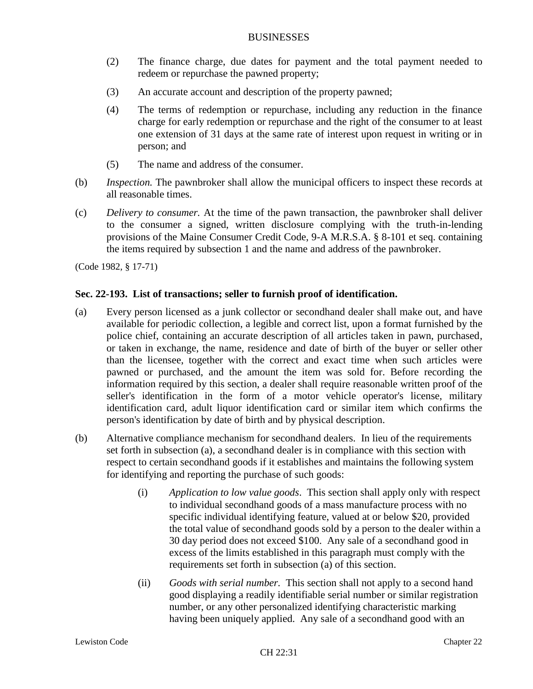- (2) The finance charge, due dates for payment and the total payment needed to redeem or repurchase the pawned property;
- (3) An accurate account and description of the property pawned;
- (4) The terms of redemption or repurchase, including any reduction in the finance charge for early redemption or repurchase and the right of the consumer to at least one extension of 31 days at the same rate of interest upon request in writing or in person; and
- (5) The name and address of the consumer.
- (b) *Inspection.* The pawnbroker shall allow the municipal officers to inspect these records at all reasonable times.
- (c) *Delivery to consumer.* At the time of the pawn transaction, the pawnbroker shall deliver to the consumer a signed, written disclosure complying with the truth-in-lending provisions of the Maine Consumer Credit Code, 9-A M.R.S.A. § 8-101 et seq. containing the items required by subsection 1 and the name and address of the pawnbroker.

(Code 1982, § 17-71)

# **Sec. 22-193. List of transactions; seller to furnish proof of identification.**

- (a) Every person licensed as a junk collector or secondhand dealer shall make out, and have available for periodic collection, a legible and correct list, upon a format furnished by the police chief, containing an accurate description of all articles taken in pawn, purchased, or taken in exchange, the name, residence and date of birth of the buyer or seller other than the licensee, together with the correct and exact time when such articles were pawned or purchased, and the amount the item was sold for. Before recording the information required by this section, a dealer shall require reasonable written proof of the seller's identification in the form of a motor vehicle operator's license, military identification card, adult liquor identification card or similar item which confirms the person's identification by date of birth and by physical description.
- (b) Alternative compliance mechanism for secondhand dealers. In lieu of the requirements set forth in subsection (a), a secondhand dealer is in compliance with this section with respect to certain secondhand goods if it establishes and maintains the following system for identifying and reporting the purchase of such goods:
	- (i) *Application to low value goods*. This section shall apply only with respect to individual secondhand goods of a mass manufacture process with no specific individual identifying feature, valued at or below \$20, provided the total value of secondhand goods sold by a person to the dealer within a 30 day period does not exceed \$100. Any sale of a secondhand good in excess of the limits established in this paragraph must comply with the requirements set forth in subsection (a) of this section.
	- (ii) *Goods with serial number.* This section shall not apply to a second hand good displaying a readily identifiable serial number or similar registration number, or any other personalized identifying characteristic marking having been uniquely applied. Any sale of a secondhand good with an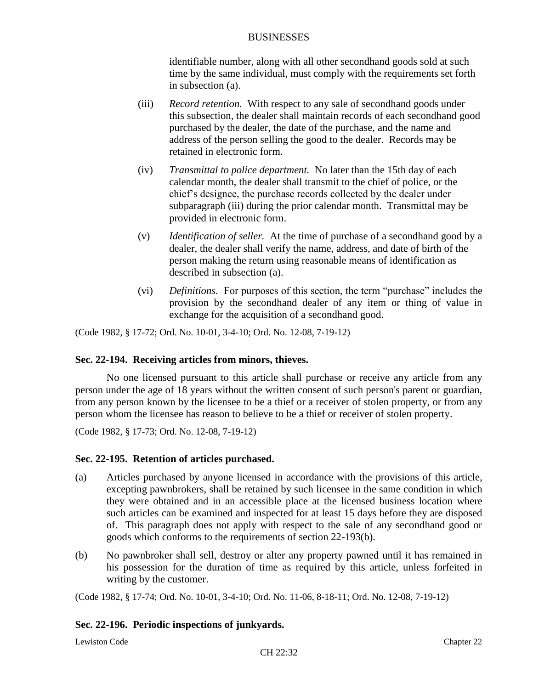identifiable number, along with all other secondhand goods sold at such time by the same individual, must comply with the requirements set forth in subsection (a).

- (iii) *Record retention.* With respect to any sale of secondhand goods under this subsection, the dealer shall maintain records of each secondhand good purchased by the dealer, the date of the purchase, and the name and address of the person selling the good to the dealer. Records may be retained in electronic form.
- (iv) *Transmittal to police department.* No later than the 15th day of each calendar month, the dealer shall transmit to the chief of police, or the chief's designee, the purchase records collected by the dealer under subparagraph (iii) during the prior calendar month. Transmittal may be provided in electronic form.
- (v) *Identification of seller.* At the time of purchase of a secondhand good by a dealer, the dealer shall verify the name, address, and date of birth of the person making the return using reasonable means of identification as described in subsection (a).
- (vi) *Definitions.* For purposes of this section, the term "purchase" includes the provision by the secondhand dealer of any item or thing of value in exchange for the acquisition of a secondhand good.

(Code 1982, § 17-72; Ord. No. 10-01, 3-4-10; Ord. No. 12-08, 7-19-12)

# **Sec. 22-194. Receiving articles from minors, thieves.**

No one licensed pursuant to this article shall purchase or receive any article from any person under the age of 18 years without the written consent of such person's parent or guardian, from any person known by the licensee to be a thief or a receiver of stolen property, or from any person whom the licensee has reason to believe to be a thief or receiver of stolen property.

(Code 1982, § 17-73; Ord. No. 12-08, 7-19-12)

#### **Sec. 22-195. Retention of articles purchased.**

- (a) Articles purchased by anyone licensed in accordance with the provisions of this article, excepting pawnbrokers, shall be retained by such licensee in the same condition in which they were obtained and in an accessible place at the licensed business location where such articles can be examined and inspected for at least 15 days before they are disposed of. This paragraph does not apply with respect to the sale of any secondhand good or goods which conforms to the requirements of section 22-193(b).
- (b) No pawnbroker shall sell, destroy or alter any property pawned until it has remained in his possession for the duration of time as required by this article, unless forfeited in writing by the customer.

(Code 1982, § 17-74; Ord. No. 10-01, 3-4-10; Ord. No. 11-06, 8-18-11; Ord. No. 12-08, 7-19-12)

# **Sec. 22-196. Periodic inspections of junkyards.**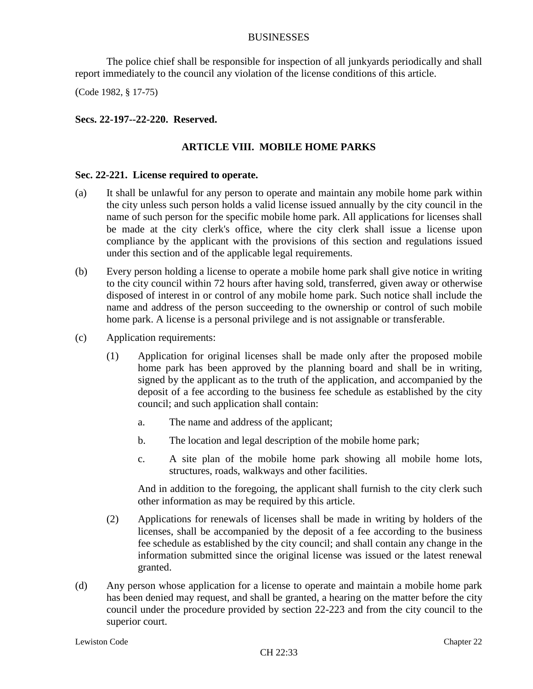The police chief shall be responsible for inspection of all junkyards periodically and shall report immediately to the council any violation of the license conditions of this article.

(Code 1982, § 17-75)

# **Secs. 22-197--22-220. Reserved.**

# **ARTICLE VIII. MOBILE HOME PARKS**

### **Sec. 22-221. License required to operate.**

- (a) It shall be unlawful for any person to operate and maintain any mobile home park within the city unless such person holds a valid license issued annually by the city council in the name of such person for the specific mobile home park. All applications for licenses shall be made at the city clerk's office, where the city clerk shall issue a license upon compliance by the applicant with the provisions of this section and regulations issued under this section and of the applicable legal requirements.
- (b) Every person holding a license to operate a mobile home park shall give notice in writing to the city council within 72 hours after having sold, transferred, given away or otherwise disposed of interest in or control of any mobile home park. Such notice shall include the name and address of the person succeeding to the ownership or control of such mobile home park. A license is a personal privilege and is not assignable or transferable.
- (c) Application requirements:
	- (1) Application for original licenses shall be made only after the proposed mobile home park has been approved by the planning board and shall be in writing, signed by the applicant as to the truth of the application, and accompanied by the deposit of a fee according to the business fee schedule as established by the city council; and such application shall contain:
		- a. The name and address of the applicant;
		- b. The location and legal description of the mobile home park;
		- c. A site plan of the mobile home park showing all mobile home lots, structures, roads, walkways and other facilities.

And in addition to the foregoing, the applicant shall furnish to the city clerk such other information as may be required by this article.

- (2) Applications for renewals of licenses shall be made in writing by holders of the licenses, shall be accompanied by the deposit of a fee according to the business fee schedule as established by the city council; and shall contain any change in the information submitted since the original license was issued or the latest renewal granted.
- (d) Any person whose application for a license to operate and maintain a mobile home park has been denied may request, and shall be granted, a hearing on the matter before the city council under the procedure provided by section 22-223 and from the city council to the superior court.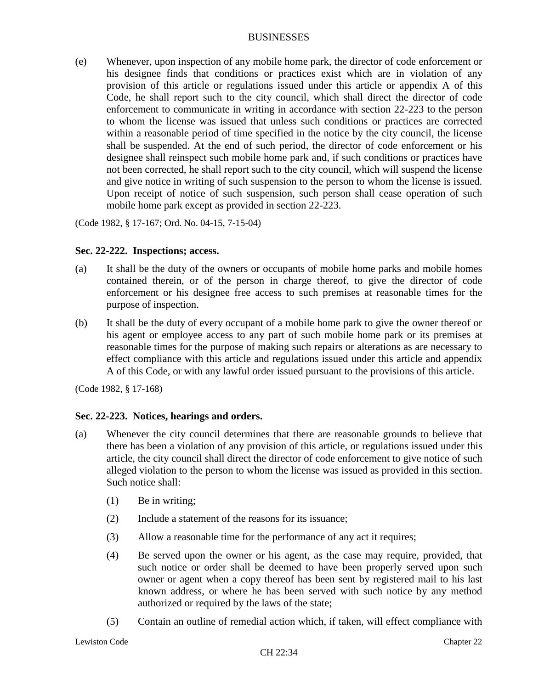(e) Whenever, upon inspection of any mobile home park, the director of code enforcement or his designee finds that conditions or practices exist which are in violation of any provision of this article or regulations issued under this article or appendix A of this Code, he shall report such to the city council, which shall direct the director of code enforcement to communicate in writing in accordance with section 22-223 to the person to whom the license was issued that unless such conditions or practices are corrected within a reasonable period of time specified in the notice by the city council, the license shall be suspended. At the end of such period, the director of code enforcement or his designee shall reinspect such mobile home park and, if such conditions or practices have not been corrected, he shall report such to the city council, which will suspend the license and give notice in writing of such suspension to the person to whom the license is issued. Upon receipt of notice of such suspension, such person shall cease operation of such mobile home park except as provided in section 22-223.

(Code 1982, § 17-167; Ord. No. 04-15, 7-15-04)

# **Sec. 22-222. Inspections; access.**

- (a) It shall be the duty of the owners or occupants of mobile home parks and mobile homes contained therein, or of the person in charge thereof, to give the director of code enforcement or his designee free access to such premises at reasonable times for the purpose of inspection.
- (b) It shall be the duty of every occupant of a mobile home park to give the owner thereof or his agent or employee access to any part of such mobile home park or its premises at reasonable times for the purpose of making such repairs or alterations as are necessary to effect compliance with this article and regulations issued under this article and appendix A of this Code, or with any lawful order issued pursuant to the provisions of this article.

(Code 1982, § 17-168)

# **Sec. 22-223. Notices, hearings and orders.**

- (a) Whenever the city council determines that there are reasonable grounds to believe that there has been a violation of any provision of this article, or regulations issued under this article, the city council shall direct the director of code enforcement to give notice of such alleged violation to the person to whom the license was issued as provided in this section. Such notice shall:
	- (1) Be in writing;
	- (2) Include a statement of the reasons for its issuance;
	- (3) Allow a reasonable time for the performance of any act it requires;
	- (4) Be served upon the owner or his agent, as the case may require, provided, that such notice or order shall be deemed to have been properly served upon such owner or agent when a copy thereof has been sent by registered mail to his last known address, or where he has been served with such notice by any method authorized or required by the laws of the state;
	- (5) Contain an outline of remedial action which, if taken, will effect compliance with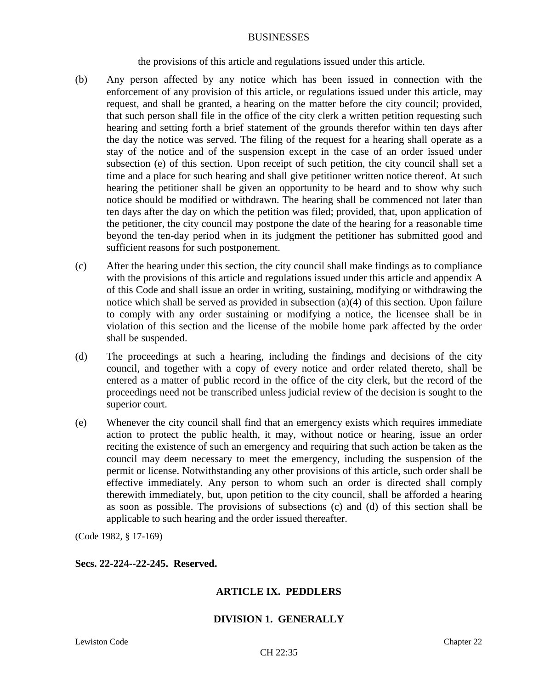the provisions of this article and regulations issued under this article.

- (b) Any person affected by any notice which has been issued in connection with the enforcement of any provision of this article, or regulations issued under this article, may request, and shall be granted, a hearing on the matter before the city council; provided, that such person shall file in the office of the city clerk a written petition requesting such hearing and setting forth a brief statement of the grounds therefor within ten days after the day the notice was served. The filing of the request for a hearing shall operate as a stay of the notice and of the suspension except in the case of an order issued under subsection (e) of this section. Upon receipt of such petition, the city council shall set a time and a place for such hearing and shall give petitioner written notice thereof. At such hearing the petitioner shall be given an opportunity to be heard and to show why such notice should be modified or withdrawn. The hearing shall be commenced not later than ten days after the day on which the petition was filed; provided, that, upon application of the petitioner, the city council may postpone the date of the hearing for a reasonable time beyond the ten-day period when in its judgment the petitioner has submitted good and sufficient reasons for such postponement.
- (c) After the hearing under this section, the city council shall make findings as to compliance with the provisions of this article and regulations issued under this article and appendix A of this Code and shall issue an order in writing, sustaining, modifying or withdrawing the notice which shall be served as provided in subsection (a)(4) of this section. Upon failure to comply with any order sustaining or modifying a notice, the licensee shall be in violation of this section and the license of the mobile home park affected by the order shall be suspended.
- (d) The proceedings at such a hearing, including the findings and decisions of the city council, and together with a copy of every notice and order related thereto, shall be entered as a matter of public record in the office of the city clerk, but the record of the proceedings need not be transcribed unless judicial review of the decision is sought to the superior court.
- (e) Whenever the city council shall find that an emergency exists which requires immediate action to protect the public health, it may, without notice or hearing, issue an order reciting the existence of such an emergency and requiring that such action be taken as the council may deem necessary to meet the emergency, including the suspension of the permit or license. Notwithstanding any other provisions of this article, such order shall be effective immediately. Any person to whom such an order is directed shall comply therewith immediately, but, upon petition to the city council, shall be afforded a hearing as soon as possible. The provisions of subsections (c) and (d) of this section shall be applicable to such hearing and the order issued thereafter.

(Code 1982, § 17-169)

# **Secs. 22-224--22-245. Reserved.**

# **ARTICLE IX. PEDDLERS**

# **DIVISION 1. GENERALLY**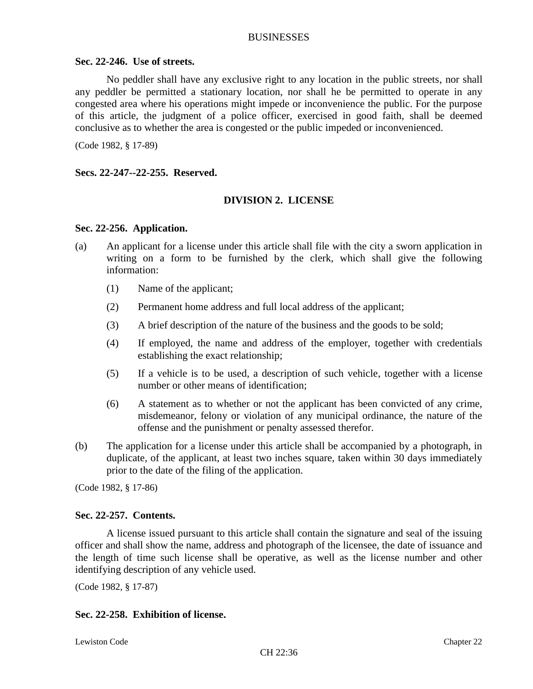### **Sec. 22-246. Use of streets.**

No peddler shall have any exclusive right to any location in the public streets, nor shall any peddler be permitted a stationary location, nor shall he be permitted to operate in any congested area where his operations might impede or inconvenience the public. For the purpose of this article, the judgment of a police officer, exercised in good faith, shall be deemed conclusive as to whether the area is congested or the public impeded or inconvenienced.

(Code 1982, § 17-89)

**Secs. 22-247--22-255. Reserved.**

# **DIVISION 2. LICENSE**

#### **Sec. 22-256. Application.**

- (a) An applicant for a license under this article shall file with the city a sworn application in writing on a form to be furnished by the clerk, which shall give the following information:
	- (1) Name of the applicant;
	- (2) Permanent home address and full local address of the applicant;
	- (3) A brief description of the nature of the business and the goods to be sold;
	- (4) If employed, the name and address of the employer, together with credentials establishing the exact relationship;
	- (5) If a vehicle is to be used, a description of such vehicle, together with a license number or other means of identification;
	- (6) A statement as to whether or not the applicant has been convicted of any crime, misdemeanor, felony or violation of any municipal ordinance, the nature of the offense and the punishment or penalty assessed therefor.
- (b) The application for a license under this article shall be accompanied by a photograph, in duplicate, of the applicant, at least two inches square, taken within 30 days immediately prior to the date of the filing of the application.

(Code 1982, § 17-86)

# **Sec. 22-257. Contents.**

A license issued pursuant to this article shall contain the signature and seal of the issuing officer and shall show the name, address and photograph of the licensee, the date of issuance and the length of time such license shall be operative, as well as the license number and other identifying description of any vehicle used.

(Code 1982, § 17-87)

# **Sec. 22-258. Exhibition of license.**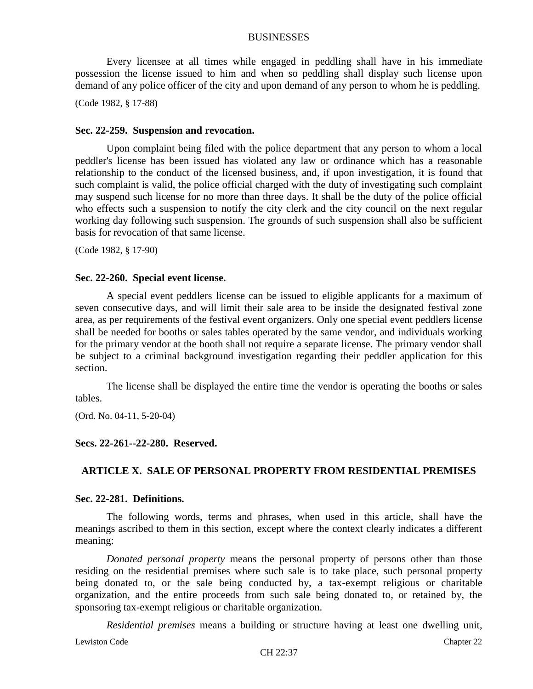Every licensee at all times while engaged in peddling shall have in his immediate possession the license issued to him and when so peddling shall display such license upon demand of any police officer of the city and upon demand of any person to whom he is peddling.

(Code 1982, § 17-88)

#### **Sec. 22-259. Suspension and revocation.**

Upon complaint being filed with the police department that any person to whom a local peddler's license has been issued has violated any law or ordinance which has a reasonable relationship to the conduct of the licensed business, and, if upon investigation, it is found that such complaint is valid, the police official charged with the duty of investigating such complaint may suspend such license for no more than three days. It shall be the duty of the police official who effects such a suspension to notify the city clerk and the city council on the next regular working day following such suspension. The grounds of such suspension shall also be sufficient basis for revocation of that same license.

(Code 1982, § 17-90)

#### **Sec. 22-260. Special event license.**

A special event peddlers license can be issued to eligible applicants for a maximum of seven consecutive days, and will limit their sale area to be inside the designated festival zone area, as per requirements of the festival event organizers. Only one special event peddlers license shall be needed for booths or sales tables operated by the same vendor, and individuals working for the primary vendor at the booth shall not require a separate license. The primary vendor shall be subject to a criminal background investigation regarding their peddler application for this section.

The license shall be displayed the entire time the vendor is operating the booths or sales tables.

(Ord. No. 04-11, 5-20-04)

#### **Secs. 22-261--22-280. Reserved.**

# **ARTICLE X. SALE OF PERSONAL PROPERTY FROM RESIDENTIAL PREMISES**

#### **Sec. 22-281. Definitions.**

The following words, terms and phrases, when used in this article, shall have the meanings ascribed to them in this section, except where the context clearly indicates a different meaning:

*Donated personal property* means the personal property of persons other than those residing on the residential premises where such sale is to take place, such personal property being donated to, or the sale being conducted by, a tax-exempt religious or charitable organization, and the entire proceeds from such sale being donated to, or retained by, the sponsoring tax-exempt religious or charitable organization.

*Residential premises* means a building or structure having at least one dwelling unit,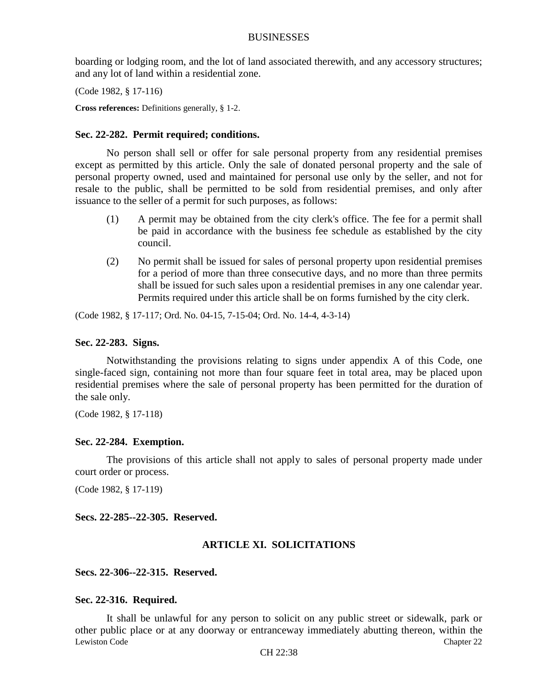boarding or lodging room, and the lot of land associated therewith, and any accessory structures; and any lot of land within a residential zone.

(Code 1982, § 17-116)

**Cross references:** Definitions generally, § 1-2.

### **Sec. 22-282. Permit required; conditions.**

No person shall sell or offer for sale personal property from any residential premises except as permitted by this article. Only the sale of donated personal property and the sale of personal property owned, used and maintained for personal use only by the seller, and not for resale to the public, shall be permitted to be sold from residential premises, and only after issuance to the seller of a permit for such purposes, as follows:

- (1) A permit may be obtained from the city clerk's office. The fee for a permit shall be paid in accordance with the business fee schedule as established by the city council.
- (2) No permit shall be issued for sales of personal property upon residential premises for a period of more than three consecutive days, and no more than three permits shall be issued for such sales upon a residential premises in any one calendar year. Permits required under this article shall be on forms furnished by the city clerk.

(Code 1982, § 17-117; Ord. No. 04-15, 7-15-04; Ord. No. 14-4, 4-3-14)

### **Sec. 22-283. Signs.**

Notwithstanding the provisions relating to signs under appendix A of this Code, one single-faced sign, containing not more than four square feet in total area, may be placed upon residential premises where the sale of personal property has been permitted for the duration of the sale only.

(Code 1982, § 17-118)

#### **Sec. 22-284. Exemption.**

The provisions of this article shall not apply to sales of personal property made under court order or process.

(Code 1982, § 17-119)

**Secs. 22-285--22-305. Reserved.**

# **ARTICLE XI. SOLICITATIONS**

#### **Secs. 22-306--22-315. Reserved.**

#### **Sec. 22-316. Required.**

Lewiston Code Chapter 22 It shall be unlawful for any person to solicit on any public street or sidewalk, park or other public place or at any doorway or entranceway immediately abutting thereon, within the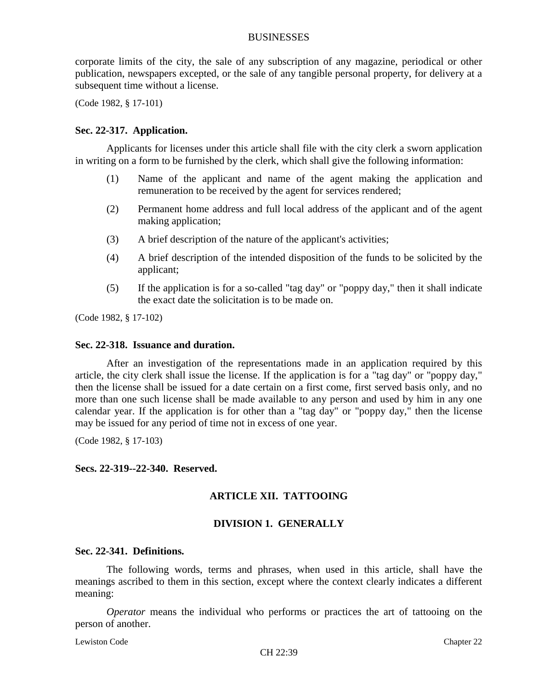corporate limits of the city, the sale of any subscription of any magazine, periodical or other publication, newspapers excepted, or the sale of any tangible personal property, for delivery at a subsequent time without a license.

(Code 1982, § 17-101)

### **Sec. 22-317. Application.**

Applicants for licenses under this article shall file with the city clerk a sworn application in writing on a form to be furnished by the clerk, which shall give the following information:

- (1) Name of the applicant and name of the agent making the application and remuneration to be received by the agent for services rendered;
- (2) Permanent home address and full local address of the applicant and of the agent making application;
- (3) A brief description of the nature of the applicant's activities;
- (4) A brief description of the intended disposition of the funds to be solicited by the applicant;
- (5) If the application is for a so-called "tag day" or "poppy day," then it shall indicate the exact date the solicitation is to be made on.

(Code 1982, § 17-102)

#### **Sec. 22-318. Issuance and duration.**

After an investigation of the representations made in an application required by this article, the city clerk shall issue the license. If the application is for a "tag day" or "poppy day," then the license shall be issued for a date certain on a first come, first served basis only, and no more than one such license shall be made available to any person and used by him in any one calendar year. If the application is for other than a "tag day" or "poppy day," then the license may be issued for any period of time not in excess of one year.

(Code 1982, § 17-103)

#### **Secs. 22-319--22-340. Reserved.**

# **ARTICLE XII. TATTOOING**

# **DIVISION 1. GENERALLY**

### **Sec. 22-341. Definitions.**

The following words, terms and phrases, when used in this article, shall have the meanings ascribed to them in this section, except where the context clearly indicates a different meaning:

*Operator* means the individual who performs or practices the art of tattooing on the person of another.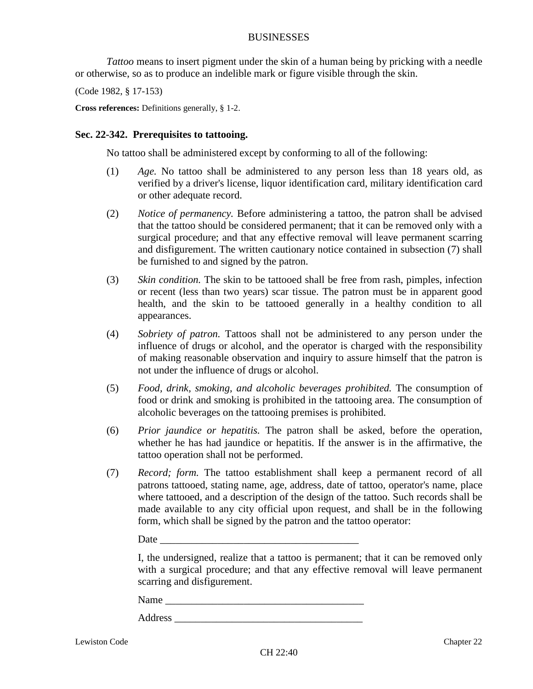*Tattoo* means to insert pigment under the skin of a human being by pricking with a needle or otherwise, so as to produce an indelible mark or figure visible through the skin.

(Code 1982, § 17-153)

**Cross references:** Definitions generally, § 1-2.

### **Sec. 22-342. Prerequisites to tattooing.**

No tattoo shall be administered except by conforming to all of the following:

- (1) *Age.* No tattoo shall be administered to any person less than 18 years old, as verified by a driver's license, liquor identification card, military identification card or other adequate record.
- (2) *Notice of permanency.* Before administering a tattoo, the patron shall be advised that the tattoo should be considered permanent; that it can be removed only with a surgical procedure; and that any effective removal will leave permanent scarring and disfigurement. The written cautionary notice contained in subsection (7) shall be furnished to and signed by the patron.
- (3) *Skin condition.* The skin to be tattooed shall be free from rash, pimples, infection or recent (less than two years) scar tissue. The patron must be in apparent good health, and the skin to be tattooed generally in a healthy condition to all appearances.
- (4) *Sobriety of patron.* Tattoos shall not be administered to any person under the influence of drugs or alcohol, and the operator is charged with the responsibility of making reasonable observation and inquiry to assure himself that the patron is not under the influence of drugs or alcohol.
- (5) *Food, drink, smoking, and alcoholic beverages prohibited.* The consumption of food or drink and smoking is prohibited in the tattooing area. The consumption of alcoholic beverages on the tattooing premises is prohibited.
- (6) *Prior jaundice or hepatitis.* The patron shall be asked, before the operation, whether he has had jaundice or hepatitis. If the answer is in the affirmative, the tattoo operation shall not be performed.
- (7) *Record; form.* The tattoo establishment shall keep a permanent record of all patrons tattooed, stating name, age, address, date of tattoo, operator's name, place where tattooed, and a description of the design of the tattoo. Such records shall be made available to any city official upon request, and shall be in the following form, which shall be signed by the patron and the tattoo operator:

#### Date

I, the undersigned, realize that a tattoo is permanent; that it can be removed only with a surgical procedure; and that any effective removal will leave permanent scarring and disfigurement.

Name \_\_\_\_\_\_\_\_\_\_\_\_\_\_\_\_\_\_\_\_\_\_\_\_\_\_\_\_\_\_\_\_\_\_\_\_\_\_

Address  $\overline{A}$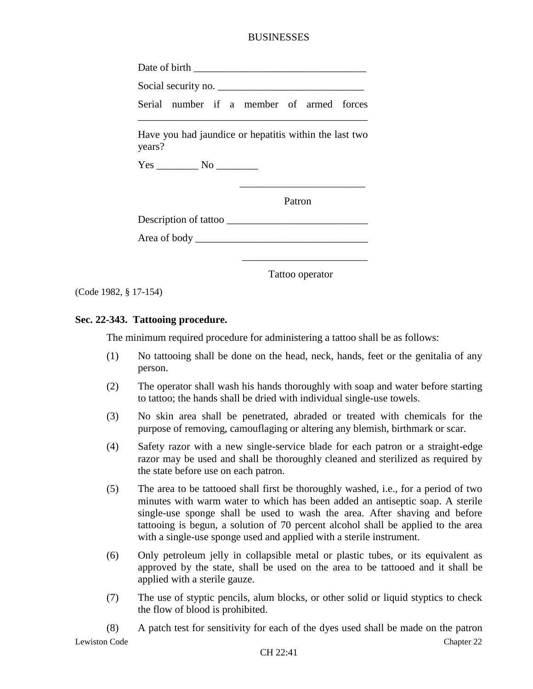Date of birth  $\blacksquare$ 

Social security no. \_\_\_\_\_\_\_\_\_\_\_\_\_\_\_\_\_\_\_\_\_\_\_\_\_\_\_\_

Serial number if a member of armed forces \_\_\_\_\_\_\_\_\_\_\_\_\_\_\_\_\_\_\_\_\_\_\_\_\_\_\_\_\_\_\_\_\_\_\_\_\_\_\_\_\_\_\_\_

Have you had jaundice or hepatitis within the last two years?

Yes \_\_\_\_\_\_\_\_ No \_\_\_\_\_\_\_\_

Patron

Description of tattoo \_\_\_\_\_\_\_\_\_\_\_\_\_\_\_\_\_\_\_\_\_\_\_\_\_\_\_

 $\frac{1}{2}$  , and the contract of the contract of the contract of the contract of the contract of the contract of the contract of the contract of the contract of the contract of the contract of the contract of the contract

 $\frac{1}{2}$  , and the contract of the contract of the contract of the contract of the contract of the contract of the contract of the contract of the contract of the contract of the contract of the contract of the contract

Area of body \_\_\_\_\_\_\_\_\_\_\_\_\_\_\_\_\_\_\_\_\_\_\_\_\_\_\_\_\_\_\_\_\_

Tattoo operator

(Code 1982, § 17-154)

# **Sec. 22-343. Tattooing procedure.**

The minimum required procedure for administering a tattoo shall be as follows:

- (1) No tattooing shall be done on the head, neck, hands, feet or the genitalia of any person.
- (2) The operator shall wash his hands thoroughly with soap and water before starting to tattoo; the hands shall be dried with individual single-use towels.
- (3) No skin area shall be penetrated, abraded or treated with chemicals for the purpose of removing, camouflaging or altering any blemish, birthmark or scar.
- (4) Safety razor with a new single-service blade for each patron or a straight-edge razor may be used and shall be thoroughly cleaned and sterilized as required by the state before use on each patron.
- (5) The area to be tattooed shall first be thoroughly washed, i.e., for a period of two minutes with warm water to which has been added an antiseptic soap. A sterile single-use sponge shall be used to wash the area. After shaving and before tattooing is begun, a solution of 70 percent alcohol shall be applied to the area with a single-use sponge used and applied with a sterile instrument.
- (6) Only petroleum jelly in collapsible metal or plastic tubes, or its equivalent as approved by the state, shall be used on the area to be tattooed and it shall be applied with a sterile gauze.
- (7) The use of styptic pencils, alum blocks, or other solid or liquid styptics to check the flow of blood is prohibited.
- Lewiston Code Chapter 22 (8) A patch test for sensitivity for each of the dyes used shall be made on the patron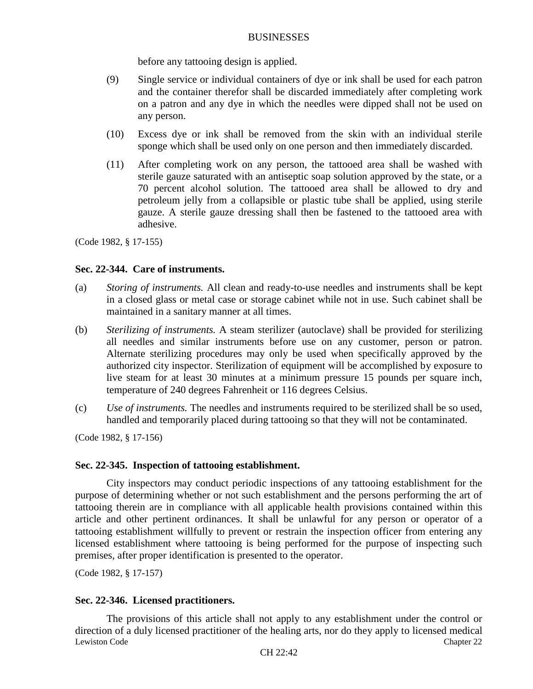before any tattooing design is applied.

- (9) Single service or individual containers of dye or ink shall be used for each patron and the container therefor shall be discarded immediately after completing work on a patron and any dye in which the needles were dipped shall not be used on any person.
- (10) Excess dye or ink shall be removed from the skin with an individual sterile sponge which shall be used only on one person and then immediately discarded.
- (11) After completing work on any person, the tattooed area shall be washed with sterile gauze saturated with an antiseptic soap solution approved by the state, or a 70 percent alcohol solution. The tattooed area shall be allowed to dry and petroleum jelly from a collapsible or plastic tube shall be applied, using sterile gauze. A sterile gauze dressing shall then be fastened to the tattooed area with adhesive.

(Code 1982, § 17-155)

#### **Sec. 22-344. Care of instruments.**

- (a) *Storing of instruments.* All clean and ready-to-use needles and instruments shall be kept in a closed glass or metal case or storage cabinet while not in use. Such cabinet shall be maintained in a sanitary manner at all times.
- (b) *Sterilizing of instruments.* A steam sterilizer (autoclave) shall be provided for sterilizing all needles and similar instruments before use on any customer, person or patron. Alternate sterilizing procedures may only be used when specifically approved by the authorized city inspector. Sterilization of equipment will be accomplished by exposure to live steam for at least 30 minutes at a minimum pressure 15 pounds per square inch, temperature of 240 degrees Fahrenheit or 116 degrees Celsius.
- (c) *Use of instruments.* The needles and instruments required to be sterilized shall be so used, handled and temporarily placed during tattooing so that they will not be contaminated.

(Code 1982, § 17-156)

#### **Sec. 22-345. Inspection of tattooing establishment.**

City inspectors may conduct periodic inspections of any tattooing establishment for the purpose of determining whether or not such establishment and the persons performing the art of tattooing therein are in compliance with all applicable health provisions contained within this article and other pertinent ordinances. It shall be unlawful for any person or operator of a tattooing establishment willfully to prevent or restrain the inspection officer from entering any licensed establishment where tattooing is being performed for the purpose of inspecting such premises, after proper identification is presented to the operator.

(Code 1982, § 17-157)

#### **Sec. 22-346. Licensed practitioners.**

Lewiston Code Chapter 22 The provisions of this article shall not apply to any establishment under the control or direction of a duly licensed practitioner of the healing arts, nor do they apply to licensed medical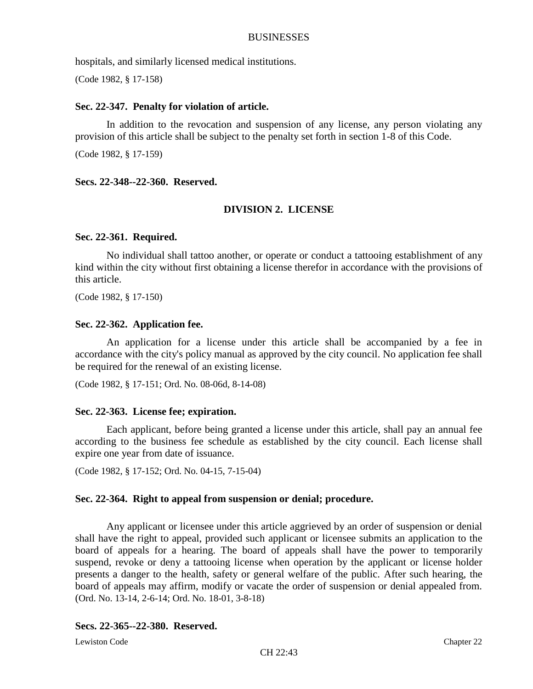hospitals, and similarly licensed medical institutions.

(Code 1982, § 17-158)

# **Sec. 22-347. Penalty for violation of article.**

In addition to the revocation and suspension of any license, any person violating any provision of this article shall be subject to the penalty set forth in section 1-8 of this Code.

(Code 1982, § 17-159)

# **Secs. 22-348--22-360. Reserved.**

# **DIVISION 2. LICENSE**

# **Sec. 22-361. Required.**

No individual shall tattoo another, or operate or conduct a tattooing establishment of any kind within the city without first obtaining a license therefor in accordance with the provisions of this article.

(Code 1982, § 17-150)

### **Sec. 22-362. Application fee.**

An application for a license under this article shall be accompanied by a fee in accordance with the city's policy manual as approved by the city council. No application fee shall be required for the renewal of an existing license.

(Code 1982, § 17-151; Ord. No. 08-06d, 8-14-08)

# **Sec. 22-363. License fee; expiration.**

Each applicant, before being granted a license under this article, shall pay an annual fee according to the business fee schedule as established by the city council. Each license shall expire one year from date of issuance.

(Code 1982, § 17-152; Ord. No. 04-15, 7-15-04)

# **Sec. 22-364. Right to appeal from suspension or denial; procedure.**

Any applicant or licensee under this article aggrieved by an order of suspension or denial shall have the right to appeal, provided such applicant or licensee submits an application to the board of appeals for a hearing. The board of appeals shall have the power to temporarily suspend, revoke or deny a tattooing license when operation by the applicant or license holder presents a danger to the health, safety or general welfare of the public. After such hearing, the board of appeals may affirm, modify or vacate the order of suspension or denial appealed from. (Ord. No. 13-14, 2-6-14; Ord. No. 18-01, 3-8-18)

# **Secs. 22-365--22-380. Reserved.**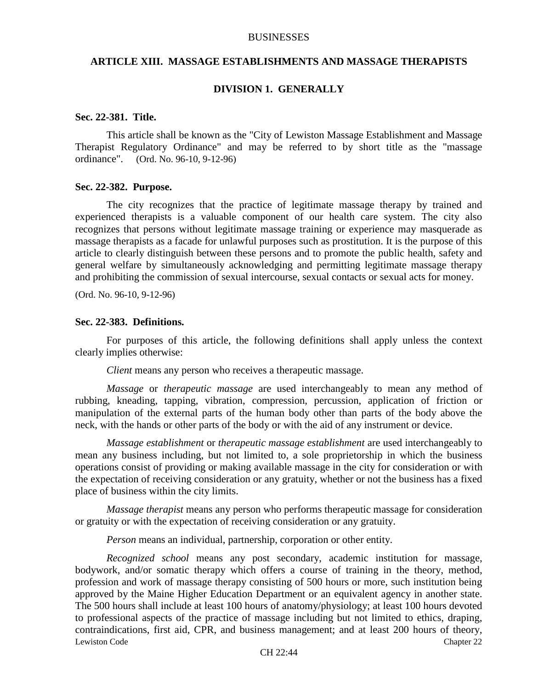#### **ARTICLE XIII. MASSAGE ESTABLISHMENTS AND MASSAGE THERAPISTS**

### **DIVISION 1. GENERALLY**

#### **Sec. 22-381. Title.**

This article shall be known as the "City of Lewiston Massage Establishment and Massage Therapist Regulatory Ordinance" and may be referred to by short title as the "massage ordinance". (Ord. No. 96-10, 9-12-96)

#### **Sec. 22-382. Purpose.**

The city recognizes that the practice of legitimate massage therapy by trained and experienced therapists is a valuable component of our health care system. The city also recognizes that persons without legitimate massage training or experience may masquerade as massage therapists as a facade for unlawful purposes such as prostitution. It is the purpose of this article to clearly distinguish between these persons and to promote the public health, safety and general welfare by simultaneously acknowledging and permitting legitimate massage therapy and prohibiting the commission of sexual intercourse, sexual contacts or sexual acts for money.

(Ord. No. 96-10, 9-12-96)

#### **Sec. 22-383. Definitions.**

For purposes of this article, the following definitions shall apply unless the context clearly implies otherwise:

*Client* means any person who receives a therapeutic massage.

*Massage* or *therapeutic massage* are used interchangeably to mean any method of rubbing, kneading, tapping, vibration, compression, percussion, application of friction or manipulation of the external parts of the human body other than parts of the body above the neck, with the hands or other parts of the body or with the aid of any instrument or device.

*Massage establishment* or *therapeutic massage establishment* are used interchangeably to mean any business including, but not limited to, a sole proprietorship in which the business operations consist of providing or making available massage in the city for consideration or with the expectation of receiving consideration or any gratuity, whether or not the business has a fixed place of business within the city limits.

*Massage therapist* means any person who performs therapeutic massage for consideration or gratuity or with the expectation of receiving consideration or any gratuity.

*Person* means an individual, partnership, corporation or other entity.

Lewiston Code Chapter 22 *Recognized school* means any post secondary, academic institution for massage, bodywork, and/or somatic therapy which offers a course of training in the theory, method, profession and work of massage therapy consisting of 500 hours or more, such institution being approved by the Maine Higher Education Department or an equivalent agency in another state. The 500 hours shall include at least 100 hours of anatomy/physiology; at least 100 hours devoted to professional aspects of the practice of massage including but not limited to ethics, draping, contraindications, first aid, CPR, and business management; and at least 200 hours of theory,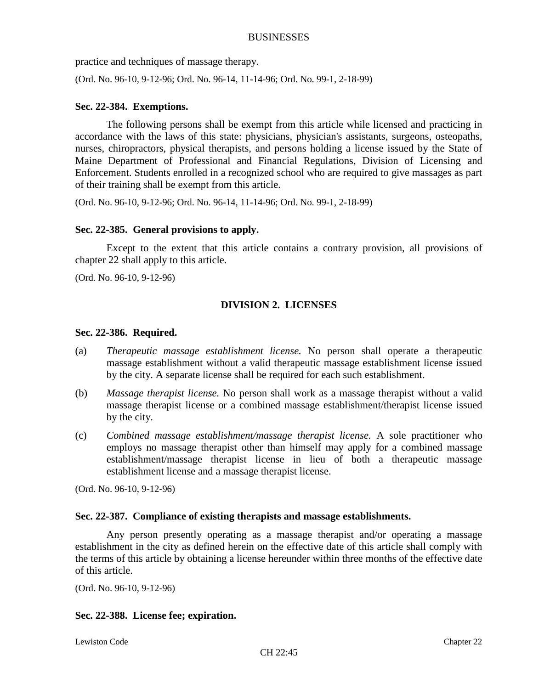practice and techniques of massage therapy.

(Ord. No. 96-10, 9-12-96; Ord. No. 96-14, 11-14-96; Ord. No. 99-1, 2-18-99)

# **Sec. 22-384. Exemptions.**

The following persons shall be exempt from this article while licensed and practicing in accordance with the laws of this state: physicians, physician's assistants, surgeons, osteopaths, nurses, chiropractors, physical therapists, and persons holding a license issued by the State of Maine Department of Professional and Financial Regulations, Division of Licensing and Enforcement. Students enrolled in a recognized school who are required to give massages as part of their training shall be exempt from this article.

(Ord. No. 96-10, 9-12-96; Ord. No. 96-14, 11-14-96; Ord. No. 99-1, 2-18-99)

### **Sec. 22-385. General provisions to apply.**

Except to the extent that this article contains a contrary provision, all provisions of chapter 22 shall apply to this article.

(Ord. No. 96-10, 9-12-96)

# **DIVISION 2. LICENSES**

#### **Sec. 22-386. Required.**

- (a) *Therapeutic massage establishment license.* No person shall operate a therapeutic massage establishment without a valid therapeutic massage establishment license issued by the city. A separate license shall be required for each such establishment.
- (b) *Massage therapist license.* No person shall work as a massage therapist without a valid massage therapist license or a combined massage establishment/therapist license issued by the city.
- (c) *Combined massage establishment/massage therapist license.* A sole practitioner who employs no massage therapist other than himself may apply for a combined massage establishment/massage therapist license in lieu of both a therapeutic massage establishment license and a massage therapist license.

(Ord. No. 96-10, 9-12-96)

# **Sec. 22-387. Compliance of existing therapists and massage establishments.**

Any person presently operating as a massage therapist and/or operating a massage establishment in the city as defined herein on the effective date of this article shall comply with the terms of this article by obtaining a license hereunder within three months of the effective date of this article.

(Ord. No. 96-10, 9-12-96)

# **Sec. 22-388. License fee; expiration.**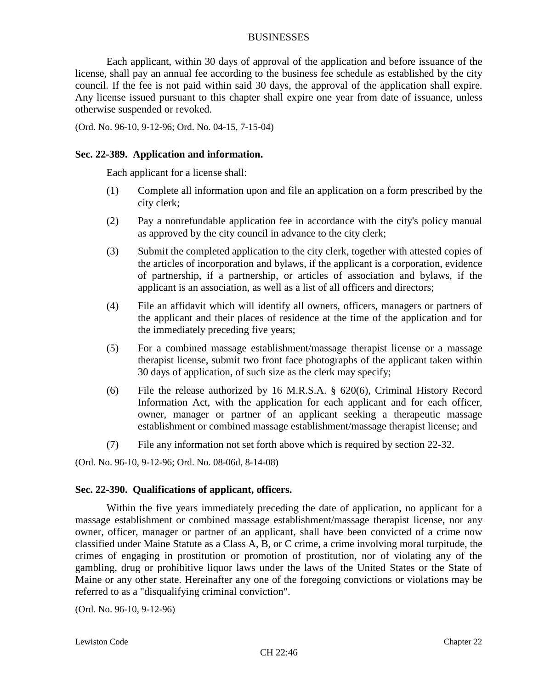Each applicant, within 30 days of approval of the application and before issuance of the license, shall pay an annual fee according to the business fee schedule as established by the city council. If the fee is not paid within said 30 days, the approval of the application shall expire. Any license issued pursuant to this chapter shall expire one year from date of issuance, unless otherwise suspended or revoked.

(Ord. No. 96-10, 9-12-96; Ord. No. 04-15, 7-15-04)

### **Sec. 22-389. Application and information.**

Each applicant for a license shall:

- (1) Complete all information upon and file an application on a form prescribed by the city clerk;
- (2) Pay a nonrefundable application fee in accordance with the city's policy manual as approved by the city council in advance to the city clerk;
- (3) Submit the completed application to the city clerk, together with attested copies of the articles of incorporation and bylaws, if the applicant is a corporation, evidence of partnership, if a partnership, or articles of association and bylaws, if the applicant is an association, as well as a list of all officers and directors;
- (4) File an affidavit which will identify all owners, officers, managers or partners of the applicant and their places of residence at the time of the application and for the immediately preceding five years;
- (5) For a combined massage establishment/massage therapist license or a massage therapist license, submit two front face photographs of the applicant taken within 30 days of application, of such size as the clerk may specify;
- (6) File the release authorized by 16 M.R.S.A. § 620(6), Criminal History Record Information Act, with the application for each applicant and for each officer, owner, manager or partner of an applicant seeking a therapeutic massage establishment or combined massage establishment/massage therapist license; and
- (7) File any information not set forth above which is required by section 22-32.

(Ord. No. 96-10, 9-12-96; Ord. No. 08-06d, 8-14-08)

# **Sec. 22-390. Qualifications of applicant, officers.**

Within the five years immediately preceding the date of application, no applicant for a massage establishment or combined massage establishment/massage therapist license, nor any owner, officer, manager or partner of an applicant, shall have been convicted of a crime now classified under Maine Statute as a Class A, B, or C crime, a crime involving moral turpitude, the crimes of engaging in prostitution or promotion of prostitution, nor of violating any of the gambling, drug or prohibitive liquor laws under the laws of the United States or the State of Maine or any other state. Hereinafter any one of the foregoing convictions or violations may be referred to as a "disqualifying criminal conviction".

(Ord. No. 96-10, 9-12-96)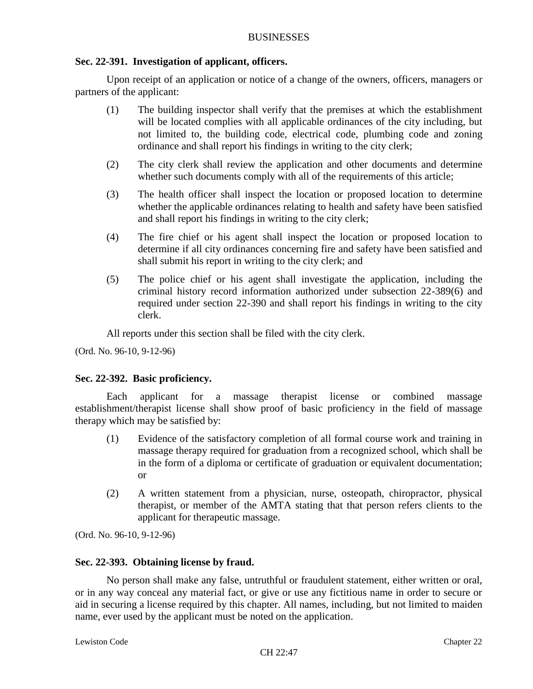# **Sec. 22-391. Investigation of applicant, officers.**

Upon receipt of an application or notice of a change of the owners, officers, managers or partners of the applicant:

- (1) The building inspector shall verify that the premises at which the establishment will be located complies with all applicable ordinances of the city including, but not limited to, the building code, electrical code, plumbing code and zoning ordinance and shall report his findings in writing to the city clerk;
- (2) The city clerk shall review the application and other documents and determine whether such documents comply with all of the requirements of this article;
- (3) The health officer shall inspect the location or proposed location to determine whether the applicable ordinances relating to health and safety have been satisfied and shall report his findings in writing to the city clerk;
- (4) The fire chief or his agent shall inspect the location or proposed location to determine if all city ordinances concerning fire and safety have been satisfied and shall submit his report in writing to the city clerk; and
- (5) The police chief or his agent shall investigate the application, including the criminal history record information authorized under subsection 22-389(6) and required under section 22-390 and shall report his findings in writing to the city clerk.

All reports under this section shall be filed with the city clerk.

(Ord. No. 96-10, 9-12-96)

# **Sec. 22-392. Basic proficiency.**

Each applicant for a massage therapist license or combined massage establishment/therapist license shall show proof of basic proficiency in the field of massage therapy which may be satisfied by:

- (1) Evidence of the satisfactory completion of all formal course work and training in massage therapy required for graduation from a recognized school, which shall be in the form of a diploma or certificate of graduation or equivalent documentation; or
- (2) A written statement from a physician, nurse, osteopath, chiropractor, physical therapist, or member of the AMTA stating that that person refers clients to the applicant for therapeutic massage.

(Ord. No. 96-10, 9-12-96)

# **Sec. 22-393. Obtaining license by fraud.**

No person shall make any false, untruthful or fraudulent statement, either written or oral, or in any way conceal any material fact, or give or use any fictitious name in order to secure or aid in securing a license required by this chapter. All names, including, but not limited to maiden name, ever used by the applicant must be noted on the application.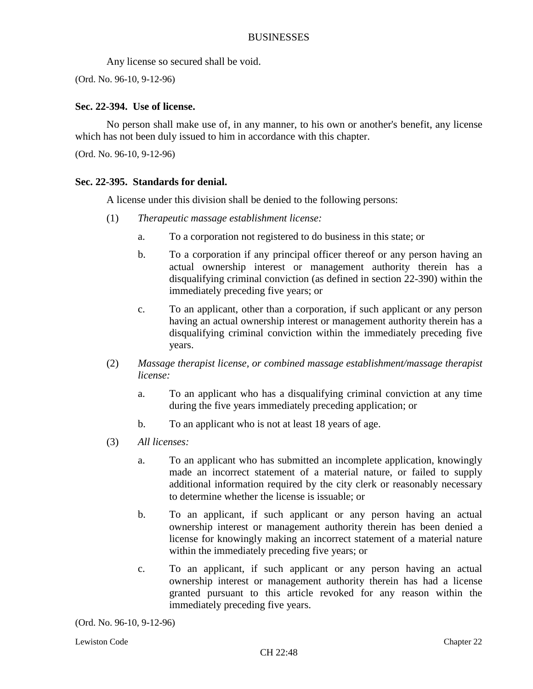Any license so secured shall be void.

(Ord. No. 96-10, 9-12-96)

### **Sec. 22-394. Use of license.**

No person shall make use of, in any manner, to his own or another's benefit, any license which has not been duly issued to him in accordance with this chapter.

(Ord. No. 96-10, 9-12-96)

### **Sec. 22-395. Standards for denial.**

A license under this division shall be denied to the following persons:

- (1) *Therapeutic massage establishment license:*
	- a. To a corporation not registered to do business in this state; or
	- b. To a corporation if any principal officer thereof or any person having an actual ownership interest or management authority therein has a disqualifying criminal conviction (as defined in section 22-390) within the immediately preceding five years; or
	- c. To an applicant, other than a corporation, if such applicant or any person having an actual ownership interest or management authority therein has a disqualifying criminal conviction within the immediately preceding five years.
- (2) *Massage therapist license, or combined massage establishment/massage therapist license:*
	- a. To an applicant who has a disqualifying criminal conviction at any time during the five years immediately preceding application; or
	- b. To an applicant who is not at least 18 years of age.
- (3) *All licenses:*
	- a. To an applicant who has submitted an incomplete application, knowingly made an incorrect statement of a material nature, or failed to supply additional information required by the city clerk or reasonably necessary to determine whether the license is issuable; or
	- b. To an applicant, if such applicant or any person having an actual ownership interest or management authority therein has been denied a license for knowingly making an incorrect statement of a material nature within the immediately preceding five years; or
	- c. To an applicant, if such applicant or any person having an actual ownership interest or management authority therein has had a license granted pursuant to this article revoked for any reason within the immediately preceding five years.

(Ord. No. 96-10, 9-12-96)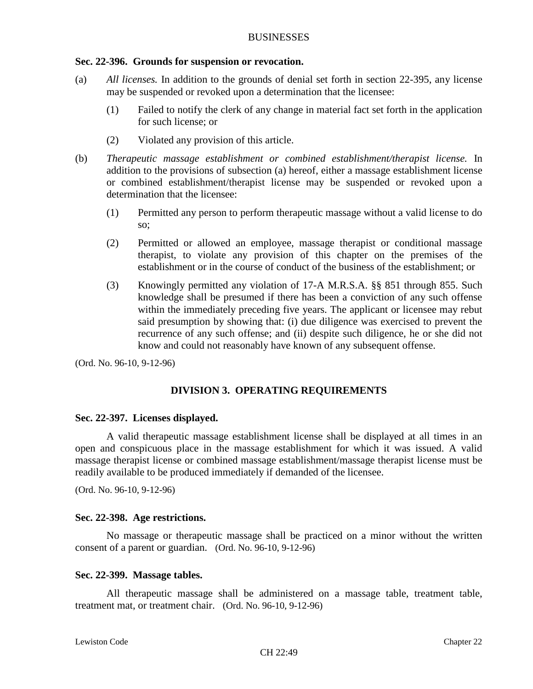#### **Sec. 22-396. Grounds for suspension or revocation.**

- (a) *All licenses.* In addition to the grounds of denial set forth in section 22-395, any license may be suspended or revoked upon a determination that the licensee:
	- (1) Failed to notify the clerk of any change in material fact set forth in the application for such license; or
	- (2) Violated any provision of this article.
- (b) *Therapeutic massage establishment or combined establishment/therapist license.* In addition to the provisions of subsection (a) hereof, either a massage establishment license or combined establishment/therapist license may be suspended or revoked upon a determination that the licensee:
	- (1) Permitted any person to perform therapeutic massage without a valid license to do so;
	- (2) Permitted or allowed an employee, massage therapist or conditional massage therapist, to violate any provision of this chapter on the premises of the establishment or in the course of conduct of the business of the establishment; or
	- (3) Knowingly permitted any violation of 17-A M.R.S.A. §§ 851 through 855. Such knowledge shall be presumed if there has been a conviction of any such offense within the immediately preceding five years. The applicant or licensee may rebut said presumption by showing that: (i) due diligence was exercised to prevent the recurrence of any such offense; and (ii) despite such diligence, he or she did not know and could not reasonably have known of any subsequent offense.

(Ord. No. 96-10, 9-12-96)

# **DIVISION 3. OPERATING REQUIREMENTS**

#### **Sec. 22-397. Licenses displayed.**

A valid therapeutic massage establishment license shall be displayed at all times in an open and conspicuous place in the massage establishment for which it was issued. A valid massage therapist license or combined massage establishment/massage therapist license must be readily available to be produced immediately if demanded of the licensee.

(Ord. No. 96-10, 9-12-96)

#### **Sec. 22-398. Age restrictions.**

No massage or therapeutic massage shall be practiced on a minor without the written consent of a parent or guardian. (Ord. No. 96-10, 9-12-96)

#### **Sec. 22-399. Massage tables.**

All therapeutic massage shall be administered on a massage table, treatment table, treatment mat, or treatment chair. (Ord. No. 96-10, 9-12-96)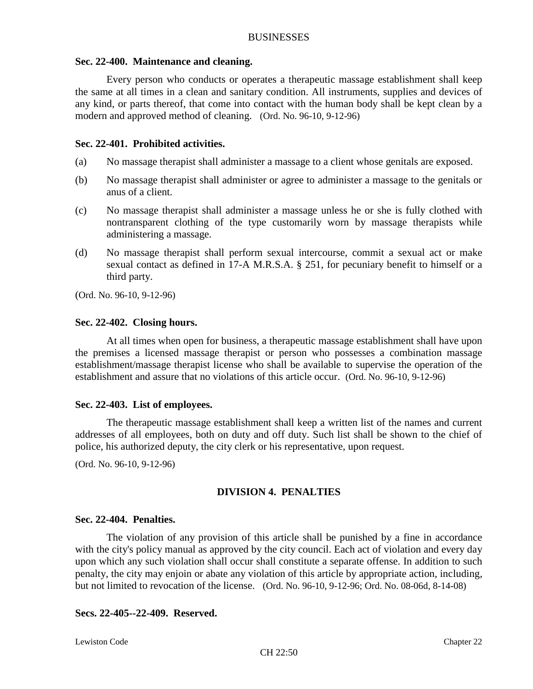#### **Sec. 22-400. Maintenance and cleaning.**

Every person who conducts or operates a therapeutic massage establishment shall keep the same at all times in a clean and sanitary condition. All instruments, supplies and devices of any kind, or parts thereof, that come into contact with the human body shall be kept clean by a modern and approved method of cleaning. (Ord. No. 96-10, 9-12-96)

### **Sec. 22-401. Prohibited activities.**

- (a) No massage therapist shall administer a massage to a client whose genitals are exposed.
- (b) No massage therapist shall administer or agree to administer a massage to the genitals or anus of a client.
- (c) No massage therapist shall administer a massage unless he or she is fully clothed with nontransparent clothing of the type customarily worn by massage therapists while administering a massage.
- (d) No massage therapist shall perform sexual intercourse, commit a sexual act or make sexual contact as defined in 17-A M.R.S.A. § 251, for pecuniary benefit to himself or a third party.

(Ord. No. 96-10, 9-12-96)

### **Sec. 22-402. Closing hours.**

At all times when open for business, a therapeutic massage establishment shall have upon the premises a licensed massage therapist or person who possesses a combination massage establishment/massage therapist license who shall be available to supervise the operation of the establishment and assure that no violations of this article occur. (Ord. No. 96-10, 9-12-96)

#### **Sec. 22-403. List of employees.**

The therapeutic massage establishment shall keep a written list of the names and current addresses of all employees, both on duty and off duty. Such list shall be shown to the chief of police, his authorized deputy, the city clerk or his representative, upon request.

(Ord. No. 96-10, 9-12-96)

# **DIVISION 4. PENALTIES**

#### **Sec. 22-404. Penalties.**

The violation of any provision of this article shall be punished by a fine in accordance with the city's policy manual as approved by the city council. Each act of violation and every day upon which any such violation shall occur shall constitute a separate offense. In addition to such penalty, the city may enjoin or abate any violation of this article by appropriate action, including, but not limited to revocation of the license. (Ord. No. 96-10, 9-12-96; Ord. No. 08-06d, 8-14-08)

### **Secs. 22-405--22-409. Reserved.**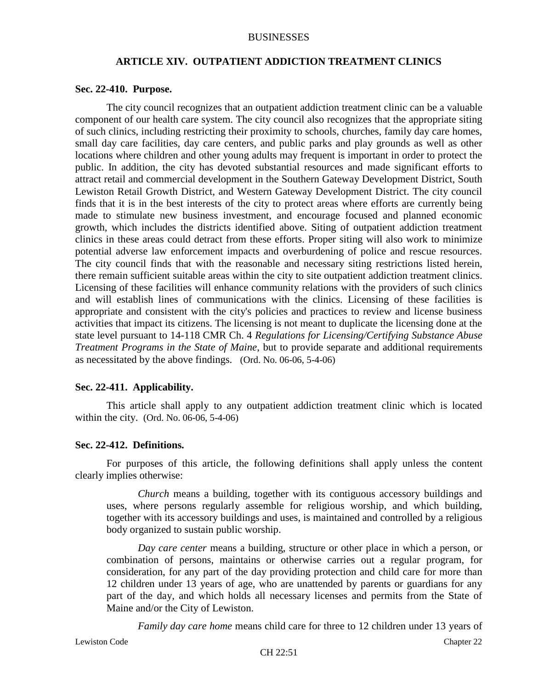### **ARTICLE XIV. OUTPATIENT ADDICTION TREATMENT CLINICS**

#### **Sec. 22-410. Purpose.**

The city council recognizes that an outpatient addiction treatment clinic can be a valuable component of our health care system. The city council also recognizes that the appropriate siting of such clinics, including restricting their proximity to schools, churches, family day care homes, small day care facilities, day care centers, and public parks and play grounds as well as other locations where children and other young adults may frequent is important in order to protect the public. In addition, the city has devoted substantial resources and made significant efforts to attract retail and commercial development in the Southern Gateway Development District, South Lewiston Retail Growth District, and Western Gateway Development District. The city council finds that it is in the best interests of the city to protect areas where efforts are currently being made to stimulate new business investment, and encourage focused and planned economic growth, which includes the districts identified above. Siting of outpatient addiction treatment clinics in these areas could detract from these efforts. Proper siting will also work to minimize potential adverse law enforcement impacts and overburdening of police and rescue resources. The city council finds that with the reasonable and necessary siting restrictions listed herein, there remain sufficient suitable areas within the city to site outpatient addiction treatment clinics. Licensing of these facilities will enhance community relations with the providers of such clinics and will establish lines of communications with the clinics. Licensing of these facilities is appropriate and consistent with the city's policies and practices to review and license business activities that impact its citizens. The licensing is not meant to duplicate the licensing done at the state level pursuant to 14-118 CMR Ch. 4 *Regulations for Licensing/Certifying Substance Abuse Treatment Programs in the State of Maine*, but to provide separate and additional requirements as necessitated by the above findings. (Ord. No. 06-06, 5-4-06)

#### **Sec. 22-411. Applicability.**

This article shall apply to any outpatient addiction treatment clinic which is located within the city. (Ord. No. 06-06, 5-4-06)

#### **Sec. 22-412. Definitions.**

For purposes of this article, the following definitions shall apply unless the content clearly implies otherwise:

*Church* means a building, together with its contiguous accessory buildings and uses, where persons regularly assemble for religious worship, and which building, together with its accessory buildings and uses, is maintained and controlled by a religious body organized to sustain public worship.

*Day care center* means a building, structure or other place in which a person, or combination of persons, maintains or otherwise carries out a regular program, for consideration, for any part of the day providing protection and child care for more than 12 children under 13 years of age, who are unattended by parents or guardians for any part of the day, and which holds all necessary licenses and permits from the State of Maine and/or the City of Lewiston.

*Family day care home* means child care for three to 12 children under 13 years of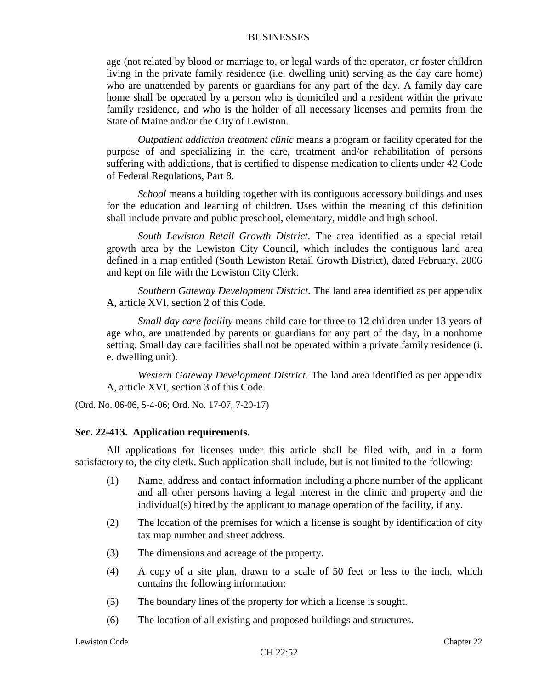age (not related by blood or marriage to, or legal wards of the operator, or foster children living in the private family residence (i.e. dwelling unit) serving as the day care home) who are unattended by parents or guardians for any part of the day. A family day care home shall be operated by a person who is domiciled and a resident within the private family residence, and who is the holder of all necessary licenses and permits from the State of Maine and/or the City of Lewiston.

*Outpatient addiction treatment clinic* means a program or facility operated for the purpose of and specializing in the care, treatment and/or rehabilitation of persons suffering with addictions, that is certified to dispense medication to clients under 42 Code of Federal Regulations, Part 8.

*School* means a building together with its contiguous accessory buildings and uses for the education and learning of children. Uses within the meaning of this definition shall include private and public preschool, elementary, middle and high school.

*South Lewiston Retail Growth District.* The area identified as a special retail growth area by the Lewiston City Council, which includes the contiguous land area defined in a map entitled (South Lewiston Retail Growth District), dated February, 2006 and kept on file with the Lewiston City Clerk.

*Southern Gateway Development District.* The land area identified as per appendix A, article XVI, section 2 of this Code.

*Small day care facility* means child care for three to 12 children under 13 years of age who, are unattended by parents or guardians for any part of the day, in a nonhome setting. Small day care facilities shall not be operated within a private family residence (i. e. dwelling unit).

*Western Gateway Development District.* The land area identified as per appendix A, article XVI, section 3 of this Code.

(Ord. No. 06-06, 5-4-06; Ord. No. 17-07, 7-20-17)

# **Sec. 22-413. Application requirements.**

All applications for licenses under this article shall be filed with, and in a form satisfactory to, the city clerk. Such application shall include, but is not limited to the following:

- (1) Name, address and contact information including a phone number of the applicant and all other persons having a legal interest in the clinic and property and the individual(s) hired by the applicant to manage operation of the facility, if any.
- (2) The location of the premises for which a license is sought by identification of city tax map number and street address.
- (3) The dimensions and acreage of the property.
- (4) A copy of a site plan, drawn to a scale of 50 feet or less to the inch, which contains the following information:
- (5) The boundary lines of the property for which a license is sought.
- (6) The location of all existing and proposed buildings and structures.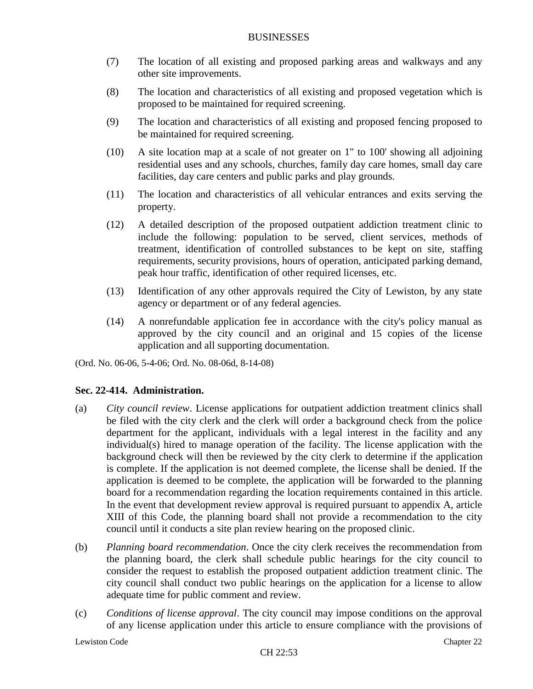- (7) The location of all existing and proposed parking areas and walkways and any other site improvements.
- (8) The location and characteristics of all existing and proposed vegetation which is proposed to be maintained for required screening.
- (9) The location and characteristics of all existing and proposed fencing proposed to be maintained for required screening.
- (10) A site location map at a scale of not greater on 1" to 100' showing all adjoining residential uses and any schools, churches, family day care homes, small day care facilities, day care centers and public parks and play grounds.
- (11) The location and characteristics of all vehicular entrances and exits serving the property.
- (12) A detailed description of the proposed outpatient addiction treatment clinic to include the following: population to be served, client services, methods of treatment, identification of controlled substances to be kept on site, staffing requirements, security provisions, hours of operation, anticipated parking demand, peak hour traffic, identification of other required licenses, etc.
- (13) Identification of any other approvals required the City of Lewiston, by any state agency or department or of any federal agencies.
- (14) A nonrefundable application fee in accordance with the city's policy manual as approved by the city council and an original and 15 copies of the license application and all supporting documentation.

(Ord. No. 06-06, 5-4-06; Ord. No. 08-06d, 8-14-08)

# **Sec. 22-414. Administration.**

- (a) *City council review*. License applications for outpatient addiction treatment clinics shall be filed with the city clerk and the clerk will order a background check from the police department for the applicant, individuals with a legal interest in the facility and any individual(s) hired to manage operation of the facility. The license application with the background check will then be reviewed by the city clerk to determine if the application is complete. If the application is not deemed complete, the license shall be denied. If the application is deemed to be complete, the application will be forwarded to the planning board for a recommendation regarding the location requirements contained in this article. In the event that development review approval is required pursuant to appendix A, article XIII of this Code, the planning board shall not provide a recommendation to the city council until it conducts a site plan review hearing on the proposed clinic.
- (b) *Planning board recommendation*. Once the city clerk receives the recommendation from the planning board, the clerk shall schedule public hearings for the city council to consider the request to establish the proposed outpatient addiction treatment clinic. The city council shall conduct two public hearings on the application for a license to allow adequate time for public comment and review.
- (c) *Conditions of license approval*. The city council may impose conditions on the approval of any license application under this article to ensure compliance with the provisions of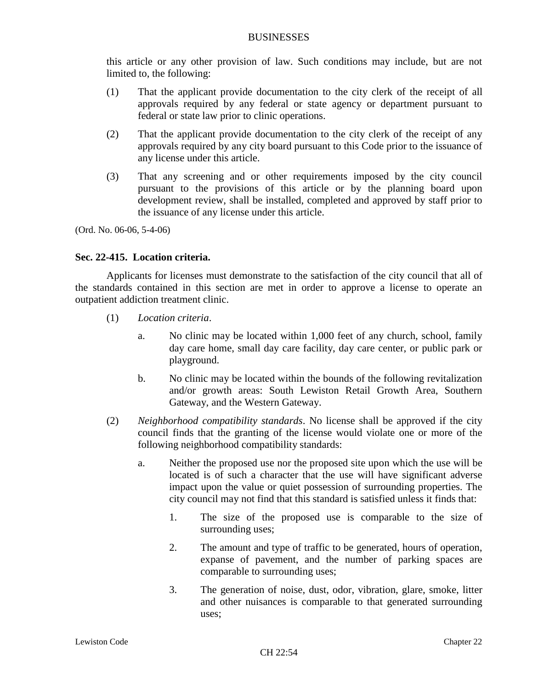this article or any other provision of law. Such conditions may include, but are not limited to, the following:

- (1) That the applicant provide documentation to the city clerk of the receipt of all approvals required by any federal or state agency or department pursuant to federal or state law prior to clinic operations.
- (2) That the applicant provide documentation to the city clerk of the receipt of any approvals required by any city board pursuant to this Code prior to the issuance of any license under this article.
- (3) That any screening and or other requirements imposed by the city council pursuant to the provisions of this article or by the planning board upon development review, shall be installed, completed and approved by staff prior to the issuance of any license under this article.

(Ord. No. 06-06, 5-4-06)

# **Sec. 22-415. Location criteria.**

Applicants for licenses must demonstrate to the satisfaction of the city council that all of the standards contained in this section are met in order to approve a license to operate an outpatient addiction treatment clinic.

- (1) *Location criteria*.
	- a. No clinic may be located within 1,000 feet of any church, school, family day care home, small day care facility, day care center, or public park or playground.
	- b. No clinic may be located within the bounds of the following revitalization and/or growth areas: South Lewiston Retail Growth Area, Southern Gateway, and the Western Gateway.
- (2) *Neighborhood compatibility standards*. No license shall be approved if the city council finds that the granting of the license would violate one or more of the following neighborhood compatibility standards:
	- a. Neither the proposed use nor the proposed site upon which the use will be located is of such a character that the use will have significant adverse impact upon the value or quiet possession of surrounding properties. The city council may not find that this standard is satisfied unless it finds that:
		- 1. The size of the proposed use is comparable to the size of surrounding uses;
		- 2. The amount and type of traffic to be generated, hours of operation, expanse of pavement, and the number of parking spaces are comparable to surrounding uses;
		- 3. The generation of noise, dust, odor, vibration, glare, smoke, litter and other nuisances is comparable to that generated surrounding uses;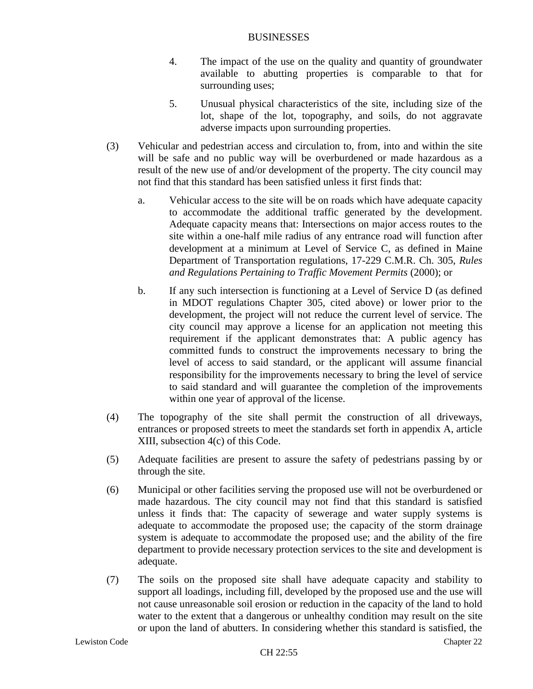- 4. The impact of the use on the quality and quantity of groundwater available to abutting properties is comparable to that for surrounding uses;
- 5. Unusual physical characteristics of the site, including size of the lot, shape of the lot, topography, and soils, do not aggravate adverse impacts upon surrounding properties.
- (3) Vehicular and pedestrian access and circulation to, from, into and within the site will be safe and no public way will be overburdened or made hazardous as a result of the new use of and/or development of the property. The city council may not find that this standard has been satisfied unless it first finds that:
	- a. Vehicular access to the site will be on roads which have adequate capacity to accommodate the additional traffic generated by the development. Adequate capacity means that: Intersections on major access routes to the site within a one-half mile radius of any entrance road will function after development at a minimum at Level of Service C, as defined in Maine Department of Transportation regulations, 17-229 C.M.R. Ch. 305, *Rules and Regulations Pertaining to Traffic Movement Permits* (2000); or
	- b. If any such intersection is functioning at a Level of Service D (as defined in MDOT regulations Chapter 305, cited above) or lower prior to the development, the project will not reduce the current level of service. The city council may approve a license for an application not meeting this requirement if the applicant demonstrates that: A public agency has committed funds to construct the improvements necessary to bring the level of access to said standard, or the applicant will assume financial responsibility for the improvements necessary to bring the level of service to said standard and will guarantee the completion of the improvements within one year of approval of the license.
- (4) The topography of the site shall permit the construction of all driveways, entrances or proposed streets to meet the standards set forth in appendix A, article XIII, subsection 4(c) of this Code.
- (5) Adequate facilities are present to assure the safety of pedestrians passing by or through the site.
- (6) Municipal or other facilities serving the proposed use will not be overburdened or made hazardous. The city council may not find that this standard is satisfied unless it finds that: The capacity of sewerage and water supply systems is adequate to accommodate the proposed use; the capacity of the storm drainage system is adequate to accommodate the proposed use; and the ability of the fire department to provide necessary protection services to the site and development is adequate.
- (7) The soils on the proposed site shall have adequate capacity and stability to support all loadings, including fill, developed by the proposed use and the use will not cause unreasonable soil erosion or reduction in the capacity of the land to hold water to the extent that a dangerous or unhealthy condition may result on the site or upon the land of abutters. In considering whether this standard is satisfied, the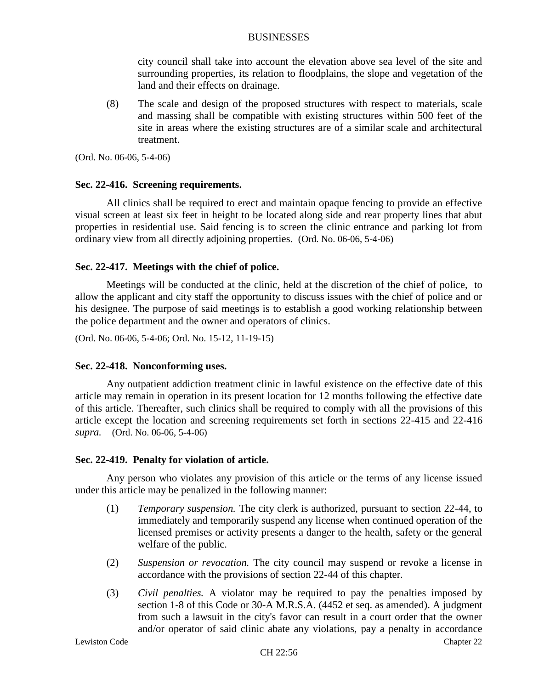city council shall take into account the elevation above sea level of the site and surrounding properties, its relation to floodplains, the slope and vegetation of the land and their effects on drainage.

(8) The scale and design of the proposed structures with respect to materials, scale and massing shall be compatible with existing structures within 500 feet of the site in areas where the existing structures are of a similar scale and architectural treatment.

(Ord. No. 06-06, 5-4-06)

### **Sec. 22-416. Screening requirements.**

All clinics shall be required to erect and maintain opaque fencing to provide an effective visual screen at least six feet in height to be located along side and rear property lines that abut properties in residential use. Said fencing is to screen the clinic entrance and parking lot from ordinary view from all directly adjoining properties. (Ord. No. 06-06, 5-4-06)

### **Sec. 22-417. Meetings with the chief of police.**

Meetings will be conducted at the clinic, held at the discretion of the chief of police, to allow the applicant and city staff the opportunity to discuss issues with the chief of police and or his designee. The purpose of said meetings is to establish a good working relationship between the police department and the owner and operators of clinics.

(Ord. No. 06-06, 5-4-06; Ord. No. 15-12, 11-19-15)

#### **Sec. 22-418. Nonconforming uses.**

Any outpatient addiction treatment clinic in lawful existence on the effective date of this article may remain in operation in its present location for 12 months following the effective date of this article. Thereafter, such clinics shall be required to comply with all the provisions of this article except the location and screening requirements set forth in sections 22-415 and 22-416 *supra.* (Ord. No. 06-06, 5-4-06)

#### **Sec. 22-419. Penalty for violation of article.**

Any person who violates any provision of this article or the terms of any license issued under this article may be penalized in the following manner:

- (1) *Temporary suspension.* The city clerk is authorized, pursuant to section 22-44, to immediately and temporarily suspend any license when continued operation of the licensed premises or activity presents a danger to the health, safety or the general welfare of the public.
- (2) *Suspension or revocation.* The city council may suspend or revoke a license in accordance with the provisions of section 22-44 of this chapter.
- (3) *Civil penalties.* A violator may be required to pay the penalties imposed by section 1-8 of this Code or 30-A M.R.S.A. (4452 et seq. as amended). A judgment from such a lawsuit in the city's favor can result in a court order that the owner and/or operator of said clinic abate any violations, pay a penalty in accordance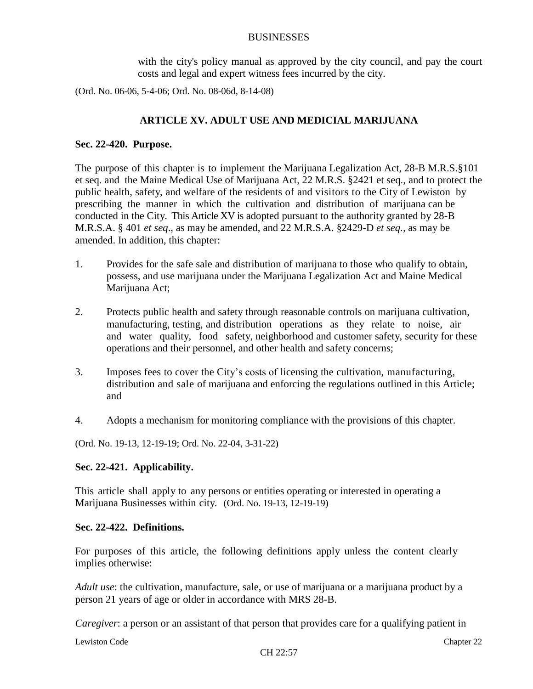with the city's policy manual as approved by the city council, and pay the court costs and legal and expert witness fees incurred by the city.

(Ord. No. 06-06, 5-4-06; Ord. No. 08-06d, 8-14-08)

# **ARTICLE XV. ADULT USE AND MEDICIAL MARIJUANA**

### **Sec. 22-420. Purpose.**

The purpose of this chapter is to implement the Marijuana Legalization Act, 28-B M.R.S.§101 et seq. and the Maine Medical Use of Marijuana Act, 22 M.R.S. §2421 et seq., and to protect the public health, safety, and welfare of the residents of and visitors to the City of Lewiston by prescribing the manner in which the cultivation and distribution of marijuana can be conducted in the City. This Article XV is adopted pursuant to the authority granted by 28-B M.R.S.A. § 401 *et seq*., as may be amended, and 22 M.R.S.A. §2429-D *et seq.,* as may be amended. In addition, this chapter:

- 1. Provides for the safe sale and distribution of marijuana to those who qualify to obtain, possess, and use marijuana under the Marijuana Legalization Act and Maine Medical Marijuana Act;
- 2. Protects public health and safety through reasonable controls on marijuana cultivation, manufacturing, testing, and distribution operations as they relate to noise, air and water quality, food safety, neighborhood and customer safety, security for these operations and their personnel, and other health and safety concerns;
- 3. Imposes fees to cover the City's costs of licensing the cultivation, manufacturing, distribution and sale of marijuana and enforcing the regulations outlined in this Article; and
- 4. Adopts a mechanism for monitoring compliance with the provisions of this chapter.

(Ord. No. 19-13, 12-19-19; Ord. No. 22-04, 3-31-22)

# **Sec. 22-421. Applicability.**

This article shall apply to any persons or entities operating or interested in operating a Marijuana Businesses within city. (Ord. No. 19-13, 12-19-19)

### **Sec. 22-422. Definitions.**

For purposes of this article, the following definitions apply unless the content clearly implies otherwise:

*Adult use*: the cultivation, manufacture, sale, or use of marijuana or a marijuana product by a person 21 years of age or older in accordance with MRS 28-B.

*Caregiver*: a person or an assistant of that person that provides care for a qualifying patient in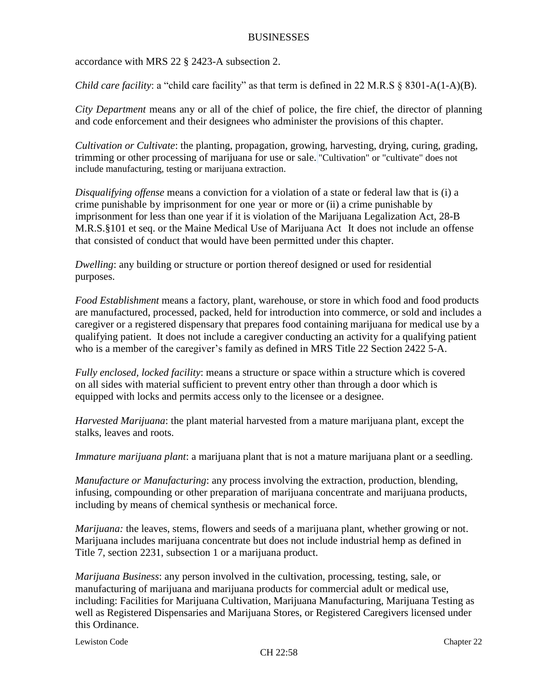accordance with MRS 22 § 2423-A subsection 2.

*Child care facility*: a "child care facility" as that term is defined in 22 M.R.S § 8301-A(1-A)(B).

*City Department* means any or all of the chief of police, the fire chief, the director of planning and code enforcement and their designees who administer the provisions of this chapter.

*Cultivation or Cultivate*: the planting, propagation, growing, harvesting, drying, curing, grading, trimming or other processing of marijuana for use or sale. "Cultivation" or "cultivate" does not include manufacturing, testing or marijuana extraction.

*Disqualifying offense* means a conviction for a violation of a state or federal law that is (i) a crime punishable by imprisonment for one year or more or (ii) a crime punishable by imprisonment for less than one year if it is violation of the Marijuana Legalization Act, 28-B M.R.S.§101 et seq. or the Maine Medical Use of Marijuana Act It does not include an offense that consisted of conduct that would have been permitted under this chapter.

*Dwelling*: any building or structure or portion thereof designed or used for residential purposes.

*Food Establishment* means a factory, plant, warehouse, or store in which food and food products are manufactured, processed, packed, held for introduction into commerce, or sold and includes a caregiver or a registered dispensary that prepares food containing marijuana for medical use by a qualifying patient. It does not include a caregiver conducting an activity for a qualifying patient who is a member of the caregiver's family as defined in MRS Title 22 Section 2422 5-A.

*Fully enclosed, locked facility*: means a structure or space within a structure which is covered on all sides with material sufficient to prevent entry other than through a door which is equipped with locks and permits access only to the licensee or a designee.

*Harvested Marijuana*: the plant material harvested from a mature marijuana plant, except the stalks, leaves and roots.

*Immature marijuana plant*: a marijuana plant that is not a mature marijuana plant or a seedling.

*Manufacture or Manufacturing*: any process involving the extraction, production, blending, infusing, compounding or other preparation of marijuana concentrate and marijuana products, including by means of chemical synthesis or mechanical force.

*Marijuana:* the leaves, stems, flowers and seeds of a marijuana plant, whether growing or not. Marijuana includes marijuana concentrate but does not include industrial hemp as defined in Title 7, section 2231, subsection 1 or a marijuana product.

*Marijuana Business*: any person involved in the cultivation, processing, testing, sale, or manufacturing of marijuana and marijuana products for commercial adult or medical use, including: Facilities for Marijuana Cultivation, Marijuana Manufacturing, Marijuana Testing as well as Registered Dispensaries and Marijuana Stores, or Registered Caregivers licensed under this Ordinance.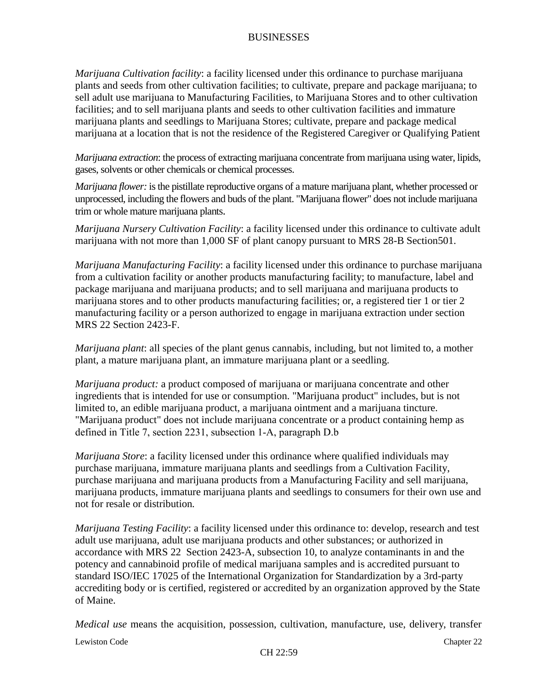*Marijuana Cultivation facility*: a facility licensed under this ordinance to purchase marijuana plants and seeds from other cultivation facilities; to cultivate, prepare and package marijuana; to sell adult use marijuana to Manufacturing Facilities, to Marijuana Stores and to other cultivation facilities; and to sell marijuana plants and seeds to other cultivation facilities and immature marijuana plants and seedlings to Marijuana Stores; cultivate, prepare and package medical marijuana at a location that is not the residence of the Registered Caregiver or Qualifying Patient

*Marijuana extraction*: the process of extracting marijuana concentrate from marijuana using water, lipids, gases, solvents or other chemicals or chemical processes.

*Marijuana flower:* is the pistillate reproductive organs of a mature marijuana plant, whether processed or unprocessed, including the flowers and buds of the plant. "Marijuana flower" does not include marijuana trim or whole mature marijuana plants.

*Marijuana Nursery Cultivation Facility*: a facility licensed under this ordinance to cultivate adult marijuana with not more than 1,000 SF of plant canopy pursuant to MRS 28-B Section501.

*Marijuana Manufacturing Facility*: a facility licensed under this ordinance to purchase marijuana from a cultivation facility or another products manufacturing facility; to manufacture, label and package marijuana and marijuana products; and to sell marijuana and marijuana products to marijuana stores and to other products manufacturing facilities; or, a registered tier 1 or tier 2 manufacturing facility or a person authorized to engage in marijuana extraction under section MRS 22 Section 2423-F.

*Marijuana plant*: all species of the plant genus cannabis, including, but not limited to, a mother plant, a mature marijuana plant, an immature marijuana plant or a seedling.

*Marijuana product:* a product composed of marijuana or marijuana concentrate and other ingredients that is intended for use or consumption. "Marijuana product" includes, but is not limited to, an edible marijuana product, a marijuana ointment and a marijuana tincture. "Marijuana product" does not include marijuana concentrate or a product containing hemp as defined in Title 7, section 2231, subsection 1‑A, paragraph D.b

*Marijuana Store*: a facility licensed under this ordinance where qualified individuals may purchase marijuana, immature marijuana plants and seedlings from a Cultivation Facility, purchase marijuana and marijuana products from a Manufacturing Facility and sell marijuana, marijuana products, immature marijuana plants and seedlings to consumers for their own use and not for resale or distribution*.*

*Marijuana Testing Facility*: a facility licensed under this ordinance to: develop, research and test adult use marijuana, adult use marijuana products and other substances; or authorized in accordance with MRS 22 Section 2423-A, subsection 10, to analyze contaminants in and the potency and cannabinoid profile of medical marijuana samples and is accredited pursuant to standard ISO/IEC 17025 of the International Organization for Standardization by a 3rd-party accrediting body or is certified, registered or accredited by an organization approved by the State of Maine.

*Medical use* means the acquisition, possession, cultivation, manufacture, use, delivery, transfer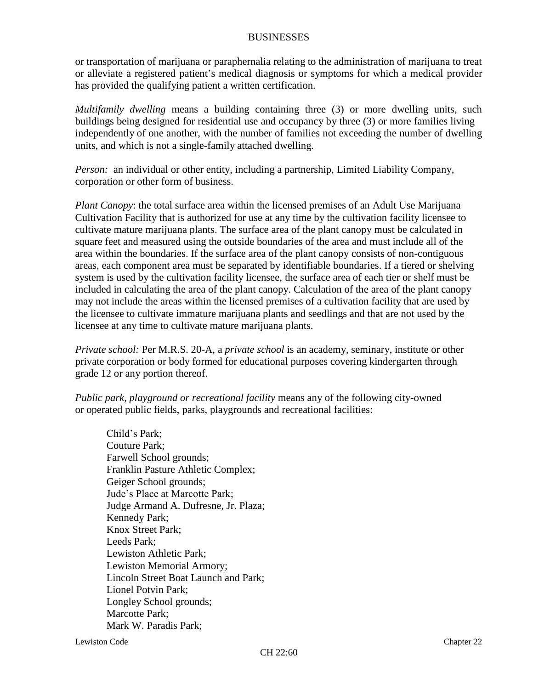or transportation of marijuana or paraphernalia relating to the administration of marijuana to treat or alleviate a registered patient's medical diagnosis or symptoms for which a medical provider has provided the qualifying patient a written certification.

*Multifamily dwelling* means a building containing three (3) or more dwelling units, such buildings being designed for residential use and occupancy by three (3) or more families living independently of one another, with the number of families not exceeding the number of dwelling units, and which is not a single-family attached dwelling.

*Person:* an individual or other entity, including a partnership, Limited Liability Company, corporation or other form of business.

*Plant Canopy*: the total surface area within the licensed premises of an Adult Use Marijuana Cultivation Facility that is authorized for use at any time by the cultivation facility licensee to cultivate mature marijuana plants. The surface area of the plant canopy must be calculated in square feet and measured using the outside boundaries of the area and must include all of the area within the boundaries. If the surface area of the plant canopy consists of non-contiguous areas, each component area must be separated by identifiable boundaries. If a tiered or shelving system is used by the cultivation facility licensee, the surface area of each tier or shelf must be included in calculating the area of the plant canopy. Calculation of the area of the plant canopy may not include the areas within the licensed premises of a cultivation facility that are used by the licensee to cultivate immature marijuana plants and seedlings and that are not used by the licensee at any time to cultivate mature marijuana plants.

*Private school:* Per M.R.S. 20-A, a *private school* is an academy, seminary, institute or other private corporation or body formed for educational purposes covering kindergarten through grade 12 or any portion thereof.

*Public park, playground or recreational facility* means any of the following city-owned or operated public fields, parks, playgrounds and recreational facilities:

Child's Park; Couture Park; Farwell School grounds; Franklin Pasture Athletic Complex; Geiger School grounds; Jude's Place at Marcotte Park; Judge Armand A. Dufresne, Jr. Plaza; Kennedy Park; Knox Street Park; Leeds Park; Lewiston Athletic Park; Lewiston Memorial Armory; Lincoln Street Boat Launch and Park; Lionel Potvin Park; Longley School grounds; Marcotte Park: Mark W. Paradis Park;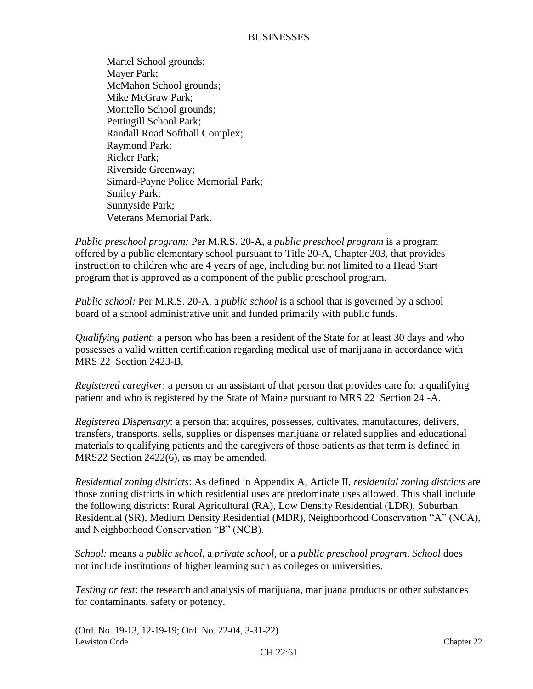Martel School grounds; Mayer Park; McMahon School grounds; Mike McGraw Park; Montello School grounds; Pettingill School Park; Randall Road Softball Complex; Raymond Park; Ricker Park; Riverside Greenway; Simard-Payne Police Memorial Park; Smiley Park; Sunnyside Park; Veterans Memorial Park.

*Public preschool program:* Per M.R.S. 20-A, a *public preschool program* is a program offered by a public elementary school pursuant to Title 20-A, Chapter 203, that provides instruction to children who are 4 years of age, including but not limited to a Head Start program that is approved as a component of the public preschool program.

*Public school:* Per M.R.S. 20-A, a *public school* is a school that is governed by a school board of a school administrative unit and funded primarily with public funds.

*Qualifying patient*: a person who has been a resident of the State for at least 30 days and who possesses a valid written certification regarding medical use of marijuana in accordance with MRS 22 Section 2423-B.

*Registered caregiver*: a person or an assistant of that person that provides care for a qualifying patient and who is registered by the State of Maine pursuant to MRS 22 Section 24 -A.

*Registered Dispensary*: a person that acquires, possesses, cultivates, manufactures, delivers, transfers, transports, sells, supplies or dispenses marijuana or related supplies and educational materials to qualifying patients and the caregivers of those patients as that term is defined in MRS22 Section 2422(6), as may be amended.

*Residential zoning districts*: As defined in Appendix A, Article II, *residential zoning districts* are those zoning districts in which residential uses are predominate uses allowed. This shall include the following districts: Rural Agricultural (RA), Low Density Residential (LDR), Suburban Residential (SR), Medium Density Residential (MDR), Neighborhood Conservation "A" (NCA), and Neighborhood Conservation "B" (NCB).

*School:* means a *public school*, a *private school*, or a *public preschool program*. *School* does not include institutions of higher learning such as colleges or universities.

*Testing or test*: the research and analysis of marijuana, marijuana products or other substances for contaminants, safety or potency.

Lewiston Code Chapter 22 (Ord. No. 19-13, 12-19-19; Ord. No. 22-04, 3-31-22)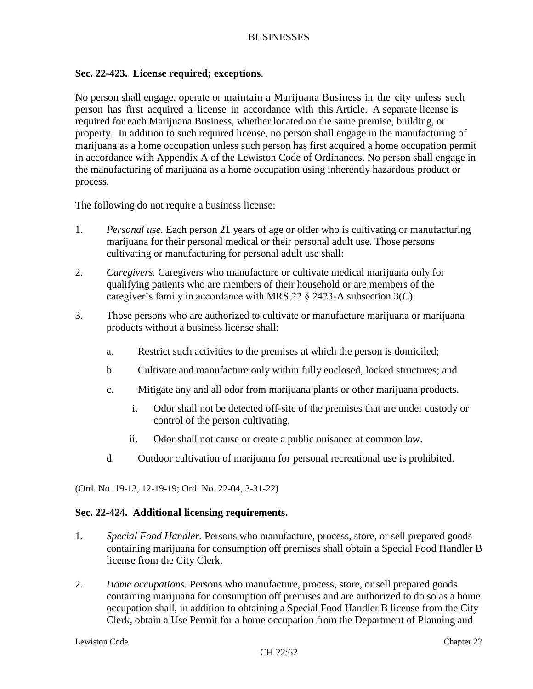# **Sec. 22-423. License required; exceptions**.

No person shall engage, operate or maintain a Marijuana Business in the city unless such person has first acquired a license in accordance with this Article. A separate license is required for each Marijuana Business, whether located on the same premise, building, or property. In addition to such required license, no person shall engage in the manufacturing of marijuana as a home occupation unless such person has first acquired a home occupation permit in accordance with Appendix A of the Lewiston Code of Ordinances. No person shall engage in the manufacturing of marijuana as a home occupation using inherently hazardous product or process.

The following do not require a business license:

- 1. *Personal use.* Each person 21 years of age or older who is cultivating or manufacturing marijuana for their personal medical or their personal adult use. Those persons cultivating or manufacturing for personal adult use shall:
- 2. *Caregivers.* Caregivers who manufacture or cultivate medical marijuana only for qualifying patients who are members of their household or are members of the caregiver's family in accordance with MRS 22 § 2423-A subsection 3(C).
- 3. Those persons who are authorized to cultivate or manufacture marijuana or marijuana products without a business license shall:
	- a. Restrict such activities to the premises at which the person is domiciled;
	- b. Cultivate and manufacture only within fully enclosed, locked structures; and
	- c. Mitigate any and all odor from marijuana plants or other marijuana products.
		- i. Odor shall not be detected off-site of the premises that are under custody or control of the person cultivating.
		- ii. Odor shall not cause or create a public nuisance at common law.
	- d. Outdoor cultivation of marijuana for personal recreational use is prohibited.

(Ord. No. 19-13, 12-19-19; Ord. No. 22-04, 3-31-22)

#### **Sec. 22-424. Additional licensing requirements.**

- 1. *Special Food Handler.* Persons who manufacture, process, store, or sell prepared goods containing marijuana for consumption off premises shall obtain a Special Food Handler B license from the City Clerk.
- 2. *Home occupations.* Persons who manufacture, process, store, or sell prepared goods containing marijuana for consumption off premises and are authorized to do so as a home occupation shall, in addition to obtaining a Special Food Handler B license from the City Clerk, obtain a Use Permit for a home occupation from the Department of Planning and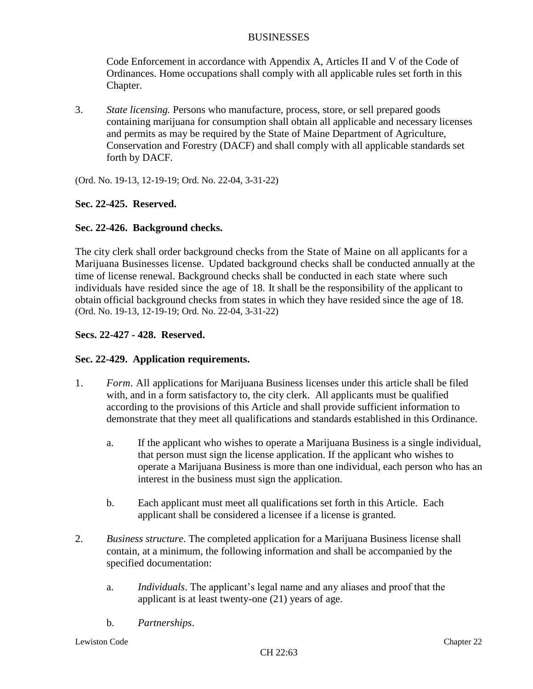Code Enforcement in accordance with Appendix A, Articles II and V of the Code of Ordinances. Home occupations shall comply with all applicable rules set forth in this Chapter.

3. *State licensing.* Persons who manufacture, process, store, or sell prepared goods containing marijuana for consumption shall obtain all applicable and necessary licenses and permits as may be required by the State of Maine Department of Agriculture, Conservation and Forestry (DACF) and shall comply with all applicable standards set forth by DACF.

(Ord. No. 19-13, 12-19-19; Ord. No. 22-04, 3-31-22)

# **Sec. 22-425. Reserved.**

# **Sec. 22-426. Background checks.**

The city clerk shall order background checks from the State of Maine on all applicants for a Marijuana Businesses license. Updated background checks shall be conducted annually at the time of license renewal. Background checks shall be conducted in each state where such individuals have resided since the age of 18. It shall be the responsibility of the applicant to obtain official background checks from states in which they have resided since the age of 18. (Ord. No. 19-13, 12-19-19; Ord. No. 22-04, 3-31-22)

# **Secs. 22-427 - 428. Reserved.**

# **Sec. 22-429. Application requirements.**

- 1. *Form.* All applications for Marijuana Business licenses under this article shall be filed with, and in a form satisfactory to, the city clerk. All applicants must be qualified according to the provisions of this Article and shall provide sufficient information to demonstrate that they meet all qualifications and standards established in this Ordinance.
	- a. If the applicant who wishes to operate a Marijuana Business is a single individual, that person must sign the license application. If the applicant who wishes to operate a Marijuana Business is more than one individual, each person who has an interest in the business must sign the application.
	- b. Each applicant must meet all qualifications set forth in this Article. Each applicant shall be considered a licensee if a license is granted.
- 2. *Business structure*. The completed application for a Marijuana Business license shall contain, at a minimum, the following information and shall be accompanied by the specified documentation:
	- a. *Individuals*. The applicant's legal name and any aliases and proof that the applicant is at least twenty-one (21) years of age.
	- b. *Partnerships*.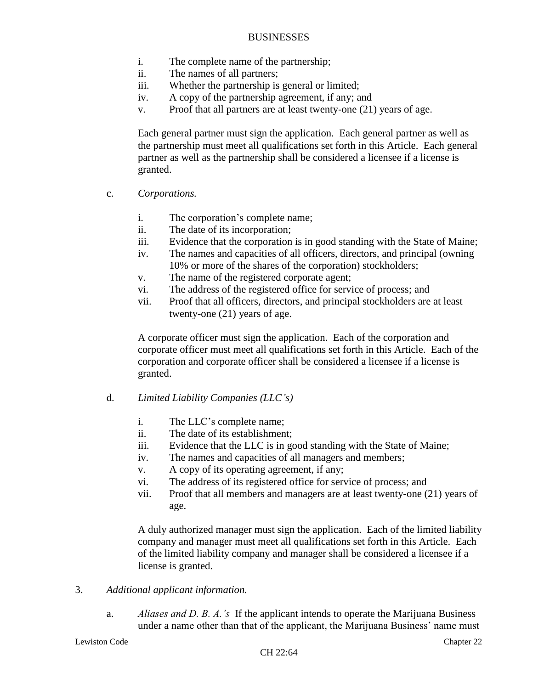- i. The complete name of the partnership;
- ii. The names of all partners;
- iii. Whether the partnership is general or limited;
- iv. A copy of the partnership agreement, if any; and
- v. Proof that all partners are at least twenty-one (21) years of age.

Each general partner must sign the application. Each general partner as well as the partnership must meet all qualifications set forth in this Article. Each general partner as well as the partnership shall be considered a licensee if a license is granted.

- c. *Corporations.*
	- i. The corporation's complete name;
	- ii. The date of its incorporation;
	- iii. Evidence that the corporation is in good standing with the State of Maine;
	- iv. The names and capacities of all officers, directors, and principal (owning 10% or more of the shares of the corporation) stockholders;
	- v. The name of the registered corporate agent;
	- vi. The address of the registered office for service of process; and
	- vii. Proof that all officers, directors, and principal stockholders are at least twenty-one (21) years of age.

A corporate officer must sign the application. Each of the corporation and corporate officer must meet all qualifications set forth in this Article. Each of the corporation and corporate officer shall be considered a licensee if a license is granted.

- d. *Limited Liability Companies (LLC's)*
	- i. The LLC's complete name;
	- ii. The date of its establishment;
	- iii. Evidence that the LLC is in good standing with the State of Maine;
	- iv. The names and capacities of all managers and members;
	- v. A copy of its operating agreement, if any;
	- vi. The address of its registered office for service of process; and
	- vii. Proof that all members and managers are at least twenty-one (21) years of age.

A duly authorized manager must sign the application. Each of the limited liability company and manager must meet all qualifications set forth in this Article. Each of the limited liability company and manager shall be considered a licensee if a license is granted.

- 3. *Additional applicant information.*
	- a. *Aliases and D. B. A.'s* If the applicant intends to operate the Marijuana Business under a name other than that of the applicant, the Marijuana Business' name must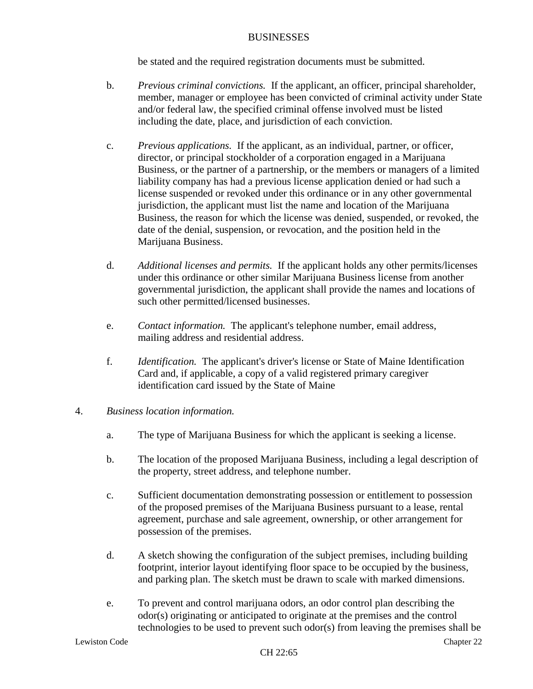be stated and the required registration documents must be submitted.

- b. *Previous criminal convictions.* If the applicant, an officer, principal shareholder, member, manager or employee has been convicted of criminal activity under State and/or federal law, the specified criminal offense involved must be listed including the date, place, and jurisdiction of each conviction.
- c. *Previous applications.* If the applicant, as an individual, partner, or officer, director, or principal stockholder of a corporation engaged in a Marijuana Business, or the partner of a partnership, or the members or managers of a limited liability company has had a previous license application denied or had such a license suspended or revoked under this ordinance or in any other governmental jurisdiction, the applicant must list the name and location of the Marijuana Business, the reason for which the license was denied, suspended, or revoked, the date of the denial, suspension, or revocation, and the position held in the Marijuana Business.
- d. *Additional licenses and permits.* If the applicant holds any other permits/licenses under this ordinance or other similar Marijuana Business license from another governmental jurisdiction, the applicant shall provide the names and locations of such other permitted/licensed businesses.
- e. *Contact information.* The applicant's telephone number, email address, mailing address and residential address.
- f. *Identification.* The applicant's driver's license or State of Maine Identification Card and, if applicable, a copy of a valid registered primary caregiver identification card issued by the State of Maine
- 4. *Business location information.*
	- a. The type of Marijuana Business for which the applicant is seeking a license.
	- b. The location of the proposed Marijuana Business, including a legal description of the property, street address, and telephone number.
	- c. Sufficient documentation demonstrating possession or entitlement to possession of the proposed premises of the Marijuana Business pursuant to a lease, rental agreement, purchase and sale agreement, ownership, or other arrangement for possession of the premises.
	- d. A sketch showing the configuration of the subject premises, including building footprint, interior layout identifying floor space to be occupied by the business, and parking plan. The sketch must be drawn to scale with marked dimensions.
	- e. To prevent and control marijuana odors, an odor control plan describing the odor(s) originating or anticipated to originate at the premises and the control technologies to be used to prevent such odor(s) from leaving the premises shall be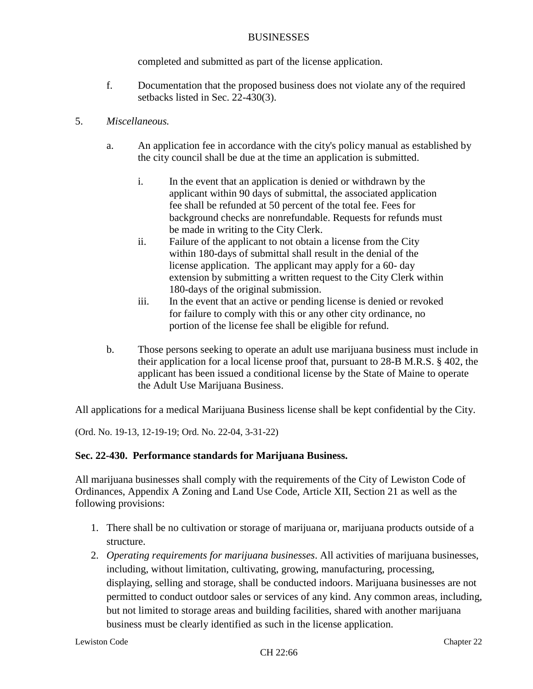completed and submitted as part of the license application.

f. Documentation that the proposed business does not violate any of the required setbacks listed in Sec. 22-430(3).

# 5. *Miscellaneous.*

- a. An application fee in accordance with the city's policy manual as established by the city council shall be due at the time an application is submitted.
	- i. In the event that an application is denied or withdrawn by the applicant within 90 days of submittal, the associated application fee shall be refunded at 50 percent of the total fee. Fees for background checks are nonrefundable. Requests for refunds must be made in writing to the City Clerk.
	- ii. Failure of the applicant to not obtain a license from the City within 180-days of submittal shall result in the denial of the license application. The applicant may apply for a 60- day extension by submitting a written request to the City Clerk within 180-days of the original submission.
	- iii. In the event that an active or pending license is denied or revoked for failure to comply with this or any other city ordinance, no portion of the license fee shall be eligible for refund.
- b. Those persons seeking to operate an adult use marijuana business must include in their application for a local license proof that, pursuant to 28-B M.R.S. § 402, the applicant has been issued a conditional license by the State of Maine to operate the Adult Use Marijuana Business.

All applications for a medical Marijuana Business license shall be kept confidential by the City.

(Ord. No. 19-13, 12-19-19; Ord. No. 22-04, 3-31-22)

# **Sec. 22-430. Performance standards for Marijuana Business.**

All marijuana businesses shall comply with the requirements of the City of Lewiston Code of Ordinances, Appendix A Zoning and Land Use Code, Article XII, Section 21 as well as the following provisions:

- 1. There shall be no cultivation or storage of marijuana or, marijuana products outside of a structure.
- 2. *Operating requirements for marijuana businesses*. All activities of marijuana businesses, including, without limitation, cultivating, growing, manufacturing, processing, displaying, selling and storage, shall be conducted indoors. Marijuana businesses are not permitted to conduct outdoor sales or services of any kind. Any common areas, including, but not limited to storage areas and building facilities, shared with another marijuana business must be clearly identified as such in the license application.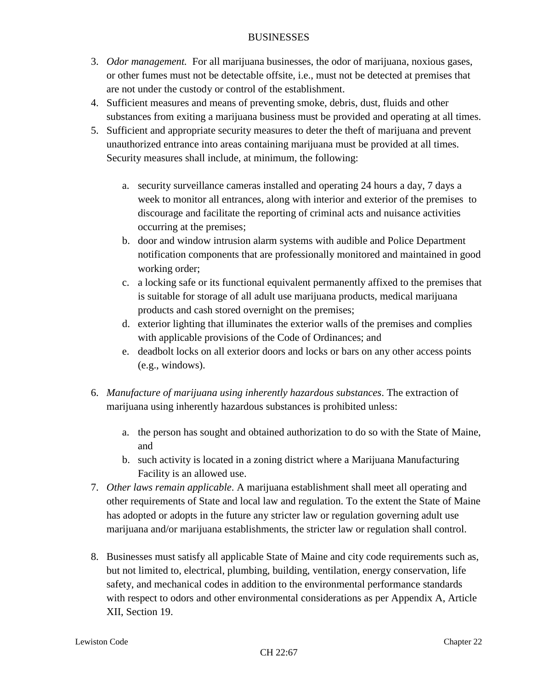- 3. *Odor management.* For all marijuana businesses, the odor of marijuana, noxious gases, or other fumes must not be detectable offsite, i.e., must not be detected at premises that are not under the custody or control of the establishment.
- 4. Sufficient measures and means of preventing smoke, debris, dust, fluids and other substances from exiting a marijuana business must be provided and operating at all times.
- 5. Sufficient and appropriate security measures to deter the theft of marijuana and prevent unauthorized entrance into areas containing marijuana must be provided at all times. Security measures shall include, at minimum, the following:
	- a. security surveillance cameras installed and operating 24 hours a day, 7 days a week to monitor all entrances, along with interior and exterior of the premises to discourage and facilitate the reporting of criminal acts and nuisance activities occurring at the premises;
	- b. door and window intrusion alarm systems with audible and Police Department notification components that are professionally monitored and maintained in good working order;
	- c. a locking safe or its functional equivalent permanently affixed to the premises that is suitable for storage of all adult use marijuana products, medical marijuana products and cash stored overnight on the premises;
	- d. exterior lighting that illuminates the exterior walls of the premises and complies with applicable provisions of the Code of Ordinances; and
	- e. deadbolt locks on all exterior doors and locks or bars on any other access points (e.g., windows).
- 6. *Manufacture of marijuana using inherently hazardous substances*. The extraction of marijuana using inherently hazardous substances is prohibited unless:
	- a. the person has sought and obtained authorization to do so with the State of Maine, and
	- b. such activity is located in a zoning district where a Marijuana Manufacturing Facility is an allowed use.
- 7. *Other laws remain applicable*. A marijuana establishment shall meet all operating and other requirements of State and local law and regulation. To the extent the State of Maine has adopted or adopts in the future any stricter law or regulation governing adult use marijuana and/or marijuana establishments, the stricter law or regulation shall control.
- 8. Businesses must satisfy all applicable State of Maine and city code requirements such as, but not limited to, electrical, plumbing, building, ventilation, energy conservation, life safety, and mechanical codes in addition to the environmental performance standards with respect to odors and other environmental considerations as per Appendix A, Article XII, Section 19.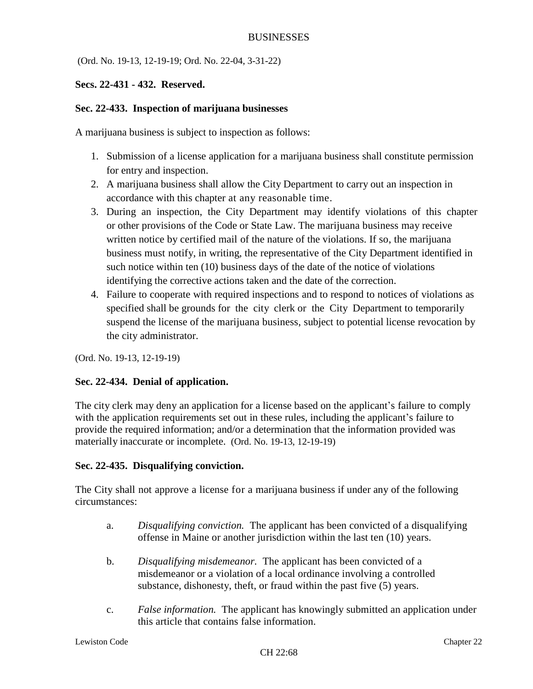(Ord. No. 19-13, 12-19-19; Ord. No. 22-04, 3-31-22)

# **Secs. 22-431 - 432. Reserved.**

# **Sec. 22-433. Inspection of marijuana businesses**

A marijuana business is subject to inspection as follows:

- 1. Submission of a license application for a marijuana business shall constitute permission for entry and inspection.
- 2. A marijuana business shall allow the City Department to carry out an inspection in accordance with this chapter at any reasonable time.
- 3. During an inspection, the City Department may identify violations of this chapter or other provisions of the Code or State Law. The marijuana business may receive written notice by certified mail of the nature of the violations. If so, the marijuana business must notify, in writing, the representative of the City Department identified in such notice within ten (10) business days of the date of the notice of violations identifying the corrective actions taken and the date of the correction.
- 4. Failure to cooperate with required inspections and to respond to notices of violations as specified shall be grounds for the city clerk or the City Department to temporarily suspend the license of the marijuana business, subject to potential license revocation by the city administrator.

(Ord. No. 19-13, 12-19-19)

# **Sec. 22-434. Denial of application.**

The city clerk may deny an application for a license based on the applicant's failure to comply with the application requirements set out in these rules, including the applicant's failure to provide the required information; and/or a determination that the information provided was materially inaccurate or incomplete. (Ord. No. 19-13, 12-19-19)

# **Sec. 22-435. Disqualifying conviction.**

The City shall not approve a license for a marijuana business if under any of the following circumstances:

- a. *Disqualifying conviction.* The applicant has been convicted of a disqualifying offense in Maine or another jurisdiction within the last ten (10) years.
- b. *Disqualifying misdemeanor.* The applicant has been convicted of a misdemeanor or a violation of a local ordinance involving a controlled substance, dishonesty, theft, or fraud within the past five (5) years.
- c. *False information.* The applicant has knowingly submitted an application under this article that contains false information.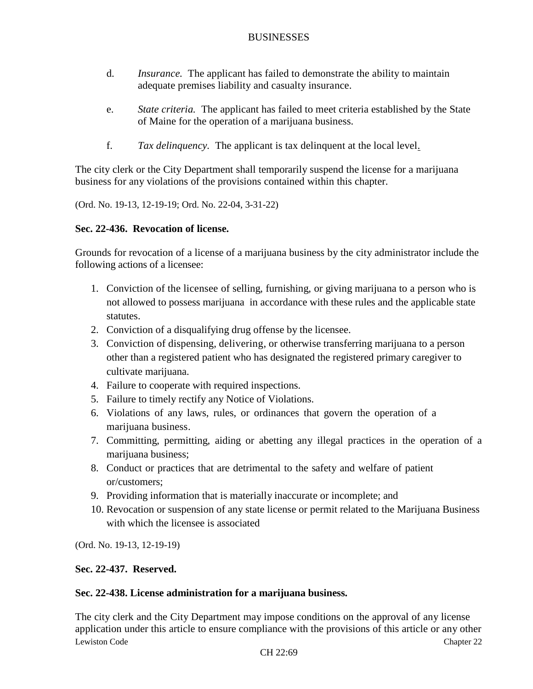- d. *Insurance.* The applicant has failed to demonstrate the ability to maintain adequate premises liability and casualty insurance.
- e. *State criteria.* The applicant has failed to meet criteria established by the State of Maine for the operation of a marijuana business.
- f. *Tax delinquency.* The applicant is tax delinquent at the local level.

The city clerk or the City Department shall temporarily suspend the license for a marijuana business for any violations of the provisions contained within this chapter.

(Ord. No. 19-13, 12-19-19; Ord. No. 22-04, 3-31-22)

# **Sec. 22-436. Revocation of license.**

Grounds for revocation of a license of a marijuana business by the city administrator include the following actions of a licensee:

- 1. Conviction of the licensee of selling, furnishing, or giving marijuana to a person who is not allowed to possess marijuana in accordance with these rules and the applicable state statutes.
- 2. Conviction of a disqualifying drug offense by the licensee.
- 3. Conviction of dispensing, delivering, or otherwise transferring marijuana to a person other than a registered patient who has designated the registered primary caregiver to cultivate marijuana.
- 4. Failure to cooperate with required inspections.
- 5. Failure to timely rectify any Notice of Violations.
- 6. Violations of any laws, rules, or ordinances that govern the operation of a marijuana business.
- 7. Committing, permitting, aiding or abetting any illegal practices in the operation of a marijuana business;
- 8. Conduct or practices that are detrimental to the safety and welfare of patient or/customers;
- 9. Providing information that is materially inaccurate or incomplete; and
- 10. Revocation or suspension of any state license or permit related to the Marijuana Business with which the licensee is associated

(Ord. No. 19-13, 12-19-19)

# **Sec. 22-437. Reserved.**

# **Sec. 22-438. License administration for a marijuana business.**

Lewiston Code Chapter 22 The city clerk and the City Department may impose conditions on the approval of any license application under this article to ensure compliance with the provisions of this article or any other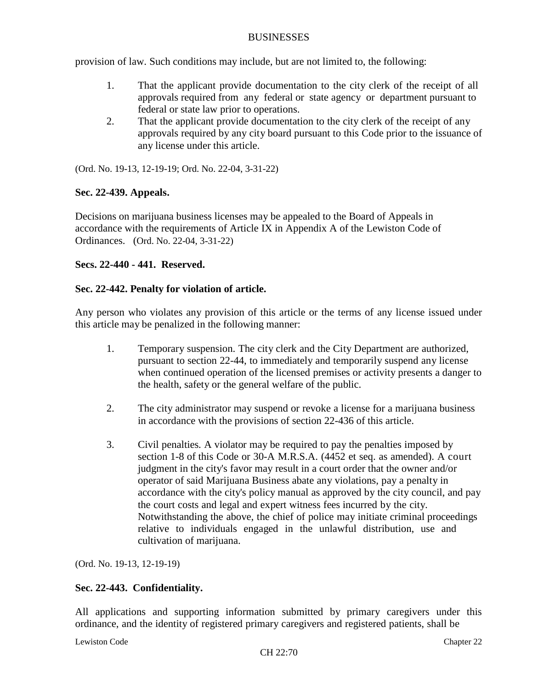provision of law. Such conditions may include, but are not limited to, the following:

- 1. That the applicant provide documentation to the city clerk of the receipt of all approvals required from any federal or state agency or department pursuant to federal or state law prior to operations.
- 2. That the applicant provide documentation to the city clerk of the receipt of any approvals required by any city board pursuant to this Code prior to the issuance of any license under this article.

(Ord. No. 19-13, 12-19-19; Ord. No. 22-04, 3-31-22)

# **Sec. 22-439. Appeals.**

Decisions on marijuana business licenses may be appealed to the Board of Appeals in accordance with the requirements of Article IX in Appendix A of the Lewiston Code of Ordinances. (Ord. No. 22-04, 3-31-22)

# **Secs. 22-440 - 441. Reserved.**

### **Sec. 22-442. Penalty for violation of article.**

Any person who violates any provision of this article or the terms of any license issued under this article may be penalized in the following manner:

- 1. Temporary suspension. The city clerk and the City Department are authorized, pursuant to section 22-44, to immediately and temporarily suspend any license when continued operation of the licensed premises or activity presents a danger to the health, safety or the general welfare of the public.
- 2. The city administrator may suspend or revoke a license for a marijuana business in accordance with the provisions of section 22-436 of this article.
- 3. Civil penalties*.* A violator may be required to pay the penalties imposed by section 1-8 of this Code or 30-A M.R.S.A. (4452 et seq. as amended). A court judgment in the city's favor may result in a court order that the owner and/or operator of said Marijuana Business abate any violations, pay a penalty in accordance with the city's policy manual as approved by the city council, and pay the court costs and legal and expert witness fees incurred by the city. Notwithstanding the above, the chief of police may initiate criminal proceedings relative to individuals engaged in the unlawful distribution, use and cultivation of marijuana.

(Ord. No. 19-13, 12-19-19)

# **Sec. 22-443. Confidentiality.**

All applications and supporting information submitted by primary caregivers under this ordinance, and the identity of registered primary caregivers and registered patients, shall be